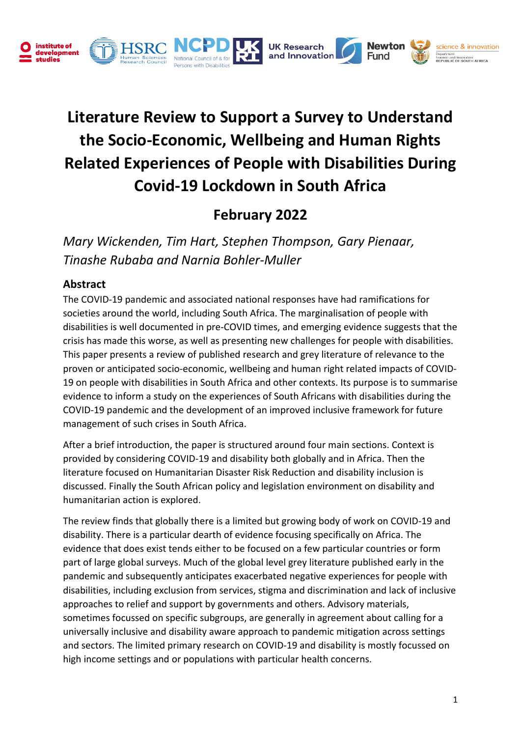

# **Literature Review to Support a Survey to Understand the Socio-Economic, Wellbeing and Human Rights Related Experiences of People with Disabilities During Covid-19 Lockdown in South Africa**

## **February 2022**

*Mary Wickenden, Tim Hart, Stephen Thompson, Gary Pienaar, Tinashe Rubaba and Narnia Bohler-Muller*

## **Abstract**

The COVID-19 pandemic and associated national responses have had ramifications for societies around the world, including South Africa. The marginalisation of people with disabilities is well documented in pre-COVID times, and emerging evidence suggests that the crisis has made this worse, as well as presenting new challenges for people with disabilities. This paper presents a review of published research and grey literature of relevance to the proven or anticipated socio-economic, wellbeing and human right related impacts of COVID-19 on people with disabilities in South Africa and other contexts. Its purpose is to summarise evidence to inform a study on the experiences of South Africans with disabilities during the COVID-19 pandemic and the development of an improved inclusive framework for future management of such crises in South Africa.

After a brief introduction, the paper is structured around four main sections. Context is provided by considering COVID-19 and disability both globally and in Africa. Then the literature focused on Humanitarian Disaster Risk Reduction and disability inclusion is discussed. Finally the South African policy and legislation environment on disability and humanitarian action is explored.

The review finds that globally there is a limited but growing body of work on COVID-19 and disability. There is a particular dearth of evidence focusing specifically on Africa. The evidence that does exist tends either to be focused on a few particular countries or form part of large global surveys. Much of the global level grey literature published early in the pandemic and subsequently anticipates exacerbated negative experiences for people with disabilities, including exclusion from services, stigma and discrimination and lack of inclusive approaches to relief and support by governments and others. Advisory materials, sometimes focussed on specific subgroups, are generally in agreement about calling for a universally inclusive and disability aware approach to pandemic mitigation across settings and sectors. The limited primary research on COVID-19 and disability is mostly focussed on high income settings and or populations with particular health concerns.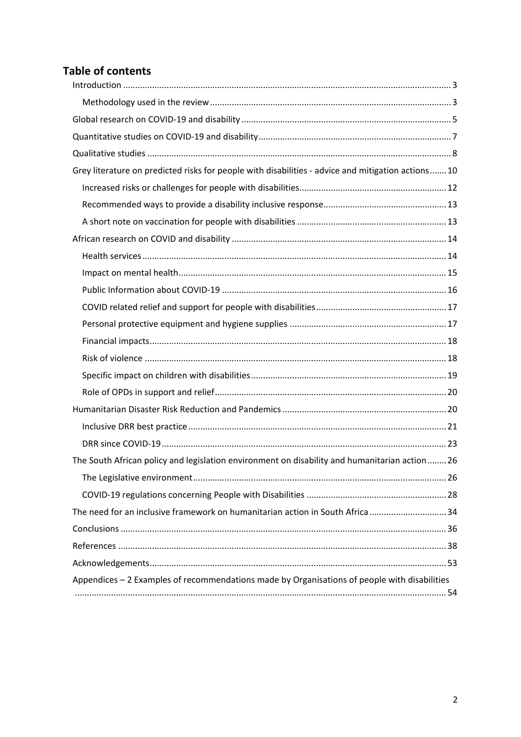## **Table of contents**

| Grey literature on predicted risks for people with disabilities - advice and mitigation actions10 |
|---------------------------------------------------------------------------------------------------|
|                                                                                                   |
|                                                                                                   |
|                                                                                                   |
|                                                                                                   |
|                                                                                                   |
|                                                                                                   |
|                                                                                                   |
|                                                                                                   |
|                                                                                                   |
|                                                                                                   |
|                                                                                                   |
|                                                                                                   |
|                                                                                                   |
|                                                                                                   |
|                                                                                                   |
|                                                                                                   |
| The South African policy and legislation environment on disability and humanitarian action26      |
|                                                                                                   |
|                                                                                                   |
| The need for an inclusive framework on humanitarian action in South Africa 34                     |
|                                                                                                   |
|                                                                                                   |
|                                                                                                   |
| Appendices - 2 Examples of recommendations made by Organisations of people with disabilities      |
|                                                                                                   |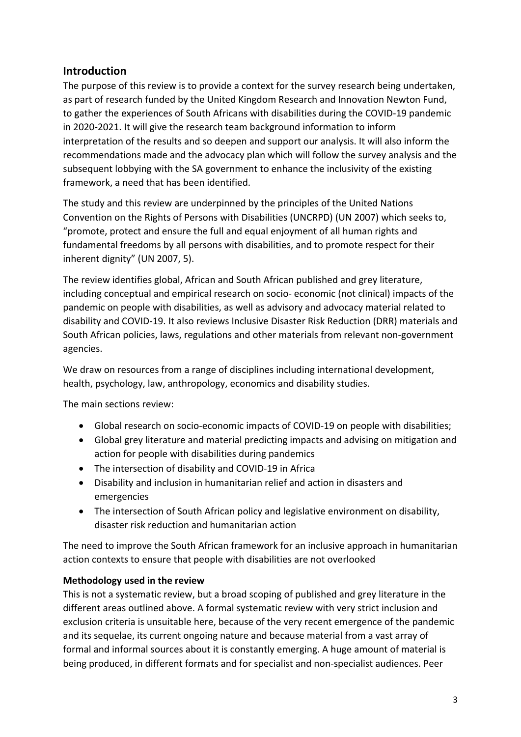## <span id="page-2-0"></span>**Introduction**

The purpose of this review is to provide a context for the survey research being undertaken, as part of research funded by the United Kingdom Research and Innovation Newton Fund, to gather the experiences of South Africans with disabilities during the COVID-19 pandemic in 2020-2021. It will give the research team background information to inform interpretation of the results and so deepen and support our analysis. It will also inform the recommendations made and the advocacy plan which will follow the survey analysis and the subsequent lobbying with the SA government to enhance the inclusivity of the existing framework, a need that has been identified.

The study and this review are underpinned by the principles of the United Nations Convention on the Rights of Persons with Disabilities (UNCRPD) (UN 2007) which seeks to, "promote, protect and ensure the full and equal enjoyment of all human rights and fundamental freedoms by all persons with disabilities, and to promote respect for their inherent dignity" (UN 2007, 5).

The review identifies global, African and South African published and grey literature, including conceptual and empirical research on socio- economic (not clinical) impacts of the pandemic on people with disabilities, as well as advisory and advocacy material related to disability and COVID-19. It also reviews Inclusive Disaster Risk Reduction (DRR) materials and South African policies, laws, regulations and other materials from relevant non-government agencies.

We draw on resources from a range of disciplines including international development, health, psychology, law, anthropology, economics and disability studies.

The main sections review:

- Global research on socio-economic impacts of COVID-19 on people with disabilities;
- Global grey literature and material predicting impacts and advising on mitigation and action for people with disabilities during pandemics
- The intersection of disability and COVID-19 in Africa
- Disability and inclusion in humanitarian relief and action in disasters and emergencies
- The intersection of South African policy and legislative environment on disability, disaster risk reduction and humanitarian action

The need to improve the South African framework for an inclusive approach in humanitarian action contexts to ensure that people with disabilities are not overlooked

#### <span id="page-2-1"></span>**Methodology used in the review**

This is not a systematic review, but a broad scoping of published and grey literature in the different areas outlined above. A formal systematic review with very strict inclusion and exclusion criteria is unsuitable here, because of the very recent emergence of the pandemic and its sequelae, its current ongoing nature and because material from a vast array of formal and informal sources about it is constantly emerging. A huge amount of material is being produced, in different formats and for specialist and non-specialist audiences. Peer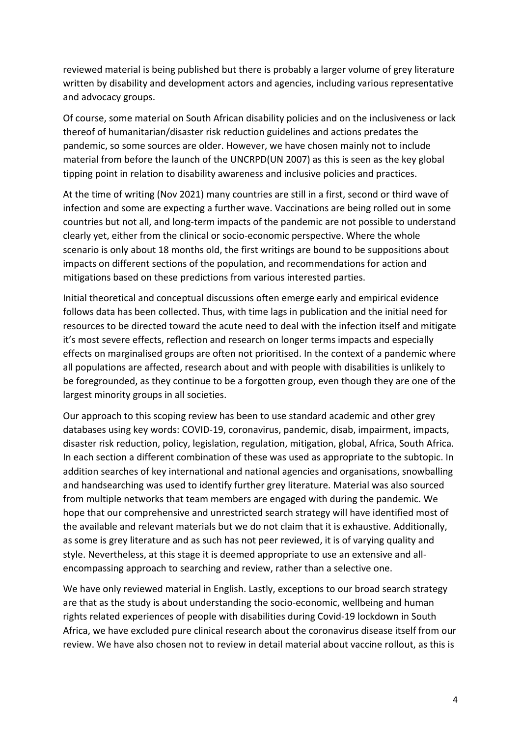reviewed material is being published but there is probably a larger volume of grey literature written by disability and development actors and agencies, including various representative and advocacy groups.

Of course, some material on South African disability policies and on the inclusiveness or lack thereof of humanitarian/disaster risk reduction guidelines and actions predates the pandemic, so some sources are older. However, we have chosen mainly not to include material from before the launch of the UNCRPD(UN 2007) as this is seen as the key global tipping point in relation to disability awareness and inclusive policies and practices.

At the time of writing (Nov 2021) many countries are still in a first, second or third wave of infection and some are expecting a further wave. Vaccinations are being rolled out in some countries but not all, and long-term impacts of the pandemic are not possible to understand clearly yet, either from the clinical or socio-economic perspective. Where the whole scenario is only about 18 months old, the first writings are bound to be suppositions about impacts on different sections of the population, and recommendations for action and mitigations based on these predictions from various interested parties.

Initial theoretical and conceptual discussions often emerge early and empirical evidence follows data has been collected. Thus, with time lags in publication and the initial need for resources to be directed toward the acute need to deal with the infection itself and mitigate it's most severe effects, reflection and research on longer terms impacts and especially effects on marginalised groups are often not prioritised. In the context of a pandemic where all populations are affected, research about and with people with disabilities is unlikely to be foregrounded, as they continue to be a forgotten group, even though they are one of the largest minority groups in all societies.

Our approach to this scoping review has been to use standard academic and other grey databases using key words: COVID-19, coronavirus, pandemic, disab, impairment, impacts, disaster risk reduction, policy, legislation, regulation, mitigation, global, Africa, South Africa. In each section a different combination of these was used as appropriate to the subtopic. In addition searches of key international and national agencies and organisations, snowballing and handsearching was used to identify further grey literature. Material was also sourced from multiple networks that team members are engaged with during the pandemic. We hope that our comprehensive and unrestricted search strategy will have identified most of the available and relevant materials but we do not claim that it is exhaustive. Additionally, as some is grey literature and as such has not peer reviewed, it is of varying quality and style. Nevertheless, at this stage it is deemed appropriate to use an extensive and allencompassing approach to searching and review, rather than a selective one.

We have only reviewed material in English. Lastly, exceptions to our broad search strategy are that as the study is about understanding the socio-economic, wellbeing and human rights related experiences of people with disabilities during Covid-19 lockdown in South Africa, we have excluded pure clinical research about the coronavirus disease itself from our review. We have also chosen not to review in detail material about vaccine rollout, as this is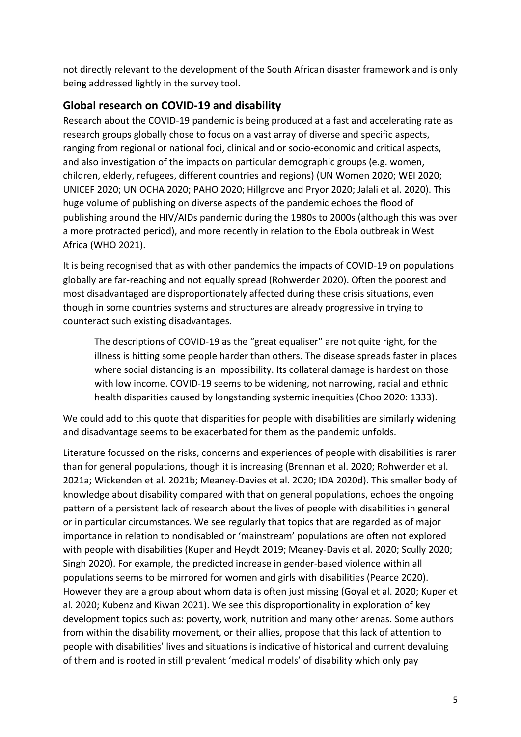not directly relevant to the development of the South African disaster framework and is only being addressed lightly in the survey tool.

## <span id="page-4-0"></span>**Global research on COVID-19 and disability**

Research about the COVID-19 pandemic is being produced at a fast and accelerating rate as research groups globally chose to focus on a vast array of diverse and specific aspects, ranging from regional or national foci, clinical and or socio-economic and critical aspects, and also investigation of the impacts on particular demographic groups (e.g. women, children, elderly, refugees, different countries and regions) (UN Women 2020; WEI 2020; UNICEF 2020; UN OCHA 2020; PAHO 2020; Hillgrove and Pryor 2020; Jalali et al. 2020). This huge volume of publishing on diverse aspects of the pandemic echoes the flood of publishing around the HIV/AIDs pandemic during the 1980s to 2000s (although this was over a more protracted period), and more recently in relation to the Ebola outbreak in West Africa (WHO 2021).

It is being recognised that as with other pandemics the impacts of COVID-19 on populations globally are far-reaching and not equally spread (Rohwerder 2020). Often the poorest and most disadvantaged are disproportionately affected during these crisis situations, even though in some countries systems and structures are already progressive in trying to counteract such existing disadvantages.

The descriptions of COVID-19 as the "great equaliser" are not quite right, for the illness is hitting some people harder than others. The disease spreads faster in places where social distancing is an impossibility. Its collateral damage is hardest on those with low income. COVID-19 seems to be widening, not narrowing, racial and ethnic health disparities caused by longstanding systemic inequities (Choo 2020: 1333).

We could add to this quote that disparities for people with disabilities are similarly widening and disadvantage seems to be exacerbated for them as the pandemic unfolds.

Literature focussed on the risks, concerns and experiences of people with disabilities is rarer than for general populations, though it is increasing (Brennan et al. 2020; Rohwerder et al. 2021a; Wickenden et al. 2021b; Meaney-Davies et al. 2020; IDA 2020d). This smaller body of knowledge about disability compared with that on general populations, echoes the ongoing pattern of a persistent lack of research about the lives of people with disabilities in general or in particular circumstances. We see regularly that topics that are regarded as of major importance in relation to nondisabled or 'mainstream' populations are often not explored with people with disabilities (Kuper and Heydt 2019; Meaney-Davis et al. 2020; Scully 2020; Singh 2020). For example, the predicted increase in gender-based violence within all populations seems to be mirrored for women and girls with disabilities (Pearce 2020). However they are a group about whom data is often just missing (Goyal et al. 2020; Kuper et al. 2020; Kubenz and Kiwan 2021). We see this disproportionality in exploration of key development topics such as: poverty, work, nutrition and many other arenas. Some authors from within the disability movement, or their allies, propose that this lack of attention to people with disabilities' lives and situations is indicative of historical and current devaluing of them and is rooted in still prevalent 'medical models' of disability which only pay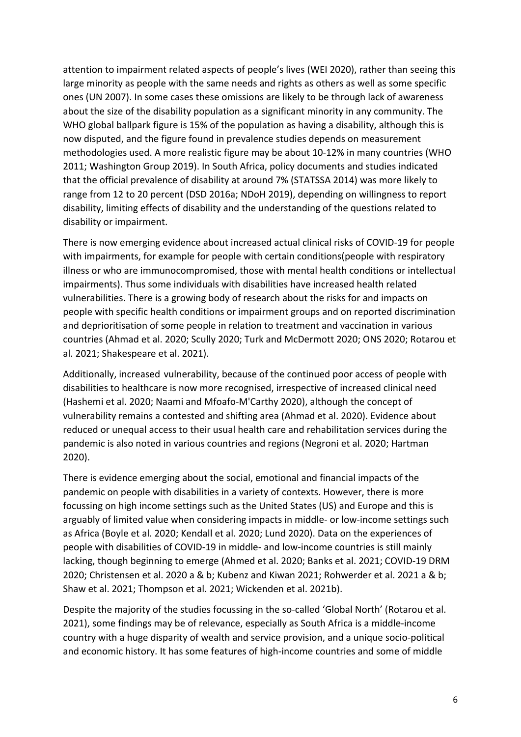attention to impairment related aspects of people's lives (WEI 2020), rather than seeing this large minority as people with the same needs and rights as others as well as some specific ones (UN 2007). In some cases these omissions are likely to be through lack of awareness about the size of the disability population as a significant minority in any community. The WHO global ballpark figure is 15% of the population as having a disability, although this is now disputed, and the figure found in prevalence studies depends on measurement methodologies used. A more realistic figure may be about 10-12% in many countries (WHO 2011; Washington Group 2019). In South Africa, policy documents and studies indicated that the official prevalence of disability at around 7% (STATSSA 2014) was more likely to range from 12 to 20 percent (DSD 2016a; NDoH 2019), depending on willingness to report disability, limiting effects of disability and the understanding of the questions related to disability or impairment.

There is now emerging evidence about increased actual clinical risks of COVID-19 for people with impairments, for example for people with certain conditions(people with respiratory illness or who are immunocompromised, those with mental health conditions or intellectual impairments). Thus some individuals with disabilities have increased health related vulnerabilities. There is a growing body of research about the risks for and impacts on people with specific health conditions or impairment groups and on reported discrimination and deprioritisation of some people in relation to treatment and vaccination in various countries (Ahmad et al. 2020; Scully 2020; Turk and McDermott 2020; ONS 2020; Rotarou et al. 2021; Shakespeare et al. 2021).

Additionally, increased vulnerability, because of the continued poor access of people with disabilities to healthcare is now more recognised, irrespective of increased clinical need (Hashemi et al. 2020; Naami and Mfoafo-M'Carthy 2020), although the concept of vulnerability remains a contested and shifting area (Ahmad et al. 2020). Evidence about reduced or unequal access to their usual health care and rehabilitation services during the pandemic is also noted in various countries and regions (Negroni et al. 2020; Hartman 2020).

There is evidence emerging about the social, emotional and financial impacts of the pandemic on people with disabilities in a variety of contexts. However, there is more focussing on high income settings such as the United States (US) and Europe and this is arguably of limited value when considering impacts in middle- or low-income settings such as Africa (Boyle et al. 2020; Kendall et al. 2020; Lund 2020). Data on the experiences of people with disabilities of COVID-19 in middle- and low-income countries is still mainly lacking, though beginning to emerge (Ahmed et al. 2020; Banks et al. 2021; COVID-19 DRM 2020; Christensen et al. 2020 a & b; Kubenz and Kiwan 2021; Rohwerder et al. 2021 a & b; Shaw et al. 2021; Thompson et al. 2021; Wickenden et al. 2021b).

Despite the majority of the studies focussing in the so-called 'Global North' (Rotarou et al. 2021), some findings may be of relevance, especially as South Africa is a middle-income country with a huge disparity of wealth and service provision, and a unique socio-political and economic history. It has some features of high-income countries and some of middle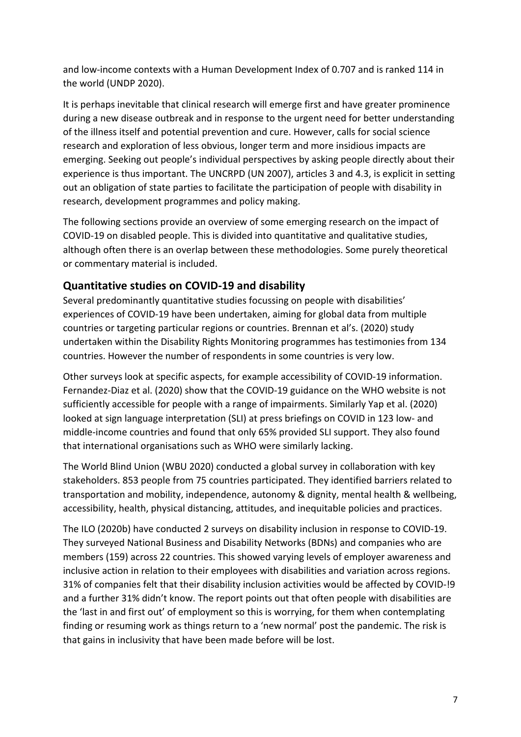and low-income contexts with a Human Development Index of 0.707 and is ranked 114 in the world (UNDP 2020).

It is perhaps inevitable that clinical research will emerge first and have greater prominence during a new disease outbreak and in response to the urgent need for better understanding of the illness itself and potential prevention and cure. However, calls for social science research and exploration of less obvious, longer term and more insidious impacts are emerging. Seeking out people's individual perspectives by asking people directly about their experience is thus important. The UNCRPD (UN 2007), articles 3 and 4.3, is explicit in setting out an obligation of state parties to facilitate the participation of people with disability in research, development programmes and policy making.

The following sections provide an overview of some emerging research on the impact of COVID-19 on disabled people. This is divided into quantitative and qualitative studies, although often there is an overlap between these methodologies. Some purely theoretical or commentary material is included.

## <span id="page-6-0"></span>**Quantitative studies on COVID-19 and disability**

Several predominantly quantitative studies focussing on people with disabilities' experiences of COVID-19 have been undertaken, aiming for global data from multiple countries or targeting particular regions or countries. Brennan et al's. (2020) study undertaken within the Disability Rights Monitoring programmes has testimonies from 134 countries. However the number of respondents in some countries is very low.

Other surveys look at specific aspects, for example accessibility of COVID-19 information. Fernandez-Diaz et al. (2020) show that the COVID-19 guidance on the WHO website is not sufficiently accessible for people with a range of impairments. Similarly Yap et al. (2020) looked at sign language interpretation (SLI) at press briefings on COVID in 123 low- and middle-income countries and found that only 65% provided SLI support. They also found that international organisations such as WHO were similarly lacking.

The World Blind Union (WBU 2020) conducted a global survey in collaboration with key stakeholders. 853 people from 75 countries participated. They identified barriers related to transportation and mobility, independence, autonomy & dignity, mental health & wellbeing, accessibility, health, physical distancing, attitudes, and inequitable policies and practices.

The ILO (2020b) have conducted 2 surveys on disability inclusion in response to COVID-19. They surveyed National Business and Disability Networks (BDNs) and companies who are members (159) across 22 countries. This showed varying levels of employer awareness and inclusive action in relation to their employees with disabilities and variation across regions. 31% of companies felt that their disability inclusion activities would be affected by COVID-!9 and a further 31% didn't know. The report points out that often people with disabilities are the 'last in and first out' of employment so this is worrying, for them when contemplating finding or resuming work as things return to a 'new normal' post the pandemic. The risk is that gains in inclusivity that have been made before will be lost.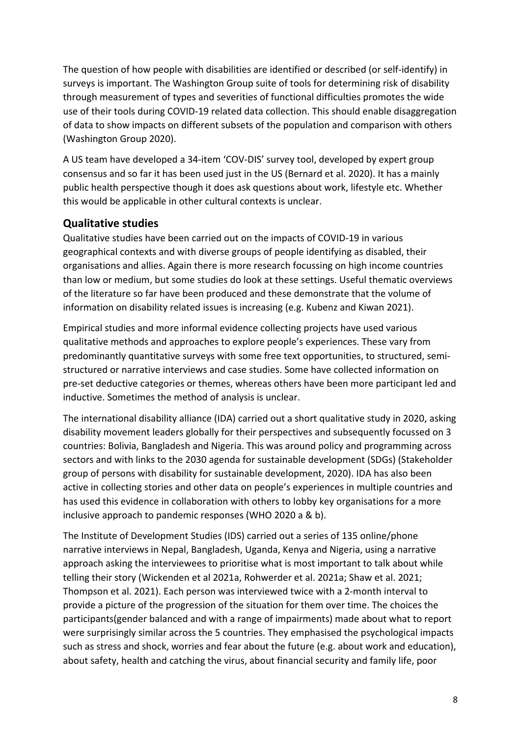The question of how people with disabilities are identified or described (or self-identify) in surveys is important. The Washington Group suite of tools for determining risk of disability through measurement of types and severities of functional difficulties promotes the wide use of their tools during COVID-19 related data collection. This should enable disaggregation of data to show impacts on different subsets of the population and comparison with others (Washington Group 2020).

A US team have developed a 34-item 'COV-DIS' survey tool, developed by expert group consensus and so far it has been used just in the US (Bernard et al. 2020). It has a mainly public health perspective though it does ask questions about work, lifestyle etc. Whether this would be applicable in other cultural contexts is unclear.

## <span id="page-7-0"></span>**Qualitative studies**

Qualitative studies have been carried out on the impacts of COVID-19 in various geographical contexts and with diverse groups of people identifying as disabled, their organisations and allies. Again there is more research focussing on high income countries than low or medium, but some studies do look at these settings. Useful thematic overviews of the literature so far have been produced and these demonstrate that the volume of information on disability related issues is increasing (e.g. Kubenz and Kiwan 2021).

Empirical studies and more informal evidence collecting projects have used various qualitative methods and approaches to explore people's experiences. These vary from predominantly quantitative surveys with some free text opportunities, to structured, semistructured or narrative interviews and case studies. Some have collected information on pre-set deductive categories or themes, whereas others have been more participant led and inductive. Sometimes the method of analysis is unclear.

The international disability alliance (IDA) carried out a short qualitative study in 2020, asking disability movement leaders globally for their perspectives and subsequently focussed on 3 countries: Bolivia, Bangladesh and Nigeria. This was around policy and programming across sectors and with links to the 2030 agenda for sustainable development (SDGs) (Stakeholder group of persons with disability for sustainable development, 2020). IDA has also been active in collecting stories and other data on people's experiences in multiple countries and has used this evidence in collaboration with others to lobby key organisations for a more inclusive approach to pandemic responses (WHO 2020 a & b).

The Institute of Development Studies (IDS) carried out a series of 135 online/phone narrative interviews in Nepal, Bangladesh, Uganda, Kenya and Nigeria, using a narrative approach asking the interviewees to prioritise what is most important to talk about while telling their story (Wickenden et al 2021a, Rohwerder et al. 2021a; Shaw et al. 2021; Thompson et al. 2021). Each person was interviewed twice with a 2-month interval to provide a picture of the progression of the situation for them over time. The choices the participants(gender balanced and with a range of impairments) made about what to report were surprisingly similar across the 5 countries. They emphasised the psychological impacts such as stress and shock, worries and fear about the future (e.g. about work and education), about safety, health and catching the virus, about financial security and family life, poor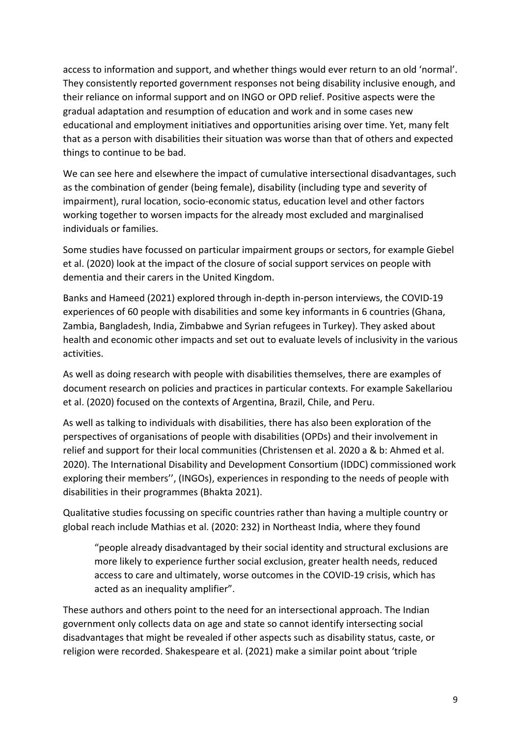access to information and support, and whether things would ever return to an old 'normal'. They consistently reported government responses not being disability inclusive enough, and their reliance on informal support and on INGO or OPD relief. Positive aspects were the gradual adaptation and resumption of education and work and in some cases new educational and employment initiatives and opportunities arising over time. Yet, many felt that as a person with disabilities their situation was worse than that of others and expected things to continue to be bad.

We can see here and elsewhere the impact of cumulative intersectional disadvantages, such as the combination of gender (being female), disability (including type and severity of impairment), rural location, socio-economic status, education level and other factors working together to worsen impacts for the already most excluded and marginalised individuals or families.

Some studies have focussed on particular impairment groups or sectors, for example Giebel et al. (2020) look at the impact of the closure of social support services on people with dementia and their carers in the United Kingdom.

Banks and Hameed (2021) explored through in-depth in-person interviews, the COVID-19 experiences of 60 people with disabilities and some key informants in 6 countries (Ghana, Zambia, Bangladesh, India, Zimbabwe and Syrian refugees in Turkey). They asked about health and economic other impacts and set out to evaluate levels of inclusivity in the various activities.

As well as doing research with people with disabilities themselves, there are examples of document research on policies and practices in particular contexts. For example Sakellariou et al. (2020) focused on the contexts of Argentina, Brazil, Chile, and Peru.

As well as talking to individuals with disabilities, there has also been exploration of the perspectives of organisations of people with disabilities (OPDs) and their involvement in relief and support for their local communities (Christensen et al. 2020 a & b: Ahmed et al. 2020). The International Disability and Development Consortium (IDDC) commissioned work exploring their members'', (INGOs), experiences in responding to the needs of people with disabilities in their programmes (Bhakta 2021).

Qualitative studies focussing on specific countries rather than having a multiple country or global reach include Mathias et al. (2020: 232) in Northeast India, where they found

"people already disadvantaged by their social identity and structural exclusions are more likely to experience further social exclusion, greater health needs, reduced access to care and ultimately, worse outcomes in the COVID-19 crisis, which has acted as an inequality amplifier".

These authors and others point to the need for an intersectional approach. The Indian government only collects data on age and state so cannot identify intersecting social disadvantages that might be revealed if other aspects such as disability status, caste, or religion were recorded. Shakespeare et al. (2021) make a similar point about 'triple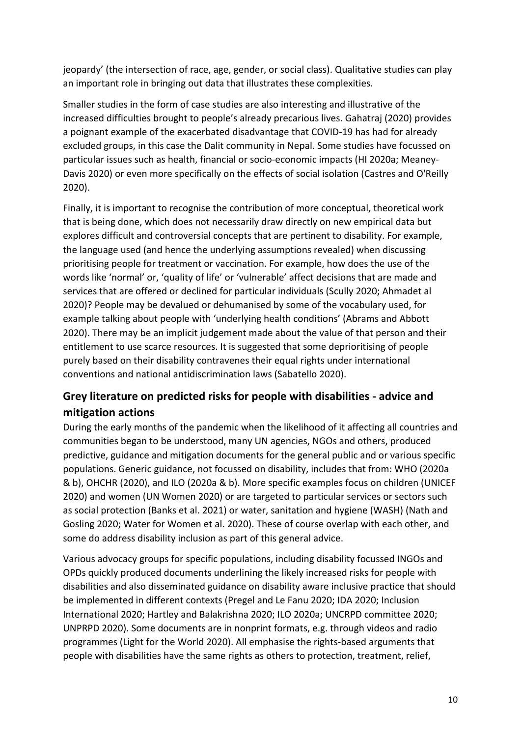jeopardy' (the intersection of race, age, gender, or social class). Qualitative studies can play an important role in bringing out data that illustrates these complexities.

Smaller studies in the form of case studies are also interesting and illustrative of the increased difficulties brought to people's already precarious lives. Gahatraj (2020) provides a poignant example of the exacerbated disadvantage that COVID-19 has had for already excluded groups, in this case the Dalit community in Nepal. Some studies have focussed on particular issues such as health, financial or socio-economic impacts (HI 2020a; Meaney-Davis 2020) or even more specifically on the effects of social isolation (Castres and O'Reilly 2020).

Finally, it is important to recognise the contribution of more conceptual, theoretical work that is being done, which does not necessarily draw directly on new empirical data but explores difficult and controversial concepts that are pertinent to disability. For example, the language used (and hence the underlying assumptions revealed) when discussing prioritising people for treatment or vaccination. For example, how does the use of the words like 'normal' or, 'quality of life' or 'vulnerable' affect decisions that are made and services that are offered or declined for particular individuals (Scully 2020; Ahmadet al 2020)? People may be devalued or dehumanised by some of the vocabulary used, for example talking about people with 'underlying health conditions' (Abrams and Abbott 2020). There may be an implicit judgement made about the value of that person and their entitlement to use scarce resources. It is suggested that some deprioritising of people purely based on their disability contravenes their equal rights under international conventions and national antidiscrimination laws (Sabatello 2020).

## <span id="page-9-0"></span>**Grey literature on predicted risks for people with disabilities - advice and mitigation actions**

During the early months of the pandemic when the likelihood of it affecting all countries and communities began to be understood, many UN agencies, NGOs and others, produced predictive, guidance and mitigation documents for the general public and or various specific populations. Generic guidance, not focussed on disability, includes that from: WHO (2020a & b), OHCHR (2020), and ILO (2020a & b). More specific examples focus on children (UNICEF 2020) and women (UN Women 2020) or are targeted to particular services or sectors such as social protection (Banks et al. 2021) or water, sanitation and hygiene (WASH) (Nath and Gosling 2020; Water for Women et al. 2020). These of course overlap with each other, and some do address disability inclusion as part of this general advice.

Various advocacy groups for specific populations, including disability focussed INGOs and OPDs quickly produced documents underlining the likely increased risks for people with disabilities and also disseminated guidance on disability aware inclusive practice that should be implemented in different contexts (Pregel and Le Fanu 2020; IDA 2020; Inclusion International 2020; Hartley and Balakrishna 2020; ILO 2020a; UNCRPD committee 2020; UNPRPD 2020). Some documents are in nonprint formats, e.g. through videos and radio programmes (Light for the World 2020). All emphasise the rights-based arguments that people with disabilities have the same rights as others to protection, treatment, relief,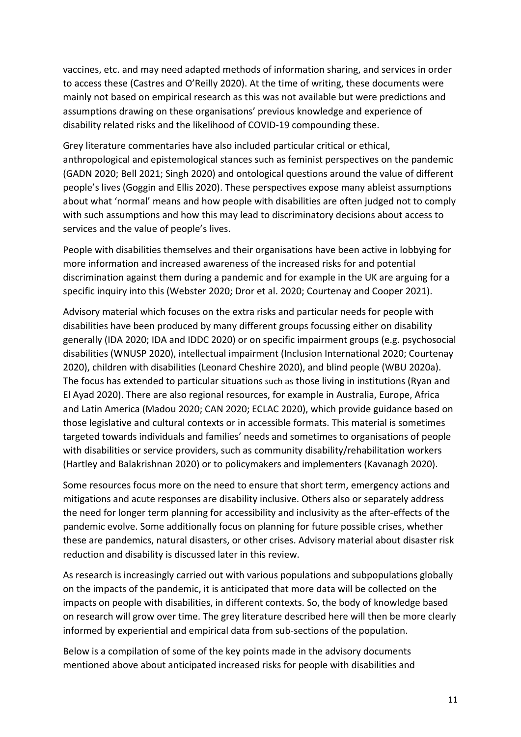vaccines, etc. and may need adapted methods of information sharing, and services in order to access these (Castres and O'Reilly 2020). At the time of writing, these documents were mainly not based on empirical research as this was not available but were predictions and assumptions drawing on these organisations' previous knowledge and experience of disability related risks and the likelihood of COVID-19 compounding these.

Grey literature commentaries have also included particular critical or ethical, anthropological and epistemological stances such as feminist perspectives on the pandemic (GADN 2020; Bell 2021; Singh 2020) and ontological questions around the value of different people's lives (Goggin and Ellis 2020). These perspectives expose many ableist assumptions about what 'normal' means and how people with disabilities are often judged not to comply with such assumptions and how this may lead to discriminatory decisions about access to services and the value of people's lives.

People with disabilities themselves and their organisations have been active in lobbying for more information and increased awareness of the increased risks for and potential discrimination against them during a pandemic and for example in the UK are arguing for a specific inquiry into this (Webster 2020; Dror et al. 2020; Courtenay and Cooper 2021).

Advisory material which focuses on the extra risks and particular needs for people with disabilities have been produced by many different groups focussing either on disability generally (IDA 2020; IDA and IDDC 2020) or on specific impairment groups (e.g. psychosocial disabilities (WNUSP 2020), intellectual impairment (Inclusion International 2020; Courtenay 2020), children with disabilities (Leonard Cheshire 2020), and blind people (WBU 2020a). The focus has extended to particular situations such as those living in institutions (Ryan and El Ayad 2020). There are also regional resources, for example in Australia, Europe, Africa and Latin America (Madou 2020; CAN 2020; ECLAC 2020), which provide guidance based on those legislative and cultural contexts or in accessible formats. This material is sometimes targeted towards individuals and families' needs and sometimes to organisations of people with disabilities or service providers, such as community disability/rehabilitation workers (Hartley and Balakrishnan 2020) or to policymakers and implementers (Kavanagh 2020).

Some resources focus more on the need to ensure that short term, emergency actions and mitigations and acute responses are disability inclusive. Others also or separately address the need for longer term planning for accessibility and inclusivity as the after-effects of the pandemic evolve. Some additionally focus on planning for future possible crises, whether these are pandemics, natural disasters, or other crises. Advisory material about disaster risk reduction and disability is discussed later in this review.

As research is increasingly carried out with various populations and subpopulations globally on the impacts of the pandemic, it is anticipated that more data will be collected on the impacts on people with disabilities, in different contexts. So, the body of knowledge based on research will grow over time. The grey literature described here will then be more clearly informed by experiential and empirical data from sub-sections of the population.

Below is a compilation of some of the key points made in the advisory documents mentioned above about anticipated increased risks for people with disabilities and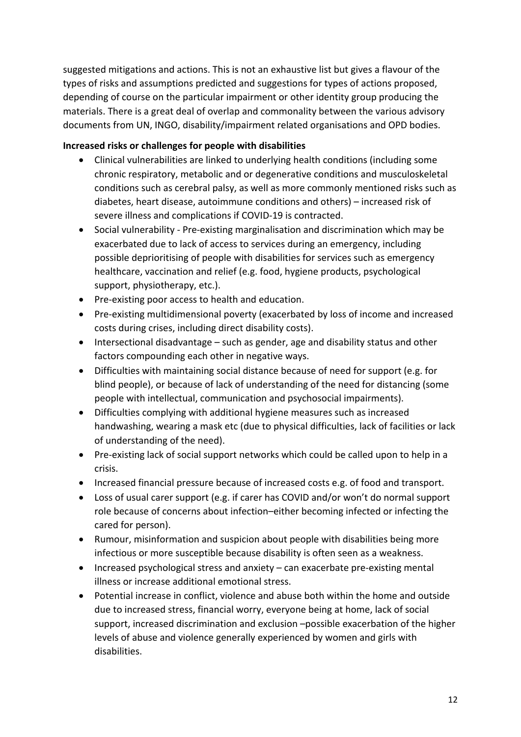suggested mitigations and actions. This is not an exhaustive list but gives a flavour of the types of risks and assumptions predicted and suggestions for types of actions proposed, depending of course on the particular impairment or other identity group producing the materials. There is a great deal of overlap and commonality between the various advisory documents from UN, INGO, disability/impairment related organisations and OPD bodies.

#### <span id="page-11-0"></span>**Increased risks or challenges for people with disabilities**

- Clinical vulnerabilities are linked to underlying health conditions (including some chronic respiratory, metabolic and or degenerative conditions and musculoskeletal conditions such as cerebral palsy, as well as more commonly mentioned risks such as diabetes, heart disease, autoimmune conditions and others) – increased risk of severe illness and complications if COVID-19 is contracted.
- Social vulnerability Pre-existing marginalisation and discrimination which may be exacerbated due to lack of access to services during an emergency, including possible deprioritising of people with disabilities for services such as emergency healthcare, vaccination and relief (e.g. food, hygiene products, psychological support, physiotherapy, etc.).
- Pre-existing poor access to health and education.
- Pre-existing multidimensional poverty (exacerbated by loss of income and increased costs during crises, including direct disability costs).
- Intersectional disadvantage such as gender, age and disability status and other factors compounding each other in negative ways.
- Difficulties with maintaining social distance because of need for support (e.g. for blind people), or because of lack of understanding of the need for distancing (some people with intellectual, communication and psychosocial impairments).
- Difficulties complying with additional hygiene measures such as increased handwashing, wearing a mask etc (due to physical difficulties, lack of facilities or lack of understanding of the need).
- Pre-existing lack of social support networks which could be called upon to help in a crisis.
- Increased financial pressure because of increased costs e.g. of food and transport.
- Loss of usual carer support (e.g. if carer has COVID and/or won't do normal support role because of concerns about infection–either becoming infected or infecting the cared for person).
- Rumour, misinformation and suspicion about people with disabilities being more infectious or more susceptible because disability is often seen as a weakness.
- Increased psychological stress and anxiety can exacerbate pre-existing mental illness or increase additional emotional stress.
- Potential increase in conflict, violence and abuse both within the home and outside due to increased stress, financial worry, everyone being at home, lack of social support, increased discrimination and exclusion –possible exacerbation of the higher levels of abuse and violence generally experienced by women and girls with disabilities.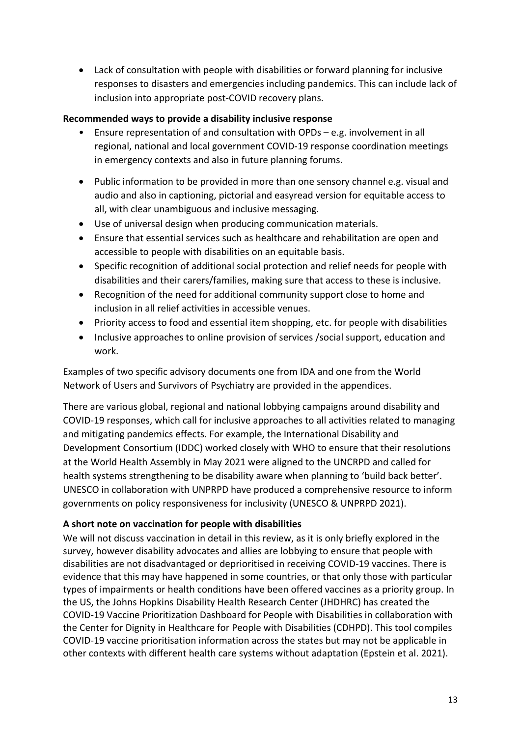• Lack of consultation with people with disabilities or forward planning for inclusive responses to disasters and emergencies including pandemics. This can include lack of inclusion into appropriate post-COVID recovery plans.

#### <span id="page-12-0"></span>**Recommended ways to provide a disability inclusive response**

- Ensure representation of and consultation with OPDs  $-$  e.g. involvement in all regional, national and local government COVID-19 response coordination meetings in emergency contexts and also in future planning forums.
- Public information to be provided in more than one sensory channel e.g. visual and audio and also in captioning, pictorial and easyread version for equitable access to all, with clear unambiguous and inclusive messaging.
- Use of universal design when producing communication materials.
- Ensure that essential services such as healthcare and rehabilitation are open and accessible to people with disabilities on an equitable basis.
- Specific recognition of additional social protection and relief needs for people with disabilities and their carers/families, making sure that access to these is inclusive.
- Recognition of the need for additional community support close to home and inclusion in all relief activities in accessible venues.
- Priority access to food and essential item shopping, etc. for people with disabilities
- Inclusive approaches to online provision of services /social support, education and work.

Examples of two specific advisory documents one from IDA and one from the World Network of Users and Survivors of Psychiatry are provided in the appendices.

There are various global, regional and national lobbying campaigns around disability and COVID-19 responses, which call for inclusive approaches to all activities related to managing and mitigating pandemics effects. For example, the International Disability and Development Consortium (IDDC) worked closely with WHO to ensure that their resolutions at the World Health Assembly in May 2021 were aligned to the UNCRPD and called for health systems strengthening to be disability aware when planning to 'build back better'. UNESCO in collaboration with UNPRPD have produced a comprehensive resource to inform governments on policy responsiveness for inclusivity (UNESCO & UNPRPD 2021).

#### <span id="page-12-1"></span>**A short note on vaccination for people with disabilities**

We will not discuss vaccination in detail in this review, as it is only briefly explored in the survey, however disability advocates and allies are lobbying to ensure that people with disabilities are not disadvantaged or deprioritised in receiving COVID-19 vaccines. There is evidence that this may have happened in some countries, or that only those with particular types of impairments or health conditions have been offered vaccines as a priority group. In the US, the Johns Hopkins Disability Health Research Center (JHDHRC) has created the COVID-19 Vaccine Prioritization Dashboard for People with Disabilities in collaboration with the Center for Dignity in Healthcare for People with Disabilities (CDHPD). This tool compiles COVID-19 vaccine prioritisation information across the states but may not be applicable in other contexts with different health care systems without adaptation (Epstein et al. 2021).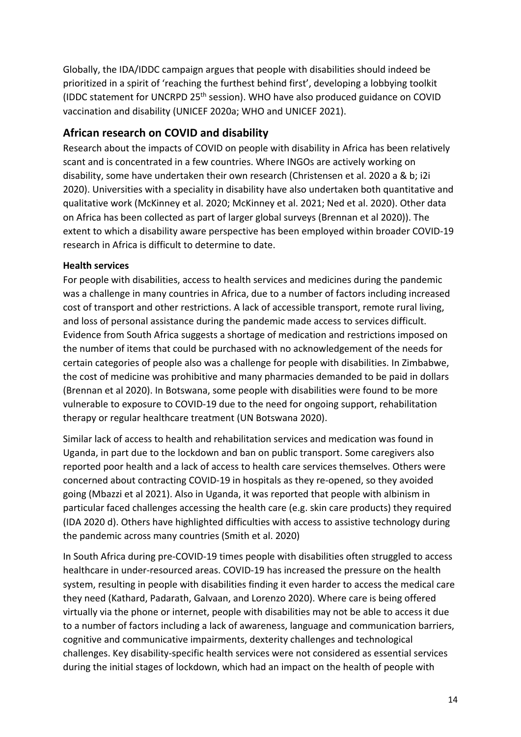Globally, the IDA/IDDC campaign argues that people with disabilities should indeed be prioritized in a spirit of 'reaching the furthest behind first', developing a lobbying toolkit (IDDC statement for UNCRPD 25<sup>th</sup> session). WHO have also produced guidance on COVID vaccination and disability (UNICEF 2020a; WHO and UNICEF 2021).

## <span id="page-13-0"></span>**African research on COVID and disability**

Research about the impacts of COVID on people with disability in Africa has been relatively scant and is concentrated in a few countries. Where INGOs are actively working on disability, some have undertaken their own research (Christensen et al. 2020 a & b; i2i 2020). Universities with a speciality in disability have also undertaken both quantitative and qualitative work (McKinney et al. 2020; McKinney et al. 2021; Ned et al. 2020). Other data on Africa has been collected as part of larger global surveys (Brennan et al 2020)). The extent to which a disability aware perspective has been employed within broader COVID-19 research in Africa is difficult to determine to date.

#### <span id="page-13-1"></span>**Health services**

For people with disabilities, access to health services and medicines during the pandemic was a challenge in many countries in Africa, due to a number of factors including increased cost of transport and other restrictions. A lack of accessible transport, remote rural living, and loss of personal assistance during the pandemic made access to services difficult. Evidence from South Africa suggests a shortage of medication and restrictions imposed on the number of items that could be purchased with no acknowledgement of the needs for certain categories of people also was a challenge for people with disabilities. In Zimbabwe, the cost of medicine was prohibitive and many pharmacies demanded to be paid in dollars (Brennan et al 2020). In Botswana, some people with disabilities were found to be more vulnerable to exposure to COVID-19 due to the need for ongoing support, rehabilitation therapy or regular healthcare treatment (UN Botswana 2020).

Similar lack of access to health and rehabilitation services and medication was found in Uganda, in part due to the lockdown and ban on public transport. Some caregivers also reported poor health and a lack of access to health care services themselves. Others were concerned about contracting COVID-19 in hospitals as they re-opened, so they avoided going (Mbazzi et al 2021). Also in Uganda, it was reported that people with albinism in particular faced challenges accessing the health care (e.g. skin care products) they required (IDA 2020 d). Others have highlighted difficulties with access to assistive technology during the pandemic across many countries (Smith et al. 2020)

In South Africa during pre-COVID-19 times people with disabilities often struggled to access healthcare in under-resourced areas. COVID-19 has increased the pressure on the health system, resulting in people with disabilities finding it even harder to access the medical care they need (Kathard, Padarath, Galvaan, and Lorenzo 2020). Where care is being offered virtually via the phone or internet, people with disabilities may not be able to access it due to a number of factors including a lack of awareness, language and communication barriers, cognitive and communicative impairments, dexterity challenges and technological challenges. Key disability-specific health services were not considered as essential services during the initial stages of lockdown, which had an impact on the health of people with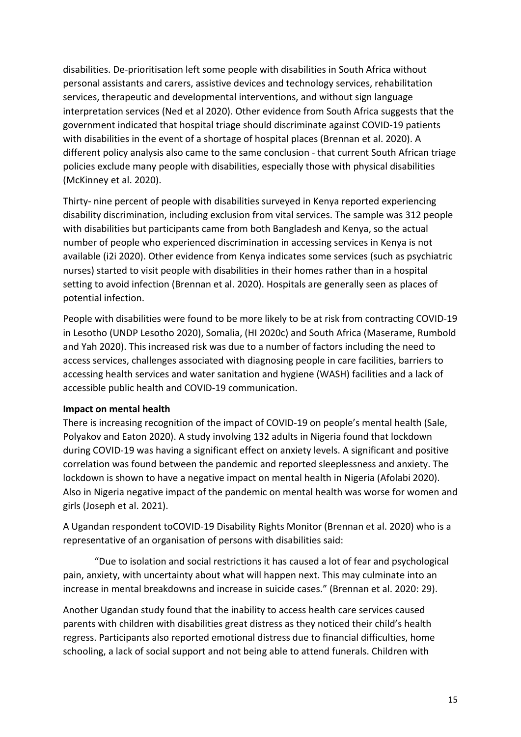disabilities. De-prioritisation left some people with disabilities in South Africa without personal assistants and carers, assistive devices and technology services, rehabilitation services, therapeutic and developmental interventions, and without sign language interpretation services (Ned et al 2020). Other evidence from South Africa suggests that the government indicated that hospital triage should discriminate against COVID-19 patients with disabilities in the event of a shortage of hospital places (Brennan et al. 2020). A different policy analysis also came to the same conclusion - that current South African triage policies exclude many people with disabilities, especially those with physical disabilities (McKinney et al. 2020).

Thirty- nine percent of people with disabilities surveyed in Kenya reported experiencing disability discrimination, including exclusion from vital services. The sample was 312 people with disabilities but participants came from both Bangladesh and Kenya, so the actual number of people who experienced discrimination in accessing services in Kenya is not available (i2i 2020). Other evidence from Kenya indicates some services (such as psychiatric nurses) started to visit people with disabilities in their homes rather than in a hospital setting to avoid infection (Brennan et al. 2020). Hospitals are generally seen as places of potential infection.

People with disabilities were found to be more likely to be at risk from contracting COVID-19 in Lesotho (UNDP Lesotho 2020), Somalia, (HI 2020c) and South Africa (Maserame, Rumbold and Yah 2020). This increased risk was due to a number of factors including the need to access services, challenges associated with diagnosing people in care facilities, barriers to accessing health services and water sanitation and hygiene (WASH) facilities and a lack of accessible public health and COVID-19 communication.

#### <span id="page-14-0"></span>**Impact on mental health**

There is increasing recognition of the impact of COVID-19 on people's mental health (Sale, Polyakov and Eaton 2020). A study involving 132 adults in Nigeria found that lockdown during COVID-19 was having a significant effect on anxiety levels. A significant and positive correlation was found between the pandemic and reported sleeplessness and anxiety. The lockdown is shown to have a negative impact on mental health in Nigeria (Afolabi 2020). Also in Nigeria negative impact of the pandemic on mental health was worse for women and girls (Joseph et al. 2021).

A Ugandan respondent toCOVID-19 Disability Rights Monitor (Brennan et al. 2020) who is a representative of an organisation of persons with disabilities said:

"Due to isolation and social restrictions it has caused a lot of fear and psychological pain, anxiety, with uncertainty about what will happen next. This may culminate into an increase in mental breakdowns and increase in suicide cases." (Brennan et al. 2020: 29).

Another Ugandan study found that the inability to access health care services caused parents with children with disabilities great distress as they noticed their child's health regress. Participants also reported emotional distress due to financial difficulties, home schooling, a lack of social support and not being able to attend funerals. Children with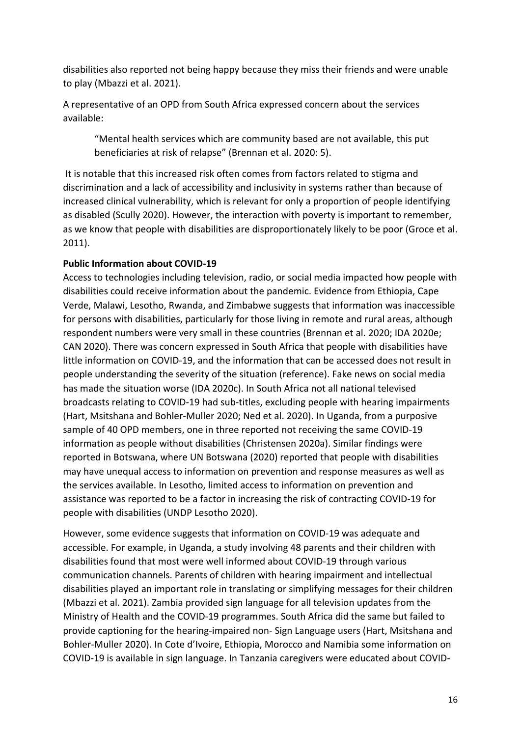disabilities also reported not being happy because they miss their friends and were unable to play (Mbazzi et al. 2021).

A representative of an OPD from South Africa expressed concern about the services available:

"Mental health services which are community based are not available, this put beneficiaries at risk of relapse" (Brennan et al. 2020: 5).

It is notable that this increased risk often comes from factors related to stigma and discrimination and a lack of accessibility and inclusivity in systems rather than because of increased clinical vulnerability, which is relevant for only a proportion of people identifying as disabled (Scully 2020). However, the interaction with poverty is important to remember, as we know that people with disabilities are disproportionately likely to be poor (Groce et al. 2011).

#### <span id="page-15-0"></span>**Public Information about COVID-19**

Access to technologies including television, radio, or social media impacted how people with disabilities could receive information about the pandemic. Evidence from Ethiopia, Cape Verde, Malawi, Lesotho, Rwanda, and Zimbabwe suggests that information was inaccessible for persons with disabilities, particularly for those living in remote and rural areas, although respondent numbers were very small in these countries (Brennan et al. 2020; IDA 2020e; CAN 2020). There was concern expressed in South Africa that people with disabilities have little information on COVID-19, and the information that can be accessed does not result in people understanding the severity of the situation (reference). Fake news on social media has made the situation worse (IDA 2020c). In South Africa not all national televised broadcasts relating to COVID-19 had sub-titles, excluding people with hearing impairments (Hart, Msitshana and Bohler-Muller 2020; Ned et al. 2020). In Uganda, from a purposive sample of 40 OPD members, one in three reported not receiving the same COVID-19 information as people without disabilities (Christensen 2020a). Similar findings were reported in Botswana, where UN Botswana (2020) reported that people with disabilities may have unequal access to information on prevention and response measures as well as the services available. In Lesotho, limited access to information on prevention and assistance was reported to be a factor in increasing the risk of contracting COVID-19 for people with disabilities (UNDP Lesotho 2020).

However, some evidence suggests that information on COVID-19 was adequate and accessible. For example, in Uganda, a study involving 48 parents and their children with disabilities found that most were well informed about COVID-19 through various communication channels. Parents of children with hearing impairment and intellectual disabilities played an important role in translating or simplifying messages for their children (Mbazzi et al. 2021). Zambia provided sign language for all television updates from the Ministry of Health and the COVID-19 programmes. South Africa did the same but failed to provide captioning for the hearing-impaired non- Sign Language users (Hart, Msitshana and Bohler-Muller 2020). In Cote d'Ivoire, Ethiopia, Morocco and Namibia some information on COVID-19 is available in sign language. In Tanzania caregivers were educated about COVID-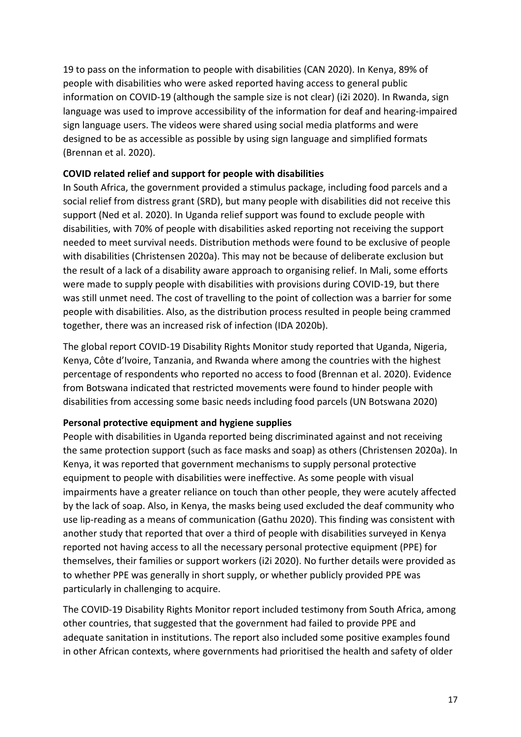19 to pass on the information to people with disabilities (CAN 2020). In Kenya, 89% of people with disabilities who were asked reported having access to general public information on COVID-19 (although the sample size is not clear) (i2i 2020). In Rwanda, sign language was used to improve accessibility of the information for deaf and hearing-impaired sign language users. The videos were shared using social media platforms and were designed to be as accessible as possible by using sign language and simplified formats (Brennan et al. 2020).

#### <span id="page-16-0"></span>**COVID related relief and support for people with disabilities**

In South Africa, the government provided a stimulus package, including food parcels and a social relief from distress grant (SRD), but many people with disabilities did not receive this support (Ned et al. 2020). In Uganda relief support was found to exclude people with disabilities, with 70% of people with disabilities asked reporting not receiving the support needed to meet survival needs. Distribution methods were found to be exclusive of people with disabilities (Christensen 2020a). This may not be because of deliberate exclusion but the result of a lack of a disability aware approach to organising relief. In Mali, some efforts were made to supply people with disabilities with provisions during COVID-19, but there was still unmet need. The cost of travelling to the point of collection was a barrier for some people with disabilities. Also, as the distribution process resulted in people being crammed together, there was an increased risk of infection (IDA 2020b).

The global report COVID-19 Disability Rights Monitor study reported that Uganda, Nigeria, Kenya, Côte d'Ivoire, Tanzania, and Rwanda where among the countries with the highest percentage of respondents who reported no access to food (Brennan et al. 2020). Evidence from Botswana indicated that restricted movements were found to hinder people with disabilities from accessing some basic needs including food parcels (UN Botswana 2020)

#### <span id="page-16-1"></span>**Personal protective equipment and hygiene supplies**

People with disabilities in Uganda reported being discriminated against and not receiving the same protection support (such as face masks and soap) as others (Christensen 2020a). In Kenya, it was reported that government mechanisms to supply personal protective equipment to people with disabilities were ineffective. As some people with visual impairments have a greater reliance on touch than other people, they were acutely affected by the lack of soap. Also, in Kenya, the masks being used excluded the deaf community who use lip-reading as a means of communication (Gathu 2020). This finding was consistent with another study that reported that over a third of people with disabilities surveyed in Kenya reported not having access to all the necessary personal protective equipment (PPE) for themselves, their families or support workers (i2i 2020). No further details were provided as to whether PPE was generally in short supply, or whether publicly provided PPE was particularly in challenging to acquire.

The COVID-19 Disability Rights Monitor report included testimony from South Africa, among other countries, that suggested that the government had failed to provide PPE and adequate sanitation in institutions. The report also included some positive examples found in other African contexts, where governments had prioritised the health and safety of older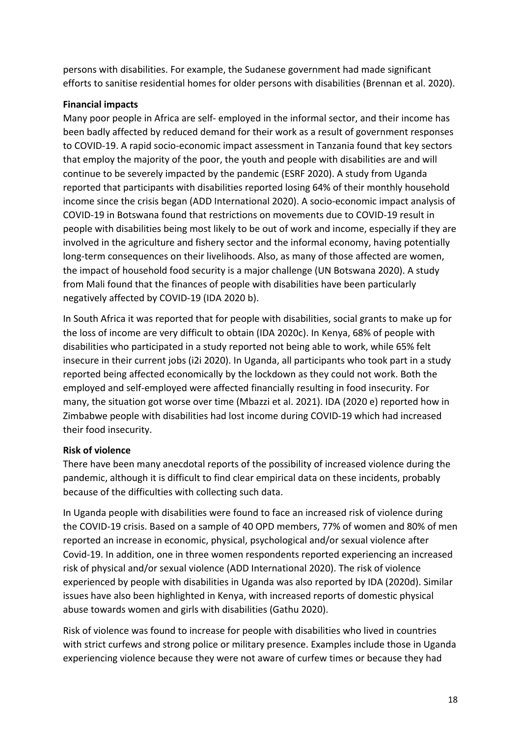persons with disabilities. For example, the Sudanese government had made significant efforts to sanitise residential homes for older persons with disabilities (Brennan et al. 2020).

#### <span id="page-17-0"></span>**Financial impacts**

Many poor people in Africa are self- employed in the informal sector, and their income has been badly affected by reduced demand for their work as a result of government responses to COVID-19. A rapid socio-economic impact assessment in Tanzania found that key sectors that employ the majority of the poor, the youth and people with disabilities are and will continue to be severely impacted by the pandemic (ESRF 2020). A study from Uganda reported that participants with disabilities reported losing 64% of their monthly household income since the crisis began (ADD International 2020). A socio-economic impact analysis of COVID-19 in Botswana found that restrictions on movements due to COVID-19 result in people with disabilities being most likely to be out of work and income, especially if they are involved in the agriculture and fishery sector and the informal economy, having potentially long-term consequences on their livelihoods. Also, as many of those affected are women, the impact of household food security is a major challenge (UN Botswana 2020). A study from Mali found that the finances of people with disabilities have been particularly negatively affected by COVID-19 (IDA 2020 b).

In South Africa it was reported that for people with disabilities, social grants to make up for the loss of income are very difficult to obtain (IDA 2020c). In Kenya, 68% of people with disabilities who participated in a study reported not being able to work, while 65% felt insecure in their current jobs (i2i 2020). In Uganda, all participants who took part in a study reported being affected economically by the lockdown as they could not work. Both the employed and self-employed were affected financially resulting in food insecurity. For many, the situation got worse over time (Mbazzi et al. 2021). IDA (2020 e) reported how in Zimbabwe people with disabilities had lost income during COVID-19 which had increased their food insecurity.

#### <span id="page-17-1"></span>**Risk of violence**

There have been many anecdotal reports of the possibility of increased violence during the pandemic, although it is difficult to find clear empirical data on these incidents, probably because of the difficulties with collecting such data.

In Uganda people with disabilities were found to face an increased risk of violence during the COVID-19 crisis. Based on a sample of 40 OPD members, 77% of women and 80% of men reported an increase in economic, physical, psychological and/or sexual violence after Covid-19. In addition, one in three women respondents reported experiencing an increased risk of physical and/or sexual violence (ADD International 2020). The risk of violence experienced by people with disabilities in Uganda was also reported by IDA (2020d). Similar issues have also been highlighted in Kenya, with increased reports of domestic physical abuse towards women and girls with disabilities (Gathu 2020).

Risk of violence was found to increase for people with disabilities who lived in countries with strict curfews and strong police or military presence. Examples include those in Uganda experiencing violence because they were not aware of curfew times or because they had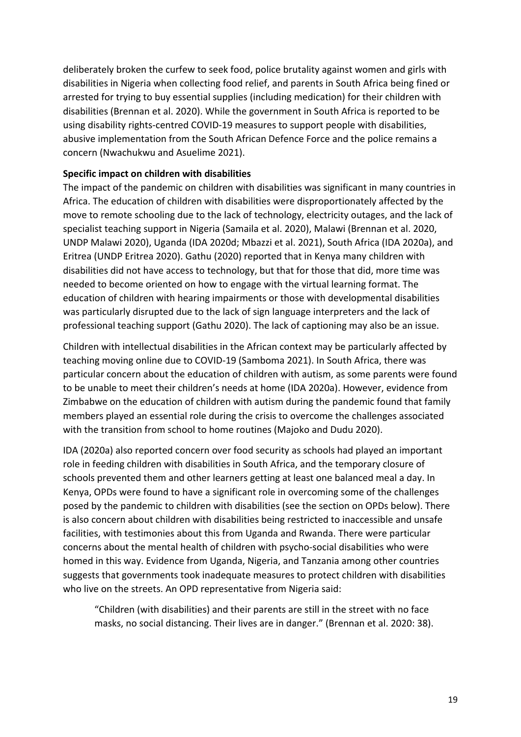deliberately broken the curfew to seek food, police brutality against women and girls with disabilities in Nigeria when collecting food relief, and parents in South Africa being fined or arrested for trying to buy essential supplies (including medication) for their children with disabilities (Brennan et al. 2020). While the government in South Africa is reported to be using disability rights-centred COVID-19 measures to support people with disabilities, abusive implementation from the South African Defence Force and the police remains a concern (Nwachukwu and Asuelime 2021).

#### <span id="page-18-0"></span>**Specific impact on children with disabilities**

The impact of the pandemic on children with disabilities was significant in many countries in Africa. The education of children with disabilities were disproportionately affected by the move to remote schooling due to the lack of technology, electricity outages, and the lack of specialist teaching support in Nigeria (Samaila et al. 2020), Malawi (Brennan et al. 2020, UNDP Malawi 2020), Uganda (IDA 2020d; Mbazzi et al. 2021), South Africa (IDA 2020a), and Eritrea (UNDP Eritrea 2020). Gathu (2020) reported that in Kenya many children with disabilities did not have access to technology, but that for those that did, more time was needed to become oriented on how to engage with the virtual learning format. The education of children with hearing impairments or those with developmental disabilities was particularly disrupted due to the lack of sign language interpreters and the lack of professional teaching support (Gathu 2020). The lack of captioning may also be an issue.

Children with intellectual disabilities in the African context may be particularly affected by teaching moving online due to COVID-19 (Samboma 2021). In South Africa, there was particular concern about the education of children with autism, as some parents were found to be unable to meet their children's needs at home (IDA 2020a). However, evidence from Zimbabwe on the education of children with autism during the pandemic found that family members played an essential role during the crisis to overcome the challenges associated with the transition from school to home routines (Majoko and Dudu 2020).

IDA (2020a) also reported concern over food security as schools had played an important role in feeding children with disabilities in South Africa, and the temporary closure of schools prevented them and other learners getting at least one balanced meal a day. In Kenya, OPDs were found to have a significant role in overcoming some of the challenges posed by the pandemic to children with disabilities (see the section on OPDs below). There is also concern about children with disabilities being restricted to inaccessible and unsafe facilities, with testimonies about this from Uganda and Rwanda. There were particular concerns about the mental health of children with psycho-social disabilities who were homed in this way. Evidence from Uganda, Nigeria, and Tanzania among other countries suggests that governments took inadequate measures to protect children with disabilities who live on the streets. An OPD representative from Nigeria said:

"Children (with disabilities) and their parents are still in the street with no face masks, no social distancing. Their lives are in danger." (Brennan et al. 2020: 38).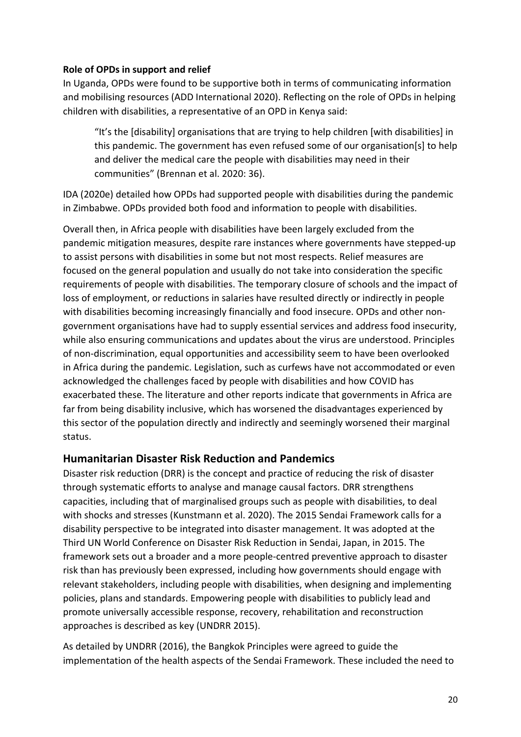#### <span id="page-19-0"></span>**Role of OPDs in support and relief**

In Uganda, OPDs were found to be supportive both in terms of communicating information and mobilising resources (ADD International 2020). Reflecting on the role of OPDs in helping children with disabilities, a representative of an OPD in Kenya said:

"It's the [disability] organisations that are trying to help children [with disabilities] in this pandemic. The government has even refused some of our organisation[s] to help and deliver the medical care the people with disabilities may need in their communities" (Brennan et al. 2020: 36).

IDA (2020e) detailed how OPDs had supported people with disabilities during the pandemic in Zimbabwe. OPDs provided both food and information to people with disabilities.

Overall then, in Africa people with disabilities have been largely excluded from the pandemic mitigation measures, despite rare instances where governments have stepped-up to assist persons with disabilities in some but not most respects. Relief measures are focused on the general population and usually do not take into consideration the specific requirements of people with disabilities. The temporary closure of schools and the impact of loss of employment, or reductions in salaries have resulted directly or indirectly in people with disabilities becoming increasingly financially and food insecure. OPDs and other nongovernment organisations have had to supply essential services and address food insecurity, while also ensuring communications and updates about the virus are understood. Principles of non-discrimination, equal opportunities and accessibility seem to have been overlooked in Africa during the pandemic. Legislation, such as curfews have not accommodated or even acknowledged the challenges faced by people with disabilities and how COVID has exacerbated these. The literature and other reports indicate that governments in Africa are far from being disability inclusive, which has worsened the disadvantages experienced by this sector of the population directly and indirectly and seemingly worsened their marginal status.

#### <span id="page-19-1"></span>**Humanitarian Disaster Risk Reduction and Pandemics**

Disaster risk reduction (DRR) is the concept and practice of reducing the risk of disaster through systematic efforts to analyse and manage causal factors. DRR strengthens capacities, including that of marginalised groups such as people with disabilities, to deal with shocks and stresses (Kunstmann et al. 2020). The 2015 Sendai Framework calls for a disability perspective to be integrated into disaster management. It was adopted at the Third UN World Conference on Disaster Risk Reduction in Sendai, Japan, in 2015. The framework sets out a broader and a more people-centred preventive approach to disaster risk than has previously been expressed, including how governments should engage with relevant stakeholders, including people with disabilities, when designing and implementing policies, plans and standards. Empowering people with disabilities to publicly lead and promote universally accessible response, recovery, rehabilitation and reconstruction approaches is described as key (UNDRR 2015).

As detailed by UNDRR (2016), the Bangkok Principles were agreed to guide the implementation of the health aspects of the Sendai Framework. These included the need to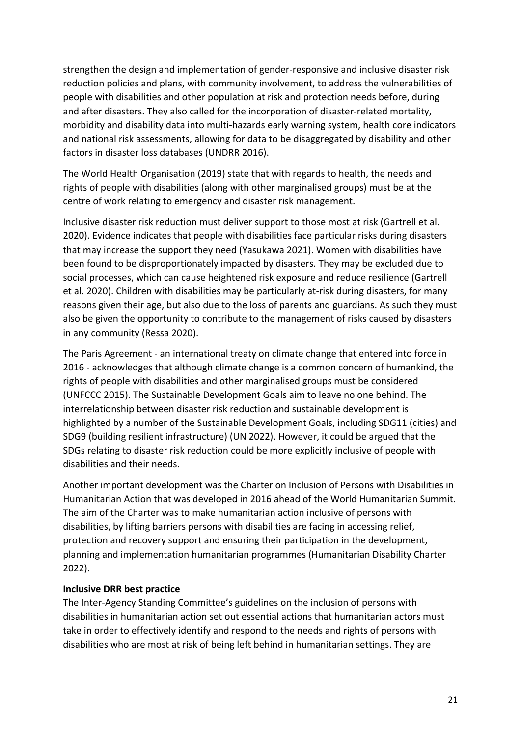strengthen the design and implementation of gender-responsive and inclusive disaster risk reduction policies and plans, with community involvement, to address the vulnerabilities of people with disabilities and other population at risk and protection needs before, during and after disasters. They also called for the incorporation of disaster-related mortality, morbidity and disability data into multi-hazards early warning system, health core indicators and national risk assessments, allowing for data to be disaggregated by disability and other factors in disaster loss databases (UNDRR 2016).

The World Health Organisation (2019) state that with regards to health, the needs and rights of people with disabilities (along with other marginalised groups) must be at the centre of work relating to emergency and disaster risk management.

Inclusive disaster risk reduction must deliver support to those most at risk (Gartrell et al. 2020). Evidence indicates that people with disabilities face particular risks during disasters that may increase the support they need (Yasukawa 2021). Women with disabilities have been found to be disproportionately impacted by disasters. They may be excluded due to social processes, which can cause heightened risk exposure and reduce resilience (Gartrell et al. 2020). Children with disabilities may be particularly at-risk during disasters, for many reasons given their age, but also due to the loss of parents and guardians. As such they must also be given the opportunity to contribute to the management of risks caused by disasters in any community (Ressa 2020).

The Paris Agreement - an international treaty on climate change that entered into force in 2016 - acknowledges that although climate change is a common concern of humankind, the rights of people with disabilities and other marginalised groups must be considered (UNFCCC 2015). The Sustainable Development Goals aim to leave no one behind. The interrelationship between disaster risk reduction and sustainable development is highlighted by a number of the Sustainable Development Goals, including SDG11 (cities) and SDG9 (building resilient infrastructure) (UN 2022). However, it could be argued that the SDGs relating to disaster risk reduction could be more explicitly inclusive of people with disabilities and their needs.

Another important development was the Charter on Inclusion of Persons with Disabilities in Humanitarian Action that was developed in 2016 ahead of the World Humanitarian Summit. The aim of the Charter was to make humanitarian action inclusive of persons with disabilities, by lifting barriers persons with disabilities are facing in accessing relief, protection and recovery support and ensuring their participation in the development, planning and implementation humanitarian programmes (Humanitarian Disability Charter 2022).

#### <span id="page-20-0"></span>**Inclusive DRR best practice**

The Inter-Agency Standing Committee's guidelines on the inclusion of persons with disabilities in humanitarian action set out essential actions that humanitarian actors must take in order to effectively identify and respond to the needs and rights of persons with disabilities who are most at risk of being left behind in humanitarian settings. They are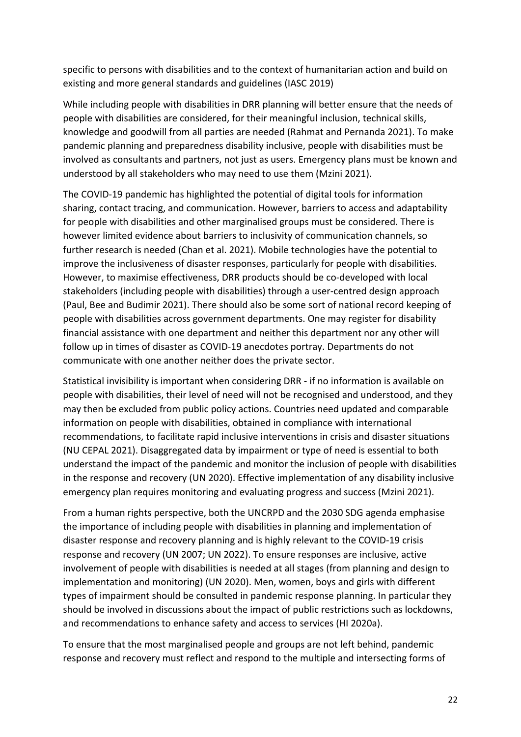specific to persons with disabilities and to the context of humanitarian action and build on existing and more general standards and guidelines (IASC 2019)

While including people with disabilities in DRR planning will better ensure that the needs of people with disabilities are considered, for their meaningful inclusion, technical skills, knowledge and goodwill from all parties are needed (Rahmat and Pernanda 2021). To make pandemic planning and preparedness disability inclusive, people with disabilities must be involved as consultants and partners, not just as users. Emergency plans must be known and understood by all stakeholders who may need to use them (Mzini 2021).

The COVID-19 pandemic has highlighted the potential of digital tools for information sharing, contact tracing, and communication. However, barriers to access and adaptability for people with disabilities and other marginalised groups must be considered. There is however limited evidence about barriers to inclusivity of communication channels, so further research is needed (Chan et al. 2021). Mobile technologies have the potential to improve the inclusiveness of disaster responses, particularly for people with disabilities. However, to maximise effectiveness, DRR products should be co-developed with local stakeholders (including people with disabilities) through a user-centred design approach (Paul, Bee and Budimir 2021). There should also be some sort of national record keeping of people with disabilities across government departments. One may register for disability financial assistance with one department and neither this department nor any other will follow up in times of disaster as COVID-19 anecdotes portray. Departments do not communicate with one another neither does the private sector.

Statistical invisibility is important when considering DRR - if no information is available on people with disabilities, their level of need will not be recognised and understood, and they may then be excluded from public policy actions. Countries need updated and comparable information on people with disabilities, obtained in compliance with international recommendations, to facilitate rapid inclusive interventions in crisis and disaster situations (NU CEPAL 2021). Disaggregated data by impairment or type of need is essential to both understand the impact of the pandemic and monitor the inclusion of people with disabilities in the response and recovery (UN 2020). Effective implementation of any disability inclusive emergency plan requires monitoring and evaluating progress and success (Mzini 2021).

From a human rights perspective, both the UNCRPD and the 2030 SDG agenda emphasise the importance of including people with disabilities in planning and implementation of disaster response and recovery planning and is highly relevant to the COVID-19 crisis response and recovery (UN 2007; UN 2022). To ensure responses are inclusive, active involvement of people with disabilities is needed at all stages (from planning and design to implementation and monitoring) (UN 2020). Men, women, boys and girls with different types of impairment should be consulted in pandemic response planning. In particular they should be involved in discussions about the impact of public restrictions such as lockdowns, and recommendations to enhance safety and access to services (HI 2020a).

To ensure that the most marginalised people and groups are not left behind, pandemic response and recovery must reflect and respond to the multiple and intersecting forms of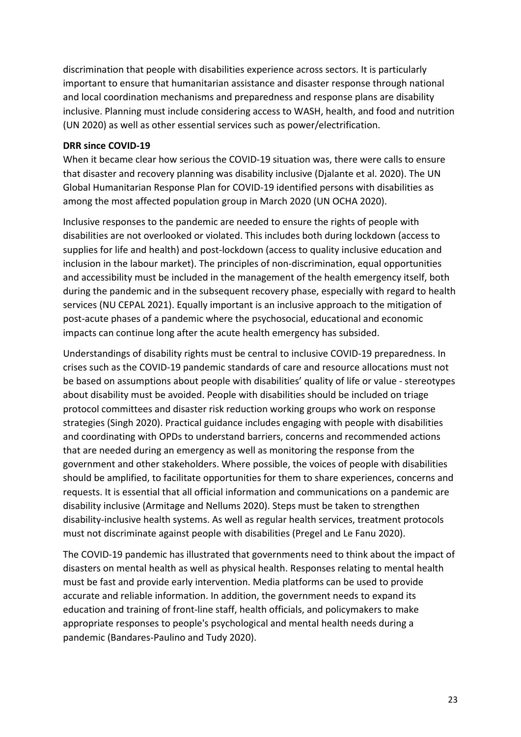discrimination that people with disabilities experience across sectors. It is particularly important to ensure that humanitarian assistance and disaster response through national and local coordination mechanisms and preparedness and response plans are disability inclusive. Planning must include considering access to WASH, health, and food and nutrition (UN 2020) as well as other essential services such as power/electrification.

#### <span id="page-22-0"></span>**DRR since COVID-19**

When it became clear how serious the COVID-19 situation was, there were calls to ensure that disaster and recovery planning was disability inclusive (Djalante et al. 2020). The UN Global Humanitarian Response Plan for COVID-19 identified persons with disabilities as among the most affected population group in March 2020 (UN OCHA 2020).

Inclusive responses to the pandemic are needed to ensure the rights of people with disabilities are not overlooked or violated. This includes both during lockdown (access to supplies for life and health) and post-lockdown (access to quality inclusive education and inclusion in the labour market). The principles of non-discrimination, equal opportunities and accessibility must be included in the management of the health emergency itself, both during the pandemic and in the subsequent recovery phase, especially with regard to health services (NU CEPAL 2021). Equally important is an inclusive approach to the mitigation of post-acute phases of a pandemic where the psychosocial, educational and economic impacts can continue long after the acute health emergency has subsided.

Understandings of disability rights must be central to inclusive COVID-19 preparedness. In crises such as the COVID-19 pandemic standards of care and resource allocations must not be based on assumptions about people with disabilities' quality of life or value - stereotypes about disability must be avoided. People with disabilities should be included on triage protocol committees and disaster risk reduction working groups who work on response strategies (Singh 2020). Practical guidance includes engaging with people with disabilities and coordinating with OPDs to understand barriers, concerns and recommended actions that are needed during an emergency as well as monitoring the response from the government and other stakeholders. Where possible, the voices of people with disabilities should be amplified, to facilitate opportunities for them to share experiences, concerns and requests. It is essential that all official information and communications on a pandemic are disability inclusive (Armitage and Nellums 2020). Steps must be taken to strengthen disability-inclusive health systems. As well as regular health services, treatment protocols must not discriminate against people with disabilities (Pregel and Le Fanu 2020).

The COVID-19 pandemic has illustrated that governments need to think about the impact of disasters on mental health as well as physical health. Responses relating to mental health must be fast and provide early intervention. Media platforms can be used to provide accurate and reliable information. In addition, the government needs to expand its education and training of front-line staff, health officials, and policymakers to make appropriate responses to people's psychological and mental health needs during a pandemic (Bandares-Paulino and Tudy 2020).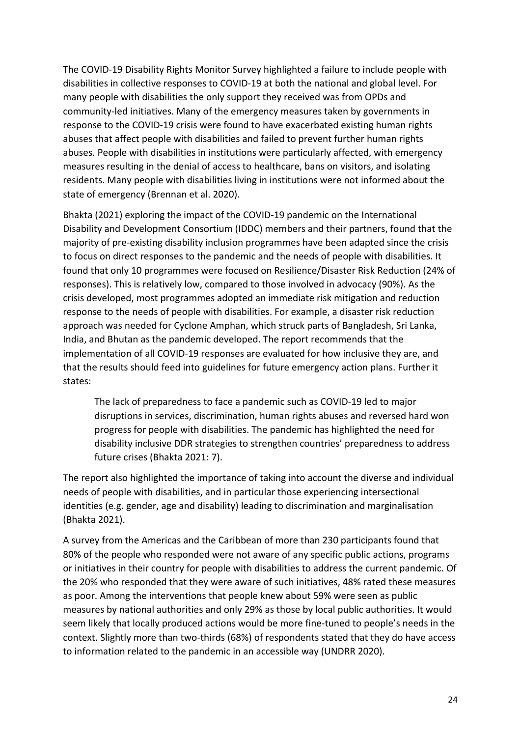The COVID-19 Disability Rights Monitor Survey highlighted a failure to include people with disabilities in collective responses to COVID-19 at both the national and global level. For many people with disabilities the only support they received was from OPDs and community-led initiatives. Many of the emergency measures taken by governments in response to the COVID-19 crisis were found to have exacerbated existing human rights abuses that affect people with disabilities and failed to prevent further human rights abuses. People with disabilities in institutions were particularly affected, with emergency measures resulting in the denial of access to healthcare, bans on visitors, and isolating residents. Many people with disabilities living in institutions were not informed about the state of emergency (Brennan et al. 2020).

Bhakta (2021) exploring the impact of the COVID-19 pandemic on the International Disability and Development Consortium (IDDC) members and their partners, found that the majority of pre-existing disability inclusion programmes have been adapted since the crisis to focus on direct responses to the pandemic and the needs of people with disabilities. It found that only 10 programmes were focused on Resilience/Disaster Risk Reduction (24% of responses). This is relatively low, compared to those involved in advocacy (90%). As the crisis developed, most programmes adopted an immediate risk mitigation and reduction response to the needs of people with disabilities. For example, a disaster risk reduction approach was needed for Cyclone Amphan, which struck parts of Bangladesh, Sri Lanka, India, and Bhutan as the pandemic developed. The report recommends that the implementation of all COVID-19 responses are evaluated for how inclusive they are, and that the results should feed into guidelines for future emergency action plans. Further it states:

The lack of preparedness to face a pandemic such as COVID-19 led to major disruptions in services, discrimination, human rights abuses and reversed hard won progress for people with disabilities. The pandemic has highlighted the need for disability inclusive DDR strategies to strengthen countries' preparedness to address future crises (Bhakta 2021: 7).

The report also highlighted the importance of taking into account the diverse and individual needs of people with disabilities, and in particular those experiencing intersectional identities (e.g. gender, age and disability) leading to discrimination and marginalisation (Bhakta 2021).

A survey from the Americas and the Caribbean of more than 230 participants found that 80% of the people who responded were not aware of any specific public actions, programs or initiatives in their country for people with disabilities to address the current pandemic. Of the 20% who responded that they were aware of such initiatives, 48% rated these measures as poor. Among the interventions that people knew about 59% were seen as public measures by national authorities and only 29% as those by local public authorities. It would seem likely that locally produced actions would be more fine-tuned to people's needs in the context. Slightly more than two-thirds (68%) of respondents stated that they do have access to information related to the pandemic in an accessible way (UNDRR 2020).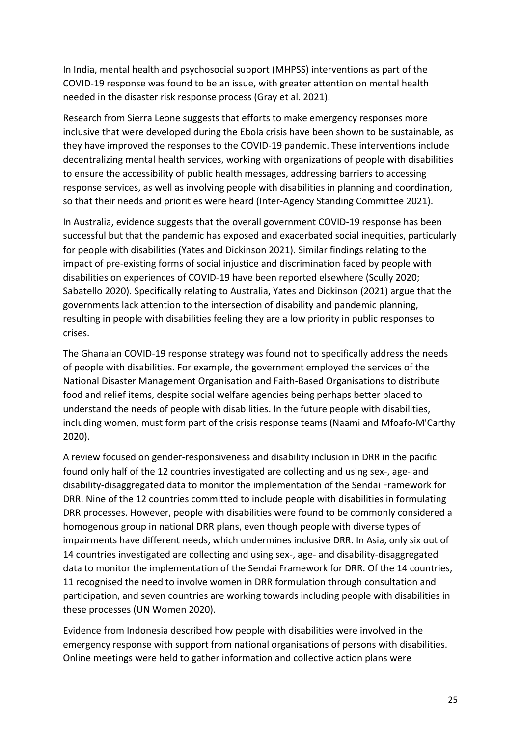In India, mental health and psychosocial support (MHPSS) interventions as part of the COVID-19 response was found to be an issue, with greater attention on mental health needed in the disaster risk response process (Gray et al. 2021).

Research from Sierra Leone suggests that efforts to make emergency responses more inclusive that were developed during the Ebola crisis have been shown to be sustainable, as they have improved the responses to the COVID-19 pandemic. These interventions include decentralizing mental health services, working with organizations of people with disabilities to ensure the accessibility of public health messages, addressing barriers to accessing response services, as well as involving people with disabilities in planning and coordination, so that their needs and priorities were heard (Inter-Agency Standing Committee 2021).

In Australia, evidence suggests that the overall government COVID-19 response has been successful but that the pandemic has exposed and exacerbated social inequities, particularly for people with disabilities (Yates and Dickinson 2021). Similar findings relating to the impact of pre-existing forms of social injustice and discrimination faced by people with disabilities on experiences of COVID-19 have been reported elsewhere (Scully 2020; Sabatello 2020). Specifically relating to Australia, Yates and Dickinson (2021) argue that the governments lack attention to the intersection of disability and pandemic planning, resulting in people with disabilities feeling they are a low priority in public responses to crises.

The Ghanaian COVID-19 response strategy was found not to specifically address the needs of people with disabilities. For example, the government employed the services of the National Disaster Management Organisation and Faith-Based Organisations to distribute food and relief items, despite social welfare agencies being perhaps better placed to understand the needs of people with disabilities. In the future people with disabilities, including women, must form part of the crisis response teams (Naami and Mfoafo-M'Carthy 2020).

A review focused on gender-responsiveness and disability inclusion in DRR in the pacific found only half of the 12 countries investigated are collecting and using sex-, age- and disability-disaggregated data to monitor the implementation of the Sendai Framework for DRR. Nine of the 12 countries committed to include people with disabilities in formulating DRR processes. However, people with disabilities were found to be commonly considered a homogenous group in national DRR plans, even though people with diverse types of impairments have different needs, which undermines inclusive DRR. In Asia, only six out of 14 countries investigated are collecting and using sex-, age- and disability-disaggregated data to monitor the implementation of the Sendai Framework for DRR. Of the 14 countries, 11 recognised the need to involve women in DRR formulation through consultation and participation, and seven countries are working towards including people with disabilities in these processes (UN Women 2020).

Evidence from Indonesia described how people with disabilities were involved in the emergency response with support from national organisations of persons with disabilities. Online meetings were held to gather information and collective action plans were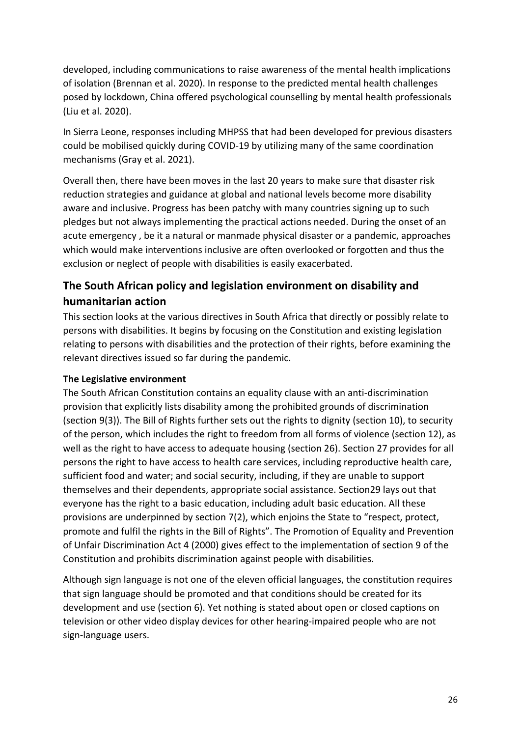developed, including communications to raise awareness of the mental health implications of isolation (Brennan et al. 2020). In response to the predicted mental health challenges posed by lockdown, China offered psychological counselling by mental health professionals (Liu et al. 2020).

In Sierra Leone, responses including MHPSS that had been developed for previous disasters could be mobilised quickly during COVID-19 by utilizing many of the same coordination mechanisms (Gray et al. 2021).

Overall then, there have been moves in the last 20 years to make sure that disaster risk reduction strategies and guidance at global and national levels become more disability aware and inclusive. Progress has been patchy with many countries signing up to such pledges but not always implementing the practical actions needed. During the onset of an acute emergency , be it a natural or manmade physical disaster or a pandemic, approaches which would make interventions inclusive are often overlooked or forgotten and thus the exclusion or neglect of people with disabilities is easily exacerbated.

## <span id="page-25-0"></span>**The South African policy and legislation environment on disability and humanitarian action**

This section looks at the various directives in South Africa that directly or possibly relate to persons with disabilities. It begins by focusing on the Constitution and existing legislation relating to persons with disabilities and the protection of their rights, before examining the relevant directives issued so far during the pandemic.

#### <span id="page-25-1"></span>**The Legislative environment**

The South African Constitution contains an equality clause with an anti-discrimination provision that explicitly lists disability among the prohibited grounds of discrimination (section 9(3)). The Bill of Rights further sets out the rights to dignity (section 10), to security of the person, which includes the right to freedom from all forms of violence (section 12), as well as the right to have access to adequate housing (section 26). Section 27 provides for all persons the right to have access to health care services, including reproductive health care, sufficient food and water; and social security, including, if they are unable to support themselves and their dependents, appropriate social assistance. Section29 lays out that everyone has the right to a basic education, including adult basic education. All these provisions are underpinned by section 7(2), which enjoins the State to "respect, protect, promote and fulfil the rights in the Bill of Rights". The Promotion of Equality and Prevention of Unfair Discrimination Act 4 (2000) gives effect to the implementation of section 9 of the Constitution and prohibits discrimination against people with disabilities.

Although sign language is not one of the eleven official languages, the constitution requires that sign language should be promoted and that conditions should be created for its development and use (section 6). Yet nothing is stated about open or closed captions on television or other video display devices for other hearing-impaired people who are not sign-language users.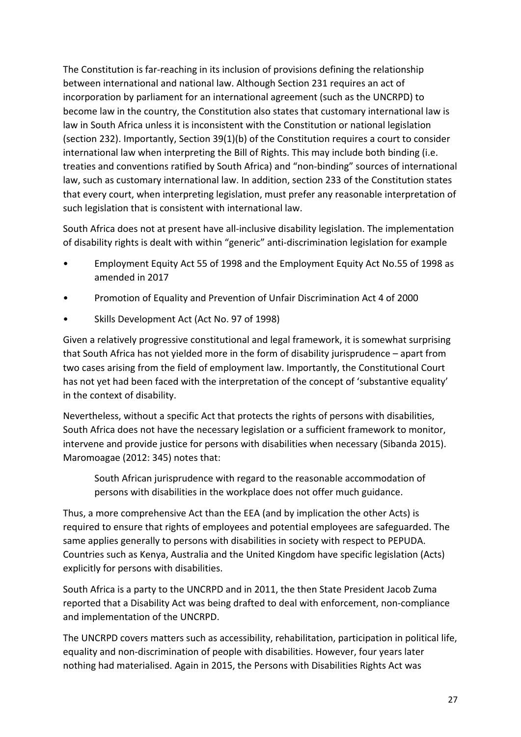The Constitution is far-reaching in its inclusion of provisions defining the relationship between international and national law. Although Section 231 requires an act of incorporation by parliament for an international agreement (such as the UNCRPD) to become law in the country, the Constitution also states that customary international law is law in South Africa unless it is inconsistent with the Constitution or national legislation (section 232). Importantly, Section 39(1)(b) of the Constitution requires a court to consider international law when interpreting the Bill of Rights. This may include both binding (i.e. treaties and conventions ratified by South Africa) and "non-binding" sources of international law, such as customary international law. In addition, section 233 of the Constitution states that every court, when interpreting legislation, must prefer any reasonable interpretation of such legislation that is consistent with international law.

South Africa does not at present have all-inclusive disability legislation. The implementation of disability rights is dealt with within "generic" anti-discrimination legislation for example

- Employment Equity Act 55 of 1998 and the Employment Equity Act No.55 of 1998 as amended in 2017
- Promotion of Equality and Prevention of Unfair Discrimination Act 4 of 2000
- Skills Development Act (Act No. 97 of 1998)

Given a relatively progressive constitutional and legal framework, it is somewhat surprising that South Africa has not yielded more in the form of disability jurisprudence – apart from two cases arising from the field of employment law. Importantly, the Constitutional Court has not yet had been faced with the interpretation of the concept of 'substantive equality' in the context of disability.

Nevertheless, without a specific Act that protects the rights of persons with disabilities, South Africa does not have the necessary legislation or a sufficient framework to monitor, intervene and provide justice for persons with disabilities when necessary (Sibanda 2015). Maromoagae (2012: 345) notes that:

South African jurisprudence with regard to the reasonable accommodation of persons with disabilities in the workplace does not offer much guidance.

Thus, a more comprehensive Act than the EEA (and by implication the other Acts) is required to ensure that rights of employees and potential employees are safeguarded. The same applies generally to persons with disabilities in society with respect to PEPUDA. Countries such as Kenya, Australia and the United Kingdom have specific legislation (Acts) explicitly for persons with disabilities.

South Africa is a party to the UNCRPD and in 2011, the then State President Jacob Zuma reported that a Disability Act was being drafted to deal with enforcement, non-compliance and implementation of the UNCRPD.

The UNCRPD covers matters such as accessibility, rehabilitation, participation in political life, equality and non-discrimination of people with disabilities. However, four years later nothing had materialised. Again in 2015, the Persons with Disabilities Rights Act was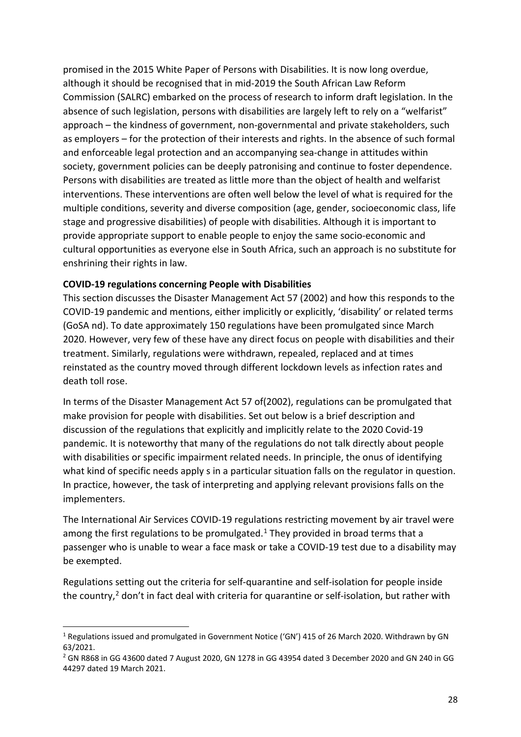promised in the 2015 White Paper of Persons with Disabilities. It is now long overdue, although it should be recognised that in mid-2019 the South African Law Reform Commission (SALRC) embarked on the process of research to inform draft legislation. In the absence of such legislation, persons with disabilities are largely left to rely on a "welfarist" approach – the kindness of government, non-governmental and private stakeholders, such as employers – for the protection of their interests and rights. In the absence of such formal and enforceable legal protection and an accompanying sea-change in attitudes within society, government policies can be deeply patronising and continue to foster dependence. Persons with disabilities are treated as little more than the object of health and welfarist interventions. These interventions are often well below the level of what is required for the multiple conditions, severity and diverse composition (age, gender, socioeconomic class, life stage and progressive disabilities) of people with disabilities. Although it is important to provide appropriate support to enable people to enjoy the same socio-economic and cultural opportunities as everyone else in South Africa, such an approach is no substitute for enshrining their rights in law.

#### <span id="page-27-0"></span>**COVID-19 regulations concerning People with Disabilities**

This section discusses the Disaster Management Act 57 (2002) and how this responds to the COVID-19 pandemic and mentions, either implicitly or explicitly, 'disability' or related terms (GoSA nd). To date approximately 150 regulations have been promulgated since March 2020. However, very few of these have any direct focus on people with disabilities and their treatment. Similarly, regulations were withdrawn, repealed, replaced and at times reinstated as the country moved through different lockdown levels as infection rates and death toll rose.

In terms of the Disaster Management Act 57 of(2002), regulations can be promulgated that make provision for people with disabilities. Set out below is a brief description and discussion of the regulations that explicitly and implicitly relate to the 2020 Covid-19 pandemic. It is noteworthy that many of the regulations do not talk directly about people with disabilities or specific impairment related needs. In principle, the onus of identifying what kind of specific needs apply s in a particular situation falls on the regulator in question. In practice, however, the task of interpreting and applying relevant provisions falls on the implementers.

The International Air Services COVID-19 regulations restricting movement by air travel were among the first regulations to be promulgated.<sup>[1](#page-27-1)</sup> They provided in broad terms that a passenger who is unable to wear a face mask or take a COVID-19 test due to a disability may be exempted.

Regulations setting out the criteria for self-quarantine and self-isolation for people inside the country, $<sup>2</sup>$  $<sup>2</sup>$  $<sup>2</sup>$  don't in fact deal with criteria for quarantine or self-isolation, but rather with</sup>

<span id="page-27-1"></span><sup>&</sup>lt;sup>1</sup> Regulations issued and promulgated in Government Notice ('GN') 415 of 26 March 2020. Withdrawn by GN 63/2021.<br><sup>2</sup> GN R868 in GG 43600 dated 7 August 2020, GN 1278 in GG 43954 dated 3 December 2020 and GN 240 in GG

<span id="page-27-2"></span><sup>44297</sup> dated 19 March 2021.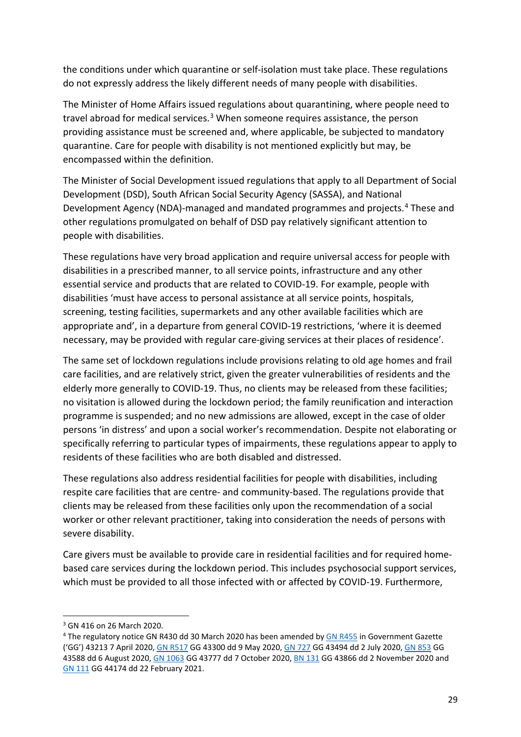the conditions under which quarantine or self-isolation must take place. These regulations do not expressly address the likely different needs of many people with disabilities.

The Minister of Home Affairs issued regulations about quarantining, where people need to travel abroad for medical services.<sup>[3](#page-28-0)</sup> When someone requires assistance, the person providing assistance must be screened and, where applicable, be subjected to mandatory quarantine. Care for people with disability is not mentioned explicitly but may, be encompassed within the definition.

The Minister of Social Development issued regulations that apply to all Department of Social Development (DSD), South African Social Security Agency (SASSA), and National Development Agency (NDA)-managed and mandated programmes and projects.[4](#page-28-1) These and other regulations promulgated on behalf of DSD pay relatively significant attention to people with disabilities.

These regulations have very broad application and require universal access for people with disabilities in a prescribed manner, to all service points, infrastructure and any other essential service and products that are related to COVID-19. For example, people with disabilities 'must have access to personal assistance at all service points, hospitals, screening, testing facilities, supermarkets and any other available facilities which are appropriate and', in a departure from general COVID-19 restrictions, 'where it is deemed necessary, may be provided with regular care-giving services at their places of residence'.

The same set of lockdown regulations include provisions relating to old age homes and frail care facilities, and are relatively strict, given the greater vulnerabilities of residents and the elderly more generally to COVID-19. Thus, no clients may be released from these facilities; no visitation is allowed during the lockdown period; the family reunification and interaction programme is suspended; and no new admissions are allowed, except in the case of older persons 'in distress' and upon a social worker's recommendation. Despite not elaborating or specifically referring to particular types of impairments, these regulations appear to apply to residents of these facilities who are both disabled and distressed.

These regulations also address residential facilities for people with disabilities, including respite care facilities that are centre- and community-based. The regulations provide that clients may be released from these facilities only upon the recommendation of a social worker or other relevant practitioner, taking into consideration the needs of persons with severe disability.

Care givers must be available to provide care in residential facilities and for required homebased care services during the lockdown period. This includes psychosocial support services, which must be provided to all those infected with or affected by COVID-19. Furthermore,

<span id="page-28-0"></span><sup>3</sup> GN 416 on 26 March 2020.

<span id="page-28-1"></span><sup>&</sup>lt;sup>4</sup> The regulatory notice GN R430 dd 30 March 2020 has been amended by [GN R455](https://discover.sabinet.co.za/webx/access/netlaw/57_2002_disaster_management_24_gg43213_2020_GOV_nn455.pdf) in Government Gazette ('GG') 43213 7 April 2020[, GN R517](https://discover.sabinet.co.za/webx/access/netlaw/57_2002_disaster_management_24_gg43300_2020_GOV_nn517.pdf) GG 43300 dd 9 May 2020, [GN 727](https://discover.sabinet.co.za/webx/access/netlaw/57_2002_disaster_management_24_gg43494_nn727.pdf) GG 43494 dd 2 July 2020[, GN 853](https://discover.sabinet.co.za/webx/access/netlaw/57_2002_disaster_management_24_gg43588_2020_GOV_nn853.pdf) GG 43588 dd 6 August 2020[, GN 1063](https://discover.sabinet.co.za/webx/access/netlaw/57_2002_disaster_management_24_gg43777_2020_GOV_nn1063.pdf) GG 43777 dd 7 October 2020, [BN 131](https://discover.sabinet.co.za/webx/access/netlaw/57_2002_disaster_management_24_gg43866_2020_BRD_nn131.pdf) GG 43866 dd 2 November 2020 and [GN 111](https://discover.sabinet.co.za/webx/access/netlaw/57_2002_disaster_management_24_gg44174_2021_GOV_nn111.pdf) GG 44174 dd 22 February 2021.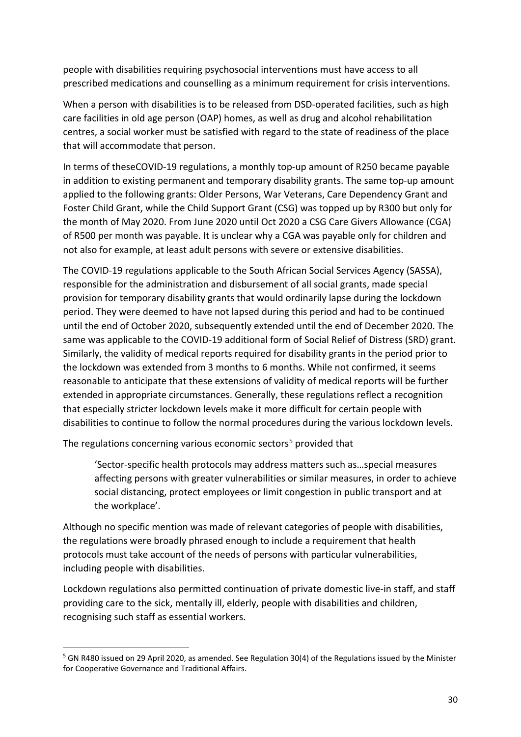people with disabilities requiring psychosocial interventions must have access to all prescribed medications and counselling as a minimum requirement for crisis interventions.

When a person with disabilities is to be released from DSD-operated facilities, such as high care facilities in old age person (OAP) homes, as well as drug and alcohol rehabilitation centres, a social worker must be satisfied with regard to the state of readiness of the place that will accommodate that person.

In terms of theseCOVID-19 regulations, a monthly top-up amount of R250 became payable in addition to existing permanent and temporary disability grants. The same top-up amount applied to the following grants: Older Persons, War Veterans, Care Dependency Grant and Foster Child Grant, while the Child Support Grant (CSG) was topped up by R300 but only for the month of May 2020. From June 2020 until Oct 2020 a CSG Care Givers Allowance (CGA) of R500 per month was payable. It is unclear why a CGA was payable only for children and not also for example, at least adult persons with severe or extensive disabilities.

The COVID-19 regulations applicable to the South African Social Services Agency (SASSA), responsible for the administration and disbursement of all social grants, made special provision for temporary disability grants that would ordinarily lapse during the lockdown period. They were deemed to have not lapsed during this period and had to be continued until the end of October 2020, subsequently extended until the end of December 2020. The same was applicable to the COVID-19 additional form of Social Relief of Distress (SRD) grant. Similarly, the validity of medical reports required for disability grants in the period prior to the lockdown was extended from 3 months to 6 months. While not confirmed, it seems reasonable to anticipate that these extensions of validity of medical reports will be further extended in appropriate circumstances. Generally, these regulations reflect a recognition that especially stricter lockdown levels make it more difficult for certain people with disabilities to continue to follow the normal procedures during the various lockdown levels.

The regulations concerning various economic sectors<sup>[5](#page-29-0)</sup> provided that

'Sector-specific health protocols may address matters such as…special measures affecting persons with greater vulnerabilities or similar measures, in order to achieve social distancing, protect employees or limit congestion in public transport and at the workplace'.

Although no specific mention was made of relevant categories of people with disabilities, the regulations were broadly phrased enough to include a requirement that health protocols must take account of the needs of persons with particular vulnerabilities, including people with disabilities.

Lockdown regulations also permitted continuation of private domestic live-in staff, and staff providing care to the sick, mentally ill, elderly, people with disabilities and children, recognising such staff as essential workers.

<span id="page-29-0"></span><sup>5</sup> GN R480 issued on 29 April 2020, as amended. See Regulation 30(4) of the Regulations issued by the Minister for Cooperative Governance and Traditional Affairs.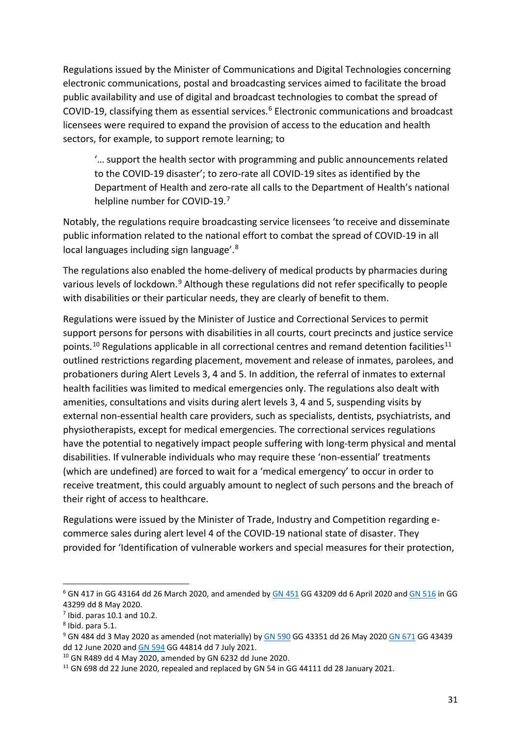Regulations issued by the Minister of Communications and Digital Technologies concerning electronic communications, postal and broadcasting services aimed to facilitate the broad public availability and use of digital and broadcast technologies to combat the spread of COVID-19, classifying them as essential services.<sup>[6](#page-30-0)</sup> Electronic communications and broadcast licensees were required to expand the provision of access to the education and health sectors, for example, to support remote learning; to

'… support the health sector with programming and public announcements related to the COVID-19 disaster'; to zero-rate all COVID-19 sites as identified by the Department of Health and zero-rate all calls to the Department of Health's national helpline number for COVID-19.[7](#page-30-1)

Notably, the regulations require broadcasting service licensees 'to receive and disseminate public information related to the national effort to combat the spread of COVID-19 in all local languages including sign language'.[8](#page-30-2)

The regulations also enabled the home-delivery of medical products by pharmacies during various levels of lockdown.<sup>[9](#page-30-3)</sup> Although these regulations did not refer specifically to people with disabilities or their particular needs, they are clearly of benefit to them.

Regulations were issued by the Minister of Justice and Correctional Services to permit support persons for persons with disabilities in all courts, court precincts and justice service points.<sup>[10](#page-30-4)</sup> Regulations applicable in all correctional centres and remand detention facilities<sup>[11](#page-30-5)</sup> outlined restrictions regarding placement, movement and release of inmates, parolees, and probationers during Alert Levels 3, 4 and 5. In addition, the referral of inmates to external health facilities was limited to medical emergencies only. The regulations also dealt with amenities, consultations and visits during alert levels 3, 4 and 5, suspending visits by external non-essential health care providers, such as specialists, dentists, psychiatrists, and physiotherapists, except for medical emergencies. The correctional services regulations have the potential to negatively impact people suffering with long-term physical and mental disabilities. If vulnerable individuals who may require these 'non-essential' treatments (which are undefined) are forced to wait for a 'medical emergency' to occur in order to receive treatment, this could arguably amount to neglect of such persons and the breach of their right of access to healthcare.

Regulations were issued by the Minister of Trade, Industry and Competition regarding ecommerce sales during alert level 4 of the COVID-19 national state of disaster. They provided for 'Identification of vulnerable workers and special measures for their protection,

<span id="page-30-0"></span> $6$  GN 417 in GG 43164 dd 26 March 2020, and amended b[y GN 451](https://discover.sabinet.co.za/webx/access/netlaw/57_2002_disaster_management_22_gg43209_2020_GOV_nn451.pdf) GG 43209 dd 6 April 2020 and [GN 516](https://discover.sabinet.co.za/webx/access/netlaw/57_2002_disaster_management_22_gg43299_2020_GOV_nn516.pdf) in GG 43299 dd 8 May 2020.

<span id="page-30-1"></span> $<sup>7</sup>$  Ibid. paras 10.1 and 10.2.</sup>

<span id="page-30-2"></span> $8$  Ibid. para 5.1.

<span id="page-30-3"></span><sup>&</sup>lt;sup>9</sup> GN 484 dd 3 May 2020 as amended (not materially) by [GN 590](https://discover.sabinet.co.za/webx/access/netlaw/57_2002_disaster_management_41_gg43351_2020_GOV_nn590.pdf) GG 43351 dd 26 May 202[0 GN 671](https://discover.sabinet.co.za/webx/access/netlaw/57_2002_disaster_management_41_gg43439_2020_GOV_nn671.pdf) GG 43439 dd 12 June 2020 and [GN 594](https://discover.sabinet.co.za/webx/access/netlaw/57_2002_disaster_management_41_gg44814_2021_GOV_nn594.pdf) GG 44814 dd 7 July 2021.

<span id="page-30-5"></span><span id="page-30-4"></span><sup>&</sup>lt;sup>10</sup> GN R489 dd 4 May 2020, amended by GN 6232 dd June 2020.<br><sup>11</sup> GN 698 dd 22 June 2020, repealed and replaced by GN 54 in GG 44111 dd 28 January 2021.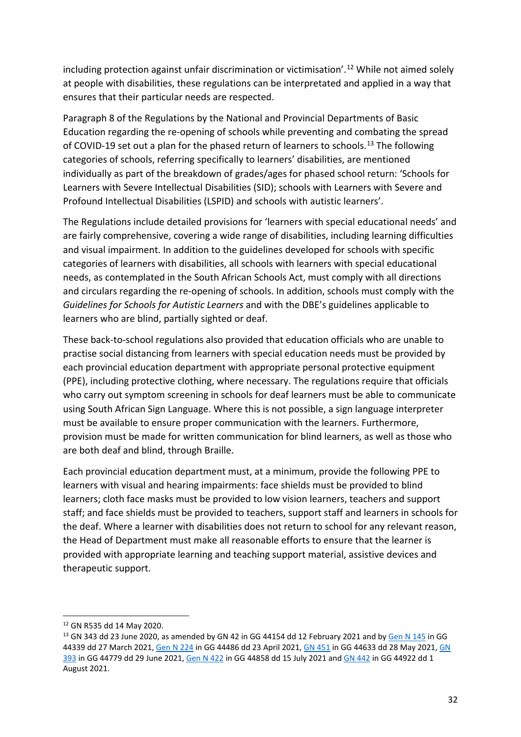including protection against unfair discrimination or victimisation'.<sup>[12](#page-31-0)</sup> While not aimed solely at people with disabilities, these regulations can be interpretated and applied in a way that ensures that their particular needs are respected.

Paragraph 8 of the Regulations by the National and Provincial Departments of Basic Education regarding the re-opening of schools while preventing and combating the spread of COVID-19 set out a plan for the phased return of learners to schools.<sup>[13](#page-31-1)</sup> The following categories of schools, referring specifically to learners' disabilities, are mentioned individually as part of the breakdown of grades/ages for phased school return: 'Schools for Learners with Severe Intellectual Disabilities (SID); schools with Learners with Severe and Profound Intellectual Disabilities (LSPID) and schools with autistic learners'.

The Regulations include detailed provisions for 'learners with special educational needs' and are fairly comprehensive, covering a wide range of disabilities, including learning difficulties and visual impairment. In addition to the guidelines developed for schools with specific categories of learners with disabilities, all schools with learners with special educational needs, as contemplated in the South African Schools Act, must comply with all directions and circulars regarding the re-opening of schools. In addition, schools must comply with the *Guidelines for Schools for Autistic Learners* and with the DBE's guidelines applicable to learners who are blind, partially sighted or deaf.

These back-to-school regulations also provided that education officials who are unable to practise social distancing from learners with special education needs must be provided by each provincial education department with appropriate personal protective equipment (PPE), including protective clothing, where necessary. The regulations require that officials who carry out symptom screening in schools for deaf learners must be able to communicate using South African Sign Language. Where this is not possible, a sign language interpreter must be available to ensure proper communication with the learners. Furthermore, provision must be made for written communication for blind learners, as well as those who are both deaf and blind, through Braille.

Each provincial education department must, at a minimum, provide the following PPE to learners with visual and hearing impairments: face shields must be provided to blind learners; cloth face masks must be provided to low vision learners, teachers and support staff; and face shields must be provided to teachers, support staff and learners in schools for the deaf. Where a learner with disabilities does not return to school for any relevant reason, the Head of Department must make all reasonable efforts to ensure that the learner is provided with appropriate learning and teaching support material, assistive devices and therapeutic support.

<span id="page-31-0"></span><sup>12</sup> GN R535 dd 14 May 2020.

<span id="page-31-1"></span><sup>&</sup>lt;sup>13</sup> GN 343 dd 23 June 2020, as amended by GN 42 in GG 44154 dd 12 February 2021 and by [Gen N 145](https://discover.sabinet.co.za/webx/access/netlaw/57_2002_disaster_management_128_gg44339_2021_GEN_nn145.pdf) in GG 44339 dd 27 March 2021[, Gen N 224](https://discover.sabinet.co.za/webx/access/netlaw/57_2002_disaster_management_128_gg44486_2021_GEN_nn224.pdf) in GG 44486 dd 23 April 2021, [GN 451](https://discover.sabinet.co.za/webx/access/netlaw/57_2002_disaster_management_128_gg44633_2021_GOV_nn451.pdf) in GG 44633 dd 28 May 2021[, GN](https://discover.sabinet.co.za/webx/access/netlaw/57_2002_disaster_management_128_gg44779_2021_GEN_nn393.pdf)  [393](https://discover.sabinet.co.za/webx/access/netlaw/57_2002_disaster_management_128_gg44779_2021_GEN_nn393.pdf) in GG 44779 dd 29 June 2021, [Gen N 422](https://discover.sabinet.co.za/webx/access/netlaw/57_2002_disaster_management_128_gg44858_2021_GEN_nn422.pdf) in GG 44858 dd 15 July 2021 and [GN 442](https://discover.sabinet.co.za/webx/access/netlaw/57_2002_disaster_management_128_gg44922_2021_GEN_nn442.pdf) in GG 44922 dd 1 August 2021.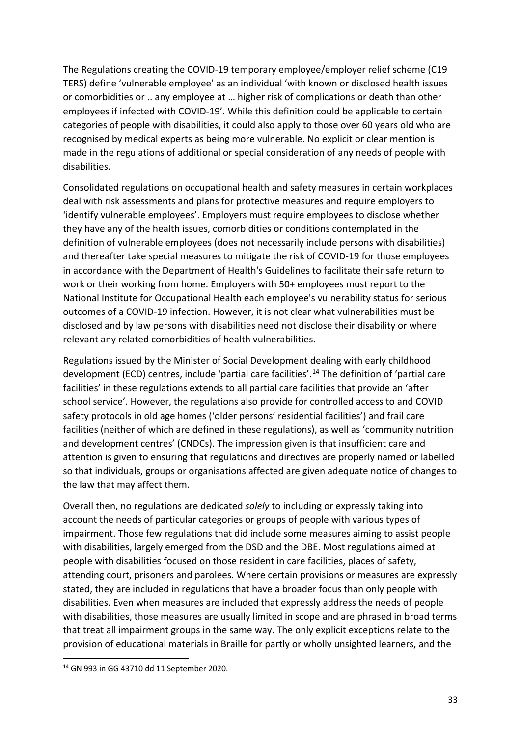The Regulations creating the COVID-19 temporary employee/employer relief scheme (C19 TERS) define 'vulnerable employee' as an individual 'with known or disclosed health issues or comorbidities or .. any employee at … higher risk of complications or death than other employees if infected with COVID-19'. While this definition could be applicable to certain categories of people with disabilities, it could also apply to those over 60 years old who are recognised by medical experts as being more vulnerable. No explicit or clear mention is made in the regulations of additional or special consideration of any needs of people with disabilities.

Consolidated regulations on occupational health and safety measures in certain workplaces deal with risk assessments and plans for protective measures and require employers to 'identify vulnerable employees'. Employers must require employees to disclose whether they have any of the health issues, comorbidities or conditions contemplated in the definition of vulnerable employees (does not necessarily include persons with disabilities) and thereafter take special measures to mitigate the risk of COVID-19 for those employees in accordance with the Department of Health's Guidelines to facilitate their safe return to work or their working from home. Employers with 50+ employees must report to the National Institute for Occupational Health each employee's vulnerability status for serious outcomes of a COVID-19 infection. However, it is not clear what vulnerabilities must be disclosed and by law persons with disabilities need not disclose their disability or where relevant any related comorbidities of health vulnerabilities.

Regulations issued by the Minister of Social Development dealing with early childhood development (ECD) centres, include 'partial care facilities'.[14](#page-32-0) The definition of 'partial care facilities' in these regulations extends to all partial care facilities that provide an 'after school service'. However, the regulations also provide for controlled access to and COVID safety protocols in old age homes ('older persons' residential facilities') and frail care facilities (neither of which are defined in these regulations), as well as 'community nutrition and development centres' (CNDCs). The impression given is that insufficient care and attention is given to ensuring that regulations and directives are properly named or labelled so that individuals, groups or organisations affected are given adequate notice of changes to the law that may affect them.

Overall then, no regulations are dedicated *solely* to including or expressly taking into account the needs of particular categories or groups of people with various types of impairment. Those few regulations that did include some measures aiming to assist people with disabilities, largely emerged from the DSD and the DBE. Most regulations aimed at people with disabilities focused on those resident in care facilities, places of safety, attending court, prisoners and parolees. Where certain provisions or measures are expressly stated, they are included in regulations that have a broader focus than only people with disabilities. Even when measures are included that expressly address the needs of people with disabilities, those measures are usually limited in scope and are phrased in broad terms that treat all impairment groups in the same way. The only explicit exceptions relate to the provision of educational materials in Braille for partly or wholly unsighted learners, and the

<span id="page-32-0"></span><sup>14</sup> GN 993 in GG 43710 dd 11 September 2020.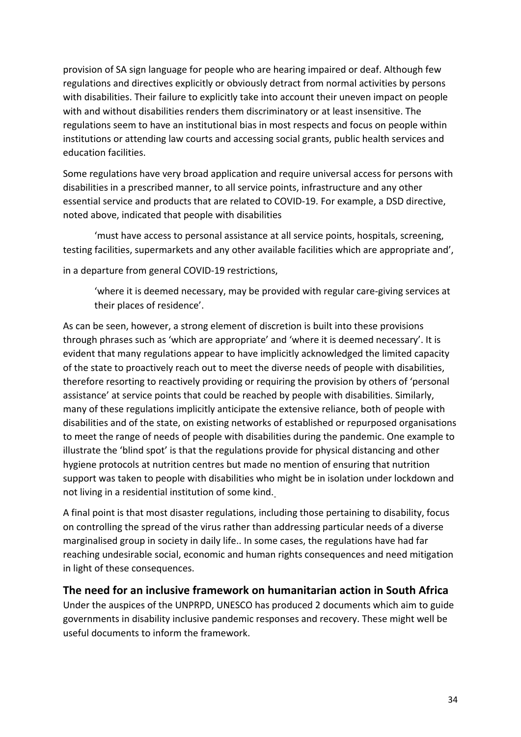provision of SA sign language for people who are hearing impaired or deaf. Although few regulations and directives explicitly or obviously detract from normal activities by persons with disabilities. Their failure to explicitly take into account their uneven impact on people with and without disabilities renders them discriminatory or at least insensitive. The regulations seem to have an institutional bias in most respects and focus on people within institutions or attending law courts and accessing social grants, public health services and education facilities.

Some regulations have very broad application and require universal access for persons with disabilities in a prescribed manner, to all service points, infrastructure and any other essential service and products that are related to COVID-19. For example, a DSD directive, noted above, indicated that people with disabilities

'must have access to personal assistance at all service points, hospitals, screening, testing facilities, supermarkets and any other available facilities which are appropriate and',

in a departure from general COVID-19 restrictions,

'where it is deemed necessary, may be provided with regular care-giving services at their places of residence'.

As can be seen, however, a strong element of discretion is built into these provisions through phrases such as 'which are appropriate' and 'where it is deemed necessary'. It is evident that many regulations appear to have implicitly acknowledged the limited capacity of the state to proactively reach out to meet the diverse needs of people with disabilities, therefore resorting to reactively providing or requiring the provision by others of 'personal assistance' at service points that could be reached by people with disabilities. Similarly, many of these regulations implicitly anticipate the extensive reliance, both of people with disabilities and of the state, on existing networks of established or repurposed organisations to meet the range of needs of people with disabilities during the pandemic. One example to illustrate the 'blind spot' is that the regulations provide for physical distancing and other hygiene protocols at nutrition centres but made no mention of ensuring that nutrition support was taken to people with disabilities who might be in isolation under lockdown and not living in a residential institution of some kind.

A final point is that most disaster regulations, including those pertaining to disability, focus on controlling the spread of the virus rather than addressing particular needs of a diverse marginalised group in society in daily life.. In some cases, the regulations have had far reaching undesirable social, economic and human rights consequences and need mitigation in light of these consequences.

## <span id="page-33-0"></span>**The need for an inclusive framework on humanitarian action in South Africa**

Under the auspices of the UNPRPD, UNESCO has produced 2 documents which aim to guide governments in disability inclusive pandemic responses and recovery. These might well be useful documents to inform the framework.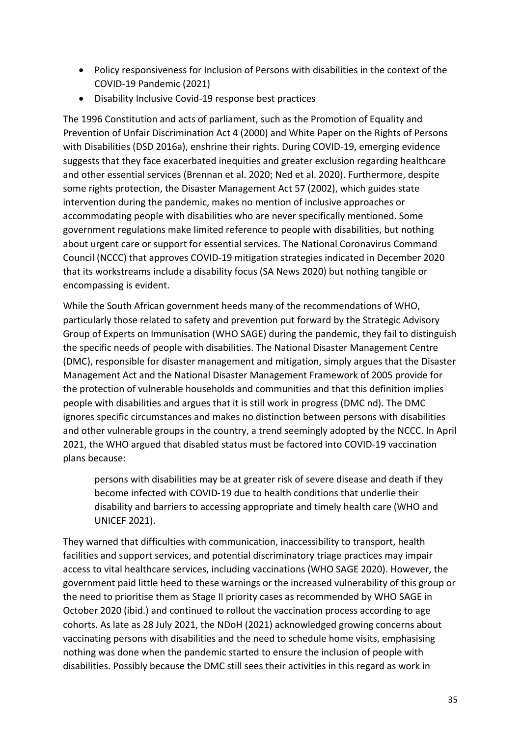- Policy responsiveness for Inclusion of Persons with disabilities in the context of the COVID-19 Pandemic (2021)
- Disability Inclusive Covid-19 response best practices

The 1996 Constitution and acts of parliament, such as the Promotion of Equality and Prevention of Unfair Discrimination Act 4 (2000) and White Paper on the Rights of Persons with Disabilities (DSD 2016a), enshrine their rights. During COVID-19, emerging evidence suggests that they face exacerbated inequities and greater exclusion regarding healthcare and other essential services (Brennan et al. 2020; Ned et al. 2020). Furthermore, despite some rights protection, the Disaster Management Act 57 (2002), which guides state intervention during the pandemic, makes no mention of inclusive approaches or accommodating people with disabilities who are never specifically mentioned. Some government regulations make limited reference to people with disabilities, but nothing about urgent care or support for essential services. The National Coronavirus Command Council (NCCC) that approves COVID-19 mitigation strategies indicated in December 2020 that its workstreams include a disability focus (SA News 2020) but nothing tangible or encompassing is evident.

While the South African government heeds many of the recommendations of WHO, particularly those related to safety and prevention put forward by the Strategic Advisory Group of Experts on Immunisation (WHO SAGE) during the pandemic, they fail to distinguish the specific needs of people with disabilities. The National Disaster Management Centre (DMC), responsible for disaster management and mitigation, simply argues that the Disaster Management Act and the National Disaster Management Framework of 2005 provide for the protection of vulnerable households and communities and that this definition implies people with disabilities and argues that it is still work in progress (DMC nd). The DMC ignores specific circumstances and makes no distinction between persons with disabilities and other vulnerable groups in the country, a trend seemingly adopted by the NCCC. In April 2021, the WHO argued that disabled status must be factored into COVID-19 vaccination plans because:

persons with disabilities may be at greater risk of severe disease and death if they become infected with COVID‑19 due to health conditions that underlie their disability and barriers to accessing appropriate and timely health care (WHO and UNICEF 2021).

They warned that difficulties with communication, inaccessibility to transport, health facilities and support services, and potential discriminatory triage practices may impair access to vital healthcare services, including vaccinations (WHO SAGE 2020). However, the government paid little heed to these warnings or the increased vulnerability of this group or the need to prioritise them as Stage II priority cases as recommended by WHO SAGE in October 2020 (ibid.) and continued to rollout the vaccination process according to age cohorts. As late as 28 July 2021, the NDoH (2021) acknowledged growing concerns about vaccinating persons with disabilities and the need to schedule home visits, emphasising nothing was done when the pandemic started to ensure the inclusion of people with disabilities. Possibly because the DMC still sees their activities in this regard as work in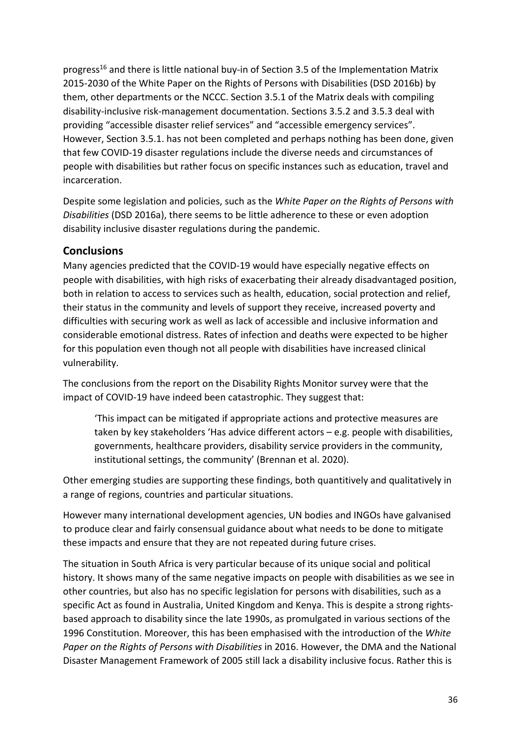progress<sup>16</sup> and there is little national buy-in of Section 3.5 of the Implementation Matrix 2015-2030 of the White Paper on the Rights of Persons with Disabilities (DSD 2016b) by them, other departments or the NCCC. Section 3.5.1 of the Matrix deals with compiling disability-inclusive risk-management documentation. Sections 3.5.2 and 3.5.3 deal with providing "accessible disaster relief services" and "accessible emergency services". However, Section 3.5.1. has not been completed and perhaps nothing has been done, given that few COVID-19 disaster regulations include the diverse needs and circumstances of people with disabilities but rather focus on specific instances such as education, travel and incarceration.

Despite some legislation and policies, such as the *White Paper on the Rights of Persons with Disabilities* (DSD 2016a), there seems to be little adherence to these or even adoption disability inclusive disaster regulations during the pandemic.

## <span id="page-35-0"></span>**Conclusions**

Many agencies predicted that the COVID-19 would have especially negative effects on people with disabilities, with high risks of exacerbating their already disadvantaged position, both in relation to access to services such as health, education, social protection and relief, their status in the community and levels of support they receive, increased poverty and difficulties with securing work as well as lack of accessible and inclusive information and considerable emotional distress. Rates of infection and deaths were expected to be higher for this population even though not all people with disabilities have increased clinical vulnerability.

The conclusions from the report on the Disability Rights Monitor survey were that the impact of COVID-19 have indeed been catastrophic. They suggest that:

'This impact can be mitigated if appropriate actions and protective measures are taken by key stakeholders 'Has advice different actors – e.g. people with disabilities, governments, healthcare providers, disability service providers in the community, institutional settings, the community' (Brennan et al. 2020).

Other emerging studies are supporting these findings, both quantitively and qualitatively in a range of regions, countries and particular situations.

However many international development agencies, UN bodies and INGOs have galvanised to produce clear and fairly consensual guidance about what needs to be done to mitigate these impacts and ensure that they are not repeated during future crises.

The situation in South Africa is very particular because of its unique social and political history. It shows many of the same negative impacts on people with disabilities as we see in other countries, but also has no specific legislation for persons with disabilities, such as a specific Act as found in Australia, United Kingdom and Kenya. This is despite a strong rightsbased approach to disability since the late 1990s, as promulgated in various sections of the 1996 Constitution. Moreover, this has been emphasised with the introduction of the *White Paper on the Rights of Persons with Disabilities* in 2016. However, the DMA and the National Disaster Management Framework of 2005 still lack a disability inclusive focus. Rather this is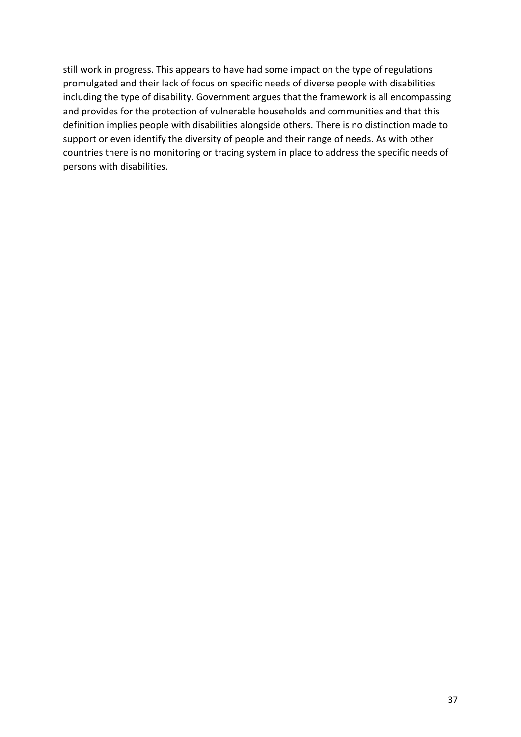still work in progress. This appears to have had some impact on the type of regulations promulgated and their lack of focus on specific needs of diverse people with disabilities including the type of disability. Government argues that the framework is all encompassing and provides for the protection of vulnerable households and communities and that this definition implies people with disabilities alongside others. There is no distinction made to support or even identify the diversity of people and their range of needs. As with other countries there is no monitoring or tracing system in place to address the specific needs of persons with disabilities.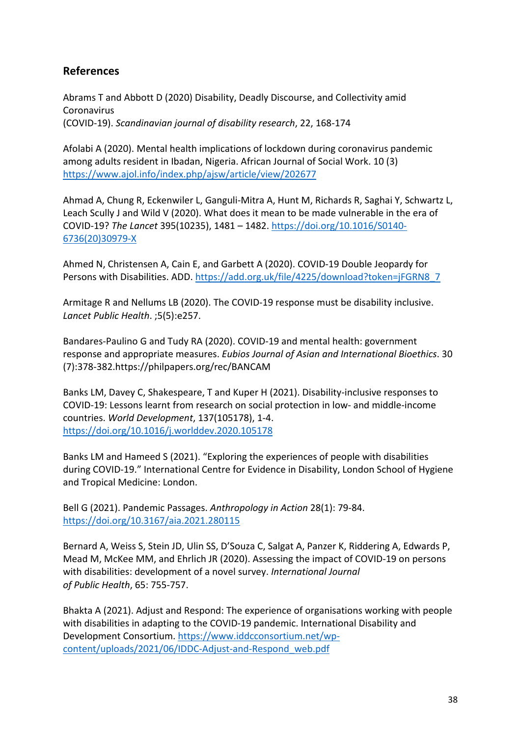## <span id="page-37-0"></span>**References**

Abrams T and Abbott D (2020) Disability, Deadly Discourse, and Collectivity amid Coronavirus (COVID-19). *Scandinavian journal of disability research*, 22, 168-174

Afolabi A (2020). Mental health implications of lockdown during coronavirus pandemic among adults resident in Ibadan, Nigeria. African Journal of Social Work. 10 (3) <https://www.ajol.info/index.php/ajsw/article/view/202677>

Ahmad A, Chung R, Eckenwiler L, Ganguli-Mitra A, Hunt M, Richards R, Saghai Y, Schwartz L, Leach Scully J and Wild V (2020). What does it mean to be made vulnerable in the era of COVID-19? *The Lancet* 395(10235), 1481 – 1482. [https://doi.org/10.1016/S0140-](https://doi.org/10.1016/S0140-6736(20)30979-X) [6736\(20\)30979-X](https://doi.org/10.1016/S0140-6736(20)30979-X)

Ahmed N, Christensen A, Cain E, and Garbett A (2020). COVID-19 Double Jeopardy for Persons with Disabilities. ADD. [https://add.org.uk/file/4225/download?token=jFGRN8\\_7](https://add.org.uk/file/4225/download?token=jFGRN8_7)

Armitage R and Nellums LB (2020). The COVID-19 response must be disability inclusive. *Lancet Public Health*. ;5(5):e257.

Bandares-Paulino G and Tudy RA (2020). COVID-19 and mental health: government response and appropriate measures. *Eubios Journal of Asian and International Bioethics*. 30 (7):378-382.https://philpapers.org/rec/BANCAM

Banks LM, Davey C, Shakespeare, T and Kuper H (2021). Disability-inclusive responses to COVID-19: Lessons learnt from research on social protection in low- and middle-income countries. *World Development*, 137(105178), 1-4. <https://doi.org/10.1016/j.worlddev.2020.105178>

Banks LM and Hameed S (2021). "Exploring the experiences of people with disabilities during COVID-19." International Centre for Evidence in Disability, London School of Hygiene and Tropical Medicine: London.

Bell G (2021). Pandemic Passages. *Anthropology in Action* 28(1): 79-84. <https://doi.org/10.3167/aia.2021.280115>

Bernard A, Weiss S, Stein JD, Ulin SS, D'Souza C, Salgat A, Panzer K, Riddering A, Edwards P, Mead M, McKee MM, and Ehrlich JR (2020). Assessing the impact of COVID-19 on persons with disabilities: development of a novel survey. *International Journal of Public Health*, 65: 755-757.

Bhakta A (2021). Adjust and Respond: The experience of organisations working with people with disabilities in adapting to the COVID-19 pandemic. International Disability and Development Consortium. [https://www.iddcconsortium.net/wp](https://www.iddcconsortium.net/wp-content/uploads/2021/06/IDDC-Adjust-and-Respond_web.pdf)[content/uploads/2021/06/IDDC-Adjust-and-Respond\\_web.pdf](https://www.iddcconsortium.net/wp-content/uploads/2021/06/IDDC-Adjust-and-Respond_web.pdf)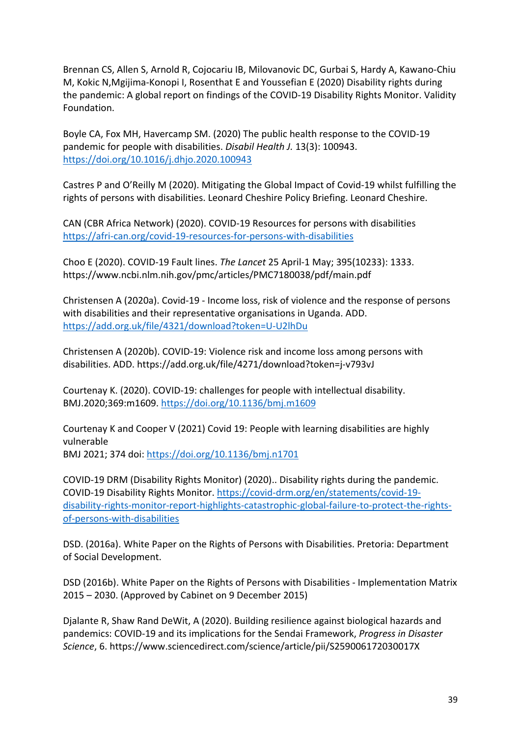Brennan CS, Allen S, Arnold R, Cojocariu IB, Milovanovic DC, Gurbai S, Hardy A, Kawano-Chiu M, Kokic N,Mgijima-Konopi I, Rosenthat E and Youssefian E (2020) Disability rights during the pandemic: A global report on findings of the COVID-19 Disability Rights Monitor. Validity Foundation.

Boyle CA, Fox MH, Havercamp SM. (2020) The public health response to the COVID-19 pandemic for people with disabilities. *Disabil Health J.* 13(3): 100943. <https://doi.org/10.1016/j.dhjo.2020.100943>

Castres P and O'Reilly M (2020). Mitigating the Global Impact of Covid-19 whilst fulfilling the rights of persons with disabilities. Leonard Cheshire Policy Briefing. Leonard Cheshire.

CAN (CBR Africa Network) (2020). COVID-19 Resources for persons with disabilities <https://afri-can.org/covid-19-resources-for-persons-with-disabilities>

Choo E (2020). COVID-19 Fault lines. *The Lancet* 25 April-1 May; 395(10233): 1333. https://www.ncbi.nlm.nih.gov/pmc/articles/PMC7180038/pdf/main.pdf

Christensen A (2020a). Covid-19 - Income loss, risk of violence and the response of persons with disabilities and their representative organisations in Uganda. ADD. <https://add.org.uk/file/4321/download?token=U-U2lhDu>

Christensen A (2020b). COVID-19: Violence risk and income loss among persons with disabilities. ADD. https://add.org.uk/file/4271/download?token=j-v793vJ

Courtenay K. (2020). COVID-19: challenges for people with intellectual disability. BMJ.2020;369:m1609.<https://doi.org/10.1136/bmj.m1609>

Courtenay K and Cooper V (2021) Covid 19: People with learning disabilities are highly vulnerable BMJ 2021; 374 doi:<https://doi.org/10.1136/bmj.n1701>

COVID-19 DRM (Disability Rights Monitor) (2020).. Disability rights during the pandemic. COVID-19 Disability Rights Monitor. [https://covid-drm.org/en/statements/covid-19](https://covid-drm.org/en/statements/covid-19-disability-rights-monitor-report-highlights-catastrophic-global-failure-to-protect-the-rights-of-persons-with-disabilities) [disability-rights-monitor-report-highlights-catastrophic-global-failure-to-protect-the-rights](https://covid-drm.org/en/statements/covid-19-disability-rights-monitor-report-highlights-catastrophic-global-failure-to-protect-the-rights-of-persons-with-disabilities)[of-persons-with-disabilities](https://covid-drm.org/en/statements/covid-19-disability-rights-monitor-report-highlights-catastrophic-global-failure-to-protect-the-rights-of-persons-with-disabilities)

DSD. (2016a). White Paper on the Rights of Persons with Disabilities. Pretoria: Department of Social Development.

DSD (2016b). White Paper on the Rights of Persons with Disabilities - Implementation Matrix 2015 – 2030. (Approved by Cabinet on 9 December 2015)

Djalante R, Shaw Rand DeWit, A (2020). Building resilience against biological hazards and pandemics: COVID-19 and its implications for the Sendai Framework, *Progress in Disaster Science*, 6. https://www.sciencedirect.com/science/article/pii/S259006172030017X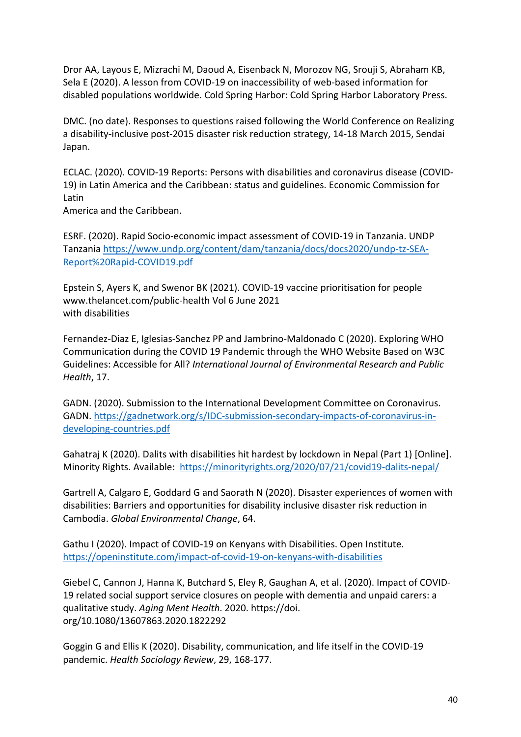Dror AA, Layous E, Mizrachi M, Daoud A, Eisenback N, Morozov NG, Srouji S, Abraham KB, Sela E (2020). A lesson from COVID-19 on inaccessibility of web-based information for disabled populations worldwide. Cold Spring Harbor: Cold Spring Harbor Laboratory Press.

DMC. (no date). Responses to questions raised following the World Conference on Realizing a disability-inclusive post-2015 disaster risk reduction strategy, 14-18 March 2015, Sendai Japan.

ECLAC. (2020). COVID-19 Reports: Persons with disabilities and coronavirus disease (COVID-19) in Latin America and the Caribbean: status and guidelines. Economic Commission for Latin

America and the Caribbean.

ESRF. (2020). Rapid Socio-economic impact assessment of COVID-19 in Tanzania. UNDP Tanzania [https://www.undp.org/content/dam/tanzania/docs/docs2020/undp-tz-SEA-](https://www.undp.org/content/dam/tanzania/docs/docs2020/undp-tz-SEA-Report%20Rapid-COVID19.pdf)[Report%20Rapid-COVID19.pdf](https://www.undp.org/content/dam/tanzania/docs/docs2020/undp-tz-SEA-Report%20Rapid-COVID19.pdf)

Epstein S, Ayers K, and Swenor BK (2021). COVID-19 vaccine prioritisation for people www.thelancet.com/public-health Vol 6 June 2021 with disabilities

Fernandez-Diaz E, Iglesias-Sanchez PP and Jambrino-Maldonado C (2020). Exploring WHO Communication during the COVID 19 Pandemic through the WHO Website Based on W3C Guidelines: Accessible for All? *International Journal of Environmental Research and Public Health*, 17.

GADN. (2020). Submission to the International Development Committee on Coronavirus. GADN. [https://gadnetwork.org/s/IDC-submission-secondary-impacts-of-coronavirus-in](https://gadnetwork.org/s/IDC-submission-secondary-impacts-of-coronavirus-in-developing-countries.pdf)[developing-countries.pdf](https://gadnetwork.org/s/IDC-submission-secondary-impacts-of-coronavirus-in-developing-countries.pdf)

Gahatraj K (2020). Dalits with disabilities hit hardest by lockdown in Nepal (Part 1) [Online]. Minority Rights. Available: <https://minorityrights.org/2020/07/21/covid19-dalits-nepal/>

Gartrell A, Calgaro E, Goddard G and Saorath N (2020). Disaster experiences of women with disabilities: Barriers and opportunities for disability inclusive disaster risk reduction in Cambodia. *Global Environmental Change*, 64.

Gathu I (2020). Impact of COVID-19 on Kenyans with Disabilities. Open Institute. <https://openinstitute.com/impact-of-covid-19-on-kenyans-with-disabilities>

Giebel C, Cannon J, Hanna K, Butchard S, Eley R, Gaughan A, et al. (2020). Impact of COVID-19 related social support service closures on people with dementia and unpaid carers: a qualitative study. *Aging Ment Health*. 2020. https://doi. org/10.1080/13607863.2020.1822292

Goggin G and Ellis K (2020). Disability, communication, and life itself in the COVID-19 pandemic. *Health Sociology Review*, 29, 168-177.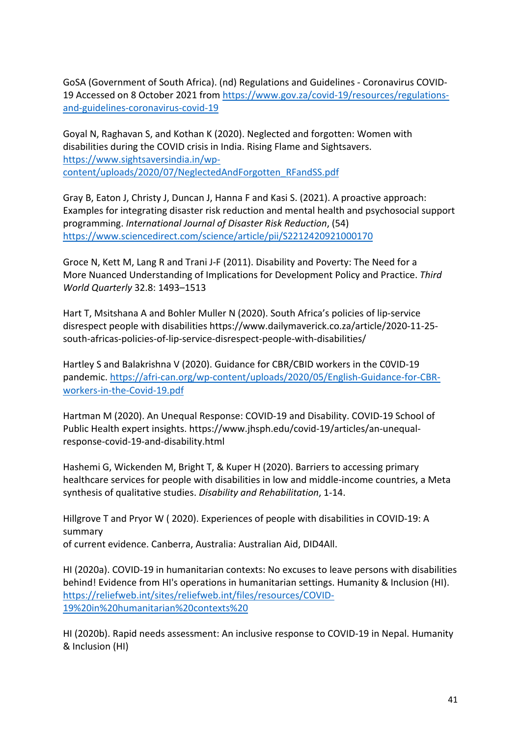GoSA (Government of South Africa). (nd) Regulations and Guidelines - Coronavirus COVID-19 Accessed on 8 October 2021 from [https://www.gov.za/covid-19/resources/regulations](https://www.gov.za/covid-19/resources/regulations-and-guidelines-coronavirus-covid-19)[and-guidelines-coronavirus-covid-19](https://www.gov.za/covid-19/resources/regulations-and-guidelines-coronavirus-covid-19)

Goyal N, Raghavan S, and Kothan K (2020). Neglected and forgotten: Women with disabilities during the COVID crisis in India. Rising Flame and Sightsavers. [https://www.sightsaversindia.in/wp](https://www.sightsaversindia.in/wp-content/uploads/2020/07/NeglectedAndForgotten_RFandSS.pdf)[content/uploads/2020/07/NeglectedAndForgotten\\_RFandSS.pdf](https://www.sightsaversindia.in/wp-content/uploads/2020/07/NeglectedAndForgotten_RFandSS.pdf)

Gray B, Eaton J, Christy J, Duncan J, Hanna F and Kasi S. (2021). A proactive approach: Examples for integrating disaster risk reduction and mental health and psychosocial support programming. *International Journal of Disaster Risk Reduction*, (54) <https://www.sciencedirect.com/science/article/pii/S2212420921000170>

Groce N, Kett M, Lang R and Trani J-F (2011). Disability and Poverty: The Need for a More Nuanced Understanding of Implications for Development Policy and Practice. *Third World Quarterly* 32.8: 1493–1513

Hart T, Msitshana A and Bohler Muller N (2020). South Africa's policies of lip-service disrespect people with disabilities https://www.dailymaverick.co.za/article/2020-11-25 south-africas-policies-of-lip-service-disrespect-people-with-disabilities/

Hartley S and Balakrishna V (2020). Guidance for CBR/CBID workers in the C0VID-19 pandemic. [https://afri-can.org/wp-content/uploads/2020/05/English-Guidance-for-CBR](https://afri-can.org/wp-content/uploads/2020/05/English-Guidance-for-CBR-workers-in-the-Covid-19.pdf)[workers-in-the-Covid-19.pdf](https://afri-can.org/wp-content/uploads/2020/05/English-Guidance-for-CBR-workers-in-the-Covid-19.pdf)

Hartman M (2020). An Unequal Response: COVID-19 and Disability. COVID-19 School of Public Health expert insights. https://www.jhsph.edu/covid-19/articles/an-unequalresponse-covid-19-and-disability.html

Hashemi G, Wickenden M, Bright T, & Kuper H (2020). Barriers to accessing primary healthcare services for people with disabilities in low and middle-income countries, a Meta synthesis of qualitative studies. *Disability and Rehabilitation*, 1-14.

Hillgrove T and Pryor W ( 2020). Experiences of people with disabilities in COVID-19: A summary of current evidence. Canberra, Australia: Australian Aid, DID4All.

HI (2020a). COVID-19 in humanitarian contexts: No excuses to leave persons with disabilities behind! Evidence from HI's operations in humanitarian settings. Humanity & Inclusion (HI). [https://reliefweb.int/sites/reliefweb.int/files/resources/COVID-](https://reliefweb.int/sites/reliefweb.int/files/resources/COVID-19%20in%20humanitarian%20contexts)[19%20in%20humanitarian%20contexts%20](https://reliefweb.int/sites/reliefweb.int/files/resources/COVID-19%20in%20humanitarian%20contexts)

HI (2020b). Rapid needs assessment: An inclusive response to COVID-19 in Nepal. Humanity & Inclusion (HI)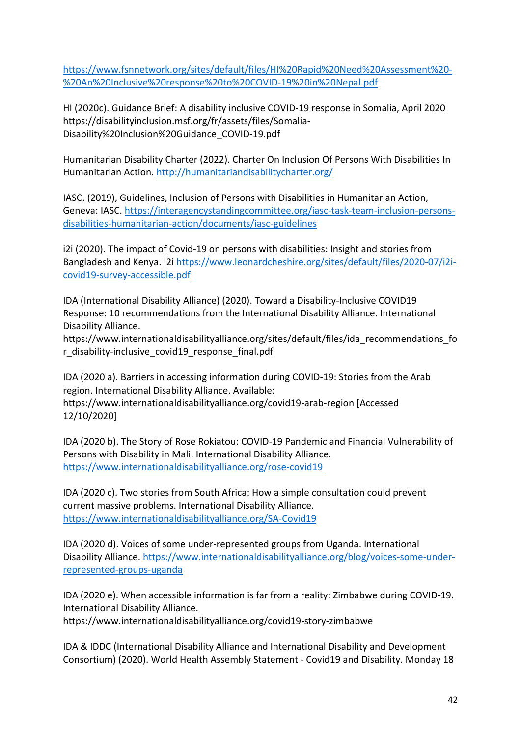[https://www.fsnnetwork.org/sites/default/files/HI%20Rapid%20Need%20Assessment%20-](https://www.fsnnetwork.org/sites/default/files/HI%20Rapid%20Need%20Assessment%20-%20An%20Inclusive%20response%20to%20COVID-19%20in%20Nepal.pdf) [%20An%20Inclusive%20response%20to%20COVID-19%20in%20Nepal.pdf](https://www.fsnnetwork.org/sites/default/files/HI%20Rapid%20Need%20Assessment%20-%20An%20Inclusive%20response%20to%20COVID-19%20in%20Nepal.pdf)

HI (2020c). Guidance Brief: A disability inclusive COVID-19 response in Somalia, April 2020 https://disabilityinclusion.msf.org/fr/assets/files/Somalia-Disability%20Inclusion%20Guidance\_COVID-19.pdf

Humanitarian Disability Charter (2022). Charter On Inclusion Of Persons With Disabilities In Humanitarian Action.<http://humanitariandisabilitycharter.org/>

IASC. (2019), Guidelines, Inclusion of Persons with Disabilities in Humanitarian Action, Geneva: IASC. [https://interagencystandingcommittee.org/iasc-task-team-inclusion-persons](https://interagencystandingcommittee.org/iasc-task-team-inclusion-persons-disabilities-humanitarian-action/documents/iasc-guidelines)[disabilities-humanitarian-action/documents/iasc-guidelines](https://interagencystandingcommittee.org/iasc-task-team-inclusion-persons-disabilities-humanitarian-action/documents/iasc-guidelines)

i2i (2020). The impact of Covid-19 on persons with disabilities: Insight and stories from Bangladesh and Kenya. i2i [https://www.leonardcheshire.org/sites/default/files/2020-07/i2i](https://www.leonardcheshire.org/sites/default/files/2020-07/i2i-covid19-survey-accessible.pdf)[covid19-survey-accessible.pdf](https://www.leonardcheshire.org/sites/default/files/2020-07/i2i-covid19-survey-accessible.pdf)

IDA (International Disability Alliance) (2020). Toward a Disability-Inclusive COVID19 Response: 10 recommendations from the International Disability Alliance. International Disability Alliance.

https://www.internationaldisabilityalliance.org/sites/default/files/ida\_recommendations\_fo r\_disability-inclusive\_covid19\_response\_final.pdf

IDA (2020 a). Barriers in accessing information during COVID-19: Stories from the Arab region. International Disability Alliance. Available: https://www.internationaldisabilityalliance.org/covid19-arab-region [Accessed 12/10/2020]

IDA (2020 b). The Story of Rose Rokiatou: COVID-19 Pandemic and Financial Vulnerability of Persons with Disability in Mali. International Disability Alliance. <https://www.internationaldisabilityalliance.org/rose-covid19>

IDA (2020 c). Two stories from South Africa: How a simple consultation could prevent current massive problems. International Disability Alliance. <https://www.internationaldisabilityalliance.org/SA-Covid19>

IDA (2020 d). Voices of some under-represented groups from Uganda. International Disability Alliance. [https://www.internationaldisabilityalliance.org/blog/voices-some-under](https://www.internationaldisabilityalliance.org/blog/voices-some-under-represented-groups-uganda)[represented-groups-uganda](https://www.internationaldisabilityalliance.org/blog/voices-some-under-represented-groups-uganda)

IDA (2020 e). When accessible information is far from a reality: Zimbabwe during COVID-19. International Disability Alliance.

https://www.internationaldisabilityalliance.org/covid19-story-zimbabwe

IDA & IDDC (International Disability Alliance and International Disability and Development Consortium) (2020). World Health Assembly Statement - Covid19 and Disability. Monday 18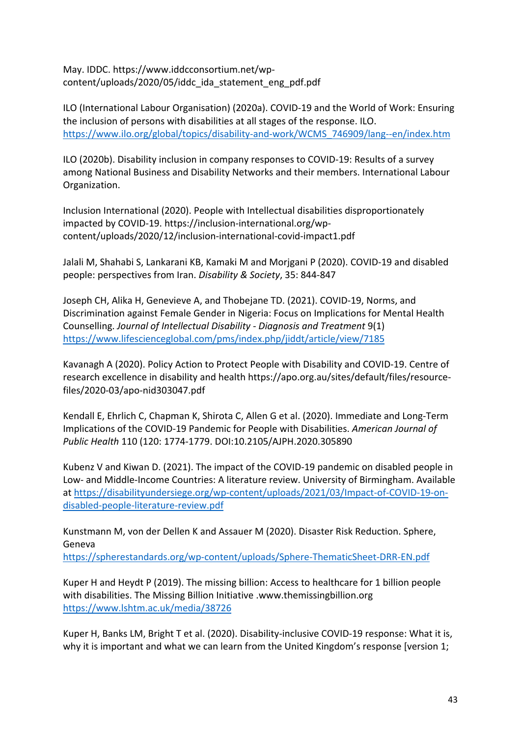May. IDDC. https://www.iddcconsortium.net/wpcontent/uploads/2020/05/iddc\_ida\_statement\_eng\_pdf.pdf

ILO (International Labour Organisation) (2020a). COVID-19 and the World of Work: Ensuring the inclusion of persons with disabilities at all stages of the response. ILO. [https://www.ilo.org/global/topics/disability-and-work/WCMS\\_746909/lang--en/index.htm](https://www.ilo.org/global/topics/disability-and-work/WCMS_746909/lang--en/index.htm)

ILO (2020b). Disability inclusion in company responses to COVID-19: Results of a survey among National Business and Disability Networks and their members. International Labour Organization.

Inclusion International (2020). People with Intellectual disabilities disproportionately impacted by COVID-19. https://inclusion-international.org/wpcontent/uploads/2020/12/inclusion-international-covid-impact1.pdf

Jalali M, Shahabi S, Lankarani KB, Kamaki M and Morjgani P (2020). COVID-19 and disabled people: perspectives from Iran. *Disability & Society*, 35: 844-847

Joseph CH, Alika H, Genevieve A, and Thobejane TD. (2021). COVID-19, Norms, and Discrimination against Female Gender in Nigeria: Focus on Implications for Mental Health Counselling. *Journal of Intellectual Disability - Diagnosis and Treatment* 9(1) <https://www.lifescienceglobal.com/pms/index.php/jiddt/article/view/7185>

Kavanagh A (2020). Policy Action to Protect People with Disability and COVID-19. Centre of research excellence in disability and health https://apo.org.au/sites/default/files/resourcefiles/2020-03/apo-nid303047.pdf

Kendall E, Ehrlich C, Chapman K, Shirota C, Allen G et al. (2020). Immediate and Long-Term Implications of the COVID-19 Pandemic for People with Disabilities. *American Journal of Public Health* 110 (120: 1774-1779. DOI:10.2105/AJPH.2020.305890

Kubenz V and Kiwan D. (2021). The impact of the COVID-19 pandemic on disabled people in Low- and Middle-Income Countries: A literature review. University of Birmingham. Available at [https://disabilityundersiege.org/wp-content/uploads/2021/03/Impact-of-COVID-19-on](https://disabilityundersiege.org/wp-content/uploads/2021/03/Impact-of-COVID-19-on-disabled-people-literature-review.pdf)[disabled-people-literature-review.pdf](https://disabilityundersiege.org/wp-content/uploads/2021/03/Impact-of-COVID-19-on-disabled-people-literature-review.pdf)

Kunstmann M, von der Dellen K and Assauer M (2020). Disaster Risk Reduction. Sphere, Geneva

<https://spherestandards.org/wp-content/uploads/Sphere-ThematicSheet-DRR-EN.pdf>

Kuper H and Heydt P (2019). The missing billion: Access to healthcare for 1 billion people with disabilities. The Missing Billion Initiative .www.themissingbillion.org <https://www.lshtm.ac.uk/media/38726>

Kuper H, Banks LM, Bright T et al. (2020). Disability-inclusive COVID-19 response: What it is, why it is important and what we can learn from the United Kingdom's response [version 1;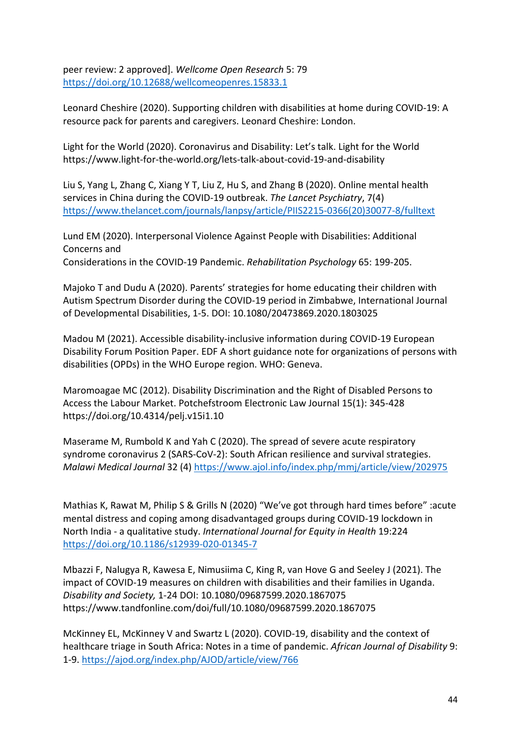peer review: 2 approved]. *Wellcome Open Research* 5: 79 <https://doi.org/10.12688/wellcomeopenres.15833.1>

Leonard Cheshire (2020). Supporting children with disabilities at home during COVID-19: A resource pack for parents and caregivers. Leonard Cheshire: London.

Light for the World (2020). Coronavirus and Disability: Let's talk. Light for the World https://www.light-for-the-world.org/lets-talk-about-covid-19-and-disability

Liu S, Yang L, Zhang C, Xiang Y T, Liu Z, Hu S, and Zhang B (2020). Online mental health services in China during the COVID-19 outbreak. *The Lancet Psychiatry*, 7(4) [https://www.thelancet.com/journals/lanpsy/article/PIIS2215-0366\(20\)30077-8/fulltext](https://www.thelancet.com/journals/lanpsy/article/PIIS2215-0366(20)30077-8/fulltext)

Lund EM (2020). Interpersonal Violence Against People with Disabilities: Additional Concerns and Considerations in the COVID-19 Pandemic. *Rehabilitation Psychology* 65: 199-205.

Majoko T and Dudu A (2020). Parents' strategies for home educating their children with Autism Spectrum Disorder during the COVID-19 period in Zimbabwe, International Journal of Developmental Disabilities, 1-5. DOI: 10.1080/20473869.2020.1803025

Madou M (2021). Accessible disability-inclusive information during COVID-19 European Disability Forum Position Paper. EDF A short guidance note for organizations of persons with disabilities (OPDs) in the WHO Europe region. WHO: Geneva.

Maromoagae MC (2012). Disability Discrimination and the Right of Disabled Persons to Access the Labour Market. Potchefstroom Electronic Law Journal 15(1): 345-428 https://doi.org/10.4314/pelj.v15i1.10

Maserame M, Rumbold K and Yah C (2020). The spread of severe acute respiratory syndrome coronavirus 2 (SARS-CoV-2): South African resilience and survival strategies. *Malawi Medical Journal* 32 (4) <https://www.ajol.info/index.php/mmj/article/view/202975>

Mathias K, Rawat M, Philip S & Grills N (2020) "We've got through hard times before" :acute mental distress and coping among disadvantaged groups during COVID-19 lockdown in North India - a qualitative study. *International Journal for Equity in Health* 19:224 <https://doi.org/10.1186/s12939-020-01345-7>

Mbazzi F, Nalugya R, Kawesa E, Nimusiima C, King R, van Hove G and Seeley J (2021). The impact of COVID-19 measures on children with disabilities and their families in Uganda. *Disability and Society,* 1-24 DOI: 10.1080/09687599.2020.1867075 https://www.tandfonline.com/doi/full/10.1080/09687599.2020.1867075

McKinney EL, McKinney V and Swartz L (2020). COVID-19, disability and the context of healthcare triage in South Africa: Notes in a time of pandemic. *African Journal of Disability* 9: 1-9.<https://ajod.org/index.php/AJOD/article/view/766>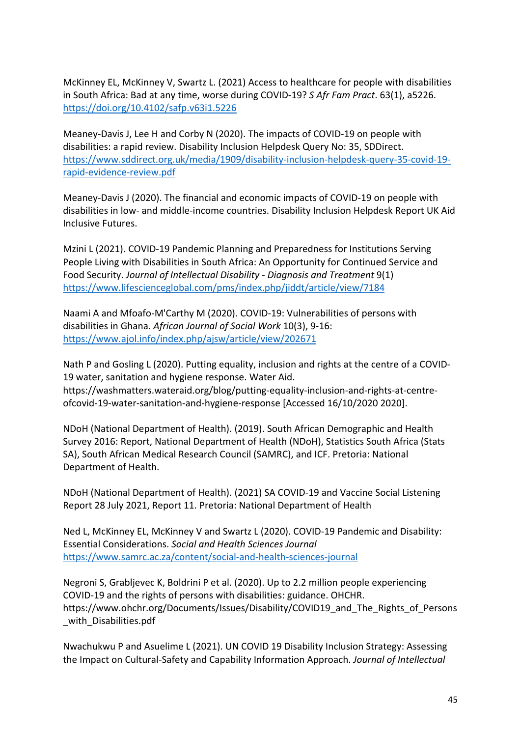McKinney EL, McKinney V, Swartz L. (2021) Access to healthcare for people with disabilities in South Africa: Bad at any time, worse during COVID-19? *S Afr Fam Pract*. 63(1), a5226. <https://doi.org/10.4102/safp.v63i1.5226>

Meaney-Davis J, Lee H and Corby N (2020). The impacts of COVID-19 on people with disabilities: a rapid review. Disability Inclusion Helpdesk Query No: 35, SDDirect. [https://www.sddirect.org.uk/media/1909/disability-inclusion-helpdesk-query-35-covid-19](https://www.sddirect.org.uk/media/1909/disability-inclusion-helpdesk-query-35-covid-19-rapid-evidence-review.pdf) [rapid-evidence-review.pdf](https://www.sddirect.org.uk/media/1909/disability-inclusion-helpdesk-query-35-covid-19-rapid-evidence-review.pdf)

Meaney-Davis J (2020). The financial and economic impacts of COVID-19 on people with disabilities in low- and middle-income countries. Disability Inclusion Helpdesk Report UK Aid Inclusive Futures.

Mzini L (2021). COVID-19 Pandemic Planning and Preparedness for Institutions Serving People Living with Disabilities in South Africa: An Opportunity for Continued Service and Food Security. *Journal of Intellectual Disability - Diagnosis and Treatment* 9(1) <https://www.lifescienceglobal.com/pms/index.php/jiddt/article/view/7184>

Naami A and Mfoafo-M'Carthy M (2020). COVID-19: Vulnerabilities of persons with disabilities in Ghana. *African Journal of Social Work* 10(3), 9-16: <https://www.ajol.info/index.php/ajsw/article/view/202671>

Nath P and Gosling L (2020). Putting equality, inclusion and rights at the centre of a COVID-19 water, sanitation and hygiene response. Water Aid. https://washmatters.wateraid.org/blog/putting-equality-inclusion-and-rights-at-centreofcovid-19-water-sanitation-and-hygiene-response [Accessed 16/10/2020 2020].

NDoH (National Department of Health). (2019). South African Demographic and Health Survey 2016: Report, National Department of Health (NDoH), Statistics South Africa (Stats SA), South African Medical Research Council (SAMRC), and ICF. Pretoria: National Department of Health.

NDoH (National Department of Health). (2021) SA COVID-19 and Vaccine Social Listening Report 28 July 2021, Report 11. Pretoria: National Department of Health

Ned L, McKinney EL, McKinney V and Swartz L (2020). COVID-19 Pandemic and Disability: Essential Considerations. *Social and Health Sciences Journal* <https://www.samrc.ac.za/content/social-and-health-sciences-journal>

Negroni S, Grabljevec K, Boldrini P et al. (2020). Up to 2.2 million people experiencing COVID-19 and the rights of persons with disabilities: guidance. OHCHR. https://www.ohchr.org/Documents/Issues/Disability/COVID19\_and\_The\_Rights\_of\_Persons with Disabilities.pdf

Nwachukwu P and Asuelime L (2021). UN COVID 19 Disability Inclusion Strategy: Assessing the Impact on Cultural-Safety and Capability Information Approach. *Journal of Intellectual*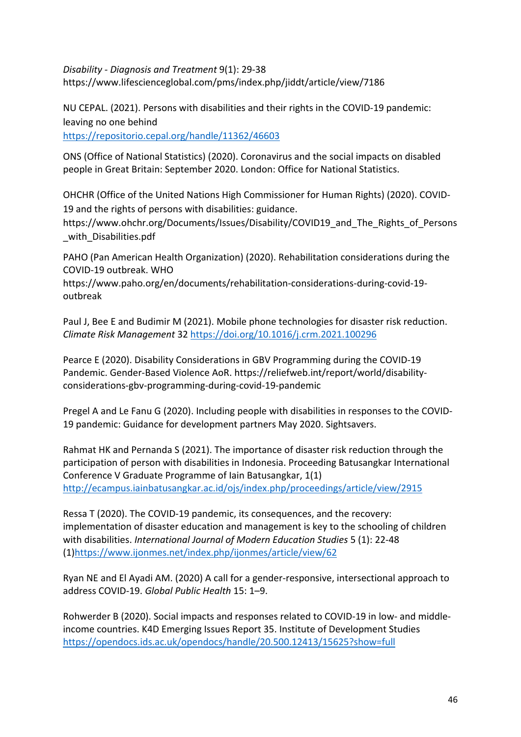*Disability - Diagnosis and Treatment* 9(1): 29-38 https://www.lifescienceglobal.com/pms/index.php/jiddt/article/view/7186

NU CEPAL. (2021). Persons with disabilities and their rights in the COVID-19 pandemic: leaving no one behind <https://repositorio.cepal.org/handle/11362/46603>

ONS (Office of National Statistics) (2020). Coronavirus and the social impacts on disabled people in Great Britain: September 2020. London: Office for National Statistics.

OHCHR (Office of the United Nations High Commissioner for Human Rights) (2020). COVID-19 and the rights of persons with disabilities: guidance.

https://www.ohchr.org/Documents/Issues/Disability/COVID19\_and\_The\_Rights\_of\_Persons with Disabilities.pdf

PAHO (Pan American Health Organization) (2020). Rehabilitation considerations during the COVID-19 outbreak. WHO

https://www.paho.org/en/documents/rehabilitation-considerations-during-covid-19 outbreak

Paul J, Bee E and Budimir M (2021). Mobile phone technologies for disaster risk reduction. *Climate Risk Management* 32<https://doi.org/10.1016/j.crm.2021.100296>

Pearce E (2020). Disability Considerations in GBV Programming during the COVID-19 Pandemic. Gender-Based Violence AoR. https://reliefweb.int/report/world/disabilityconsiderations-gbv-programming-during-covid-19-pandemic

Pregel A and Le Fanu G (2020). Including people with disabilities in responses to the COVID-19 pandemic: Guidance for development partners May 2020. Sightsavers.

Rahmat HK and Pernanda S (2021). The importance of disaster risk reduction through the participation of person with disabilities in Indonesia. Proceeding Batusangkar International Conference V Graduate Programme of Iain Batusangkar, 1(1) <http://ecampus.iainbatusangkar.ac.id/ojs/index.php/proceedings/article/view/2915>

Ressa T (2020). The COVID-19 pandemic, its consequences, and the recovery: implementation of disaster education and management is key to the schooling of children with disabilities. *International Journal of Modern Education Studies* 5 (1): 22-48 (1[\)https://www.ijonmes.net/index.php/ijonmes/article/view/62](https://www.ijonmes.net/index.php/ijonmes/article/view/62)

Ryan NE and El Ayadi AM. (2020) A call for a gender-responsive, intersectional approach to address COVID-19. *Global Public Health* 15: 1–9.

Rohwerder B (2020). Social impacts and responses related to COVID-19 in low- and middleincome countries. K4D Emerging Issues Report 35. Institute of Development Studies <https://opendocs.ids.ac.uk/opendocs/handle/20.500.12413/15625?show=full>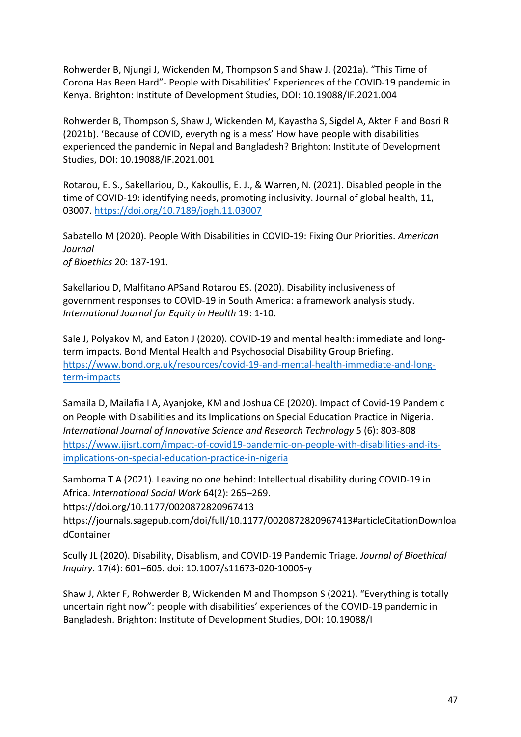Rohwerder B, Njungi J, Wickenden M, Thompson S and Shaw J. (2021a). "This Time of Corona Has Been Hard"- People with Disabilities' Experiences of the COVID-19 pandemic in Kenya. Brighton: Institute of Development Studies, DOI: 10.19088/IF.2021.004

Rohwerder B, Thompson S, Shaw J, Wickenden M, Kayastha S, Sigdel A, Akter F and Bosri R (2021b). 'Because of COVID, everything is a mess' How have people with disabilities experienced the pandemic in Nepal and Bangladesh? Brighton: Institute of Development Studies, DOI: 10.19088/IF.2021.001

Rotarou, E. S., Sakellariou, D., Kakoullis, E. J., & Warren, N. (2021). Disabled people in the time of COVID-19: identifying needs, promoting inclusivity. Journal of global health, 11, 03007.<https://doi.org/10.7189/jogh.11.03007>

Sabatello M (2020). People With Disabilities in COVID-19: Fixing Our Priorities. *American Journal of Bioethics* 20: 187-191.

Sakellariou D, Malfitano APSand Rotarou ES. (2020). Disability inclusiveness of government responses to COVID-19 in South America: a framework analysis study. *International Journal for Equity in Health* 19: 1-10.

Sale J, Polyakov M, and Eaton J (2020). COVID-19 and mental health: immediate and longterm impacts. Bond Mental Health and Psychosocial Disability Group Briefing. [https://www.bond.org.uk/resources/covid-19-and-mental-health-immediate-and-long](https://www.bond.org.uk/resources/covid-19-and-mental-health-immediate-and-long-term-impacts)[term-impacts](https://www.bond.org.uk/resources/covid-19-and-mental-health-immediate-and-long-term-impacts)

Samaila D, Mailafia I A, Ayanjoke, KM and Joshua CE (2020). Impact of Covid-19 Pandemic on People with Disabilities and its Implications on Special Education Practice in Nigeria. *International Journal of Innovative Science and Research Technology* 5 (6): 803-808 [https://www.ijisrt.com/impact-of-covid19-pandemic-on-people-with-disabilities-and-its](https://www.ijisrt.com/impact-of-covid19-pandemic-on-people-with-disabilities-and-its-implications-on-special-education-practice-in-nigeria)[implications-on-special-education-practice-in-nigeria](https://www.ijisrt.com/impact-of-covid19-pandemic-on-people-with-disabilities-and-its-implications-on-special-education-practice-in-nigeria)

Samboma T A (2021). Leaving no one behind: Intellectual disability during COVID-19 in Africa. *International Social Work* 64(2): 265–269.

https://doi.org/10.1177/0020872820967413

https://journals.sagepub.com/doi/full/10.1177/0020872820967413#articleCitationDownloa dContainer

Scully JL (2020). Disability, Disablism, and COVID-19 Pandemic Triage. *Journal of Bioethical Inquiry*. 17(4): 601–605. doi: 10.1007/s11673-020-10005-y

Shaw J, Akter F, Rohwerder B, Wickenden M and Thompson S (2021). "Everything is totally uncertain right now": people with disabilities' experiences of the COVID-19 pandemic in Bangladesh. Brighton: Institute of Development Studies, DOI: 10.19088/I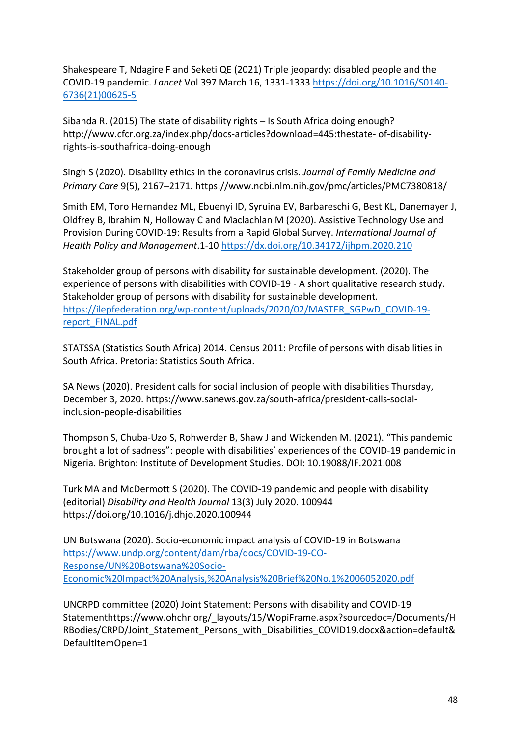Shakespeare T, Ndagire F and Seketi QE (2021) Triple jeopardy: disabled people and the COVID-19 pandemic. *Lancet* Vol 397 March 16, 1331-1333 [https://doi.org/10.1016/S0140-](https://doi.org/10.1016/S0140-6736(21)00625-5) [6736\(21\)00625-5](https://doi.org/10.1016/S0140-6736(21)00625-5)

Sibanda R. (2015) The state of disability rights – Is South Africa doing enough? http://www.cfcr.org.za/index.php/docs-articles?download=445:thestate- of-disabilityrights-is-southafrica-doing-enough

Singh S (2020). Disability ethics in the coronavirus crisis. *Journal of Family Medicine and Primary Care* 9(5), 2167–2171. https://www.ncbi.nlm.nih.gov/pmc/articles/PMC7380818/

Smith EM, Toro Hernandez ML, Ebuenyi ID, Syruina EV, Barbareschi G, Best KL, Danemayer J, Oldfrey B, Ibrahim N, Holloway C and Maclachlan M (2020). Assistive Technology Use and Provision During COVID-19: Results from a Rapid Global Survey. *International Journal of Health Policy and Management*.1-10 <https://dx.doi.org/10.34172/ijhpm.2020.210>

Stakeholder group of persons with disability for sustainable development. (2020). The experience of persons with disabilities with COVID-19 - A short qualitative research study. Stakeholder group of persons with disability for sustainable development. [https://ilepfederation.org/wp-content/uploads/2020/02/MASTER\\_SGPwD\\_COVID-19](https://ilepfederation.org/wp-content/uploads/2020/02/MASTER_SGPwD_COVID-19-report_FINAL.pdf) [report\\_FINAL.pdf](https://ilepfederation.org/wp-content/uploads/2020/02/MASTER_SGPwD_COVID-19-report_FINAL.pdf) 

STATSSA (Statistics South Africa) 2014. Census 2011: Profile of persons with disabilities in South Africa. Pretoria: Statistics South Africa.

SA News (2020). President calls for social inclusion of people with disabilities Thursday, December 3, 2020. https://www.sanews.gov.za/south-africa/president-calls-socialinclusion-people-disabilities

Thompson S, Chuba-Uzo S, Rohwerder B, Shaw J and Wickenden M. (2021). "This pandemic brought a lot of sadness": people with disabilities' experiences of the COVID-19 pandemic in Nigeria. Brighton: Institute of Development Studies. DOI: 10.19088/IF.2021.008

Turk MA and McDermott S (2020). The COVID-19 pandemic and people with disability (editorial) *Disability and Health Journal* 13(3) July 2020. 100944 https://doi.org/10.1016/j.dhjo.2020.100944

UN Botswana (2020). Socio-economic impact analysis of COVID-19 in Botswana [https://www.undp.org/content/dam/rba/docs/COVID-19-CO-](https://www.undp.org/content/dam/rba/docs/COVID-19-CO-Response/UN%20Botswana%20Socio-Economic%20Impact%20Analysis,%20Analysis%20Brief%20No.1%2006052020.pdf)[Response/UN%20Botswana%20Socio-](https://www.undp.org/content/dam/rba/docs/COVID-19-CO-Response/UN%20Botswana%20Socio-Economic%20Impact%20Analysis,%20Analysis%20Brief%20No.1%2006052020.pdf)[Economic%20Impact%20Analysis,%20Analysis%20Brief%20No.1%2006052020.pdf](https://www.undp.org/content/dam/rba/docs/COVID-19-CO-Response/UN%20Botswana%20Socio-Economic%20Impact%20Analysis,%20Analysis%20Brief%20No.1%2006052020.pdf)

UNCRPD committee (2020) Joint Statement: Persons with disability and COVID-19 Statementhttps://www.ohchr.org/\_layouts/15/WopiFrame.aspx?sourcedoc=/Documents/H RBodies/CRPD/Joint Statement Persons with Disabilities COVID19.docx&action=default& DefaultItemOpen=1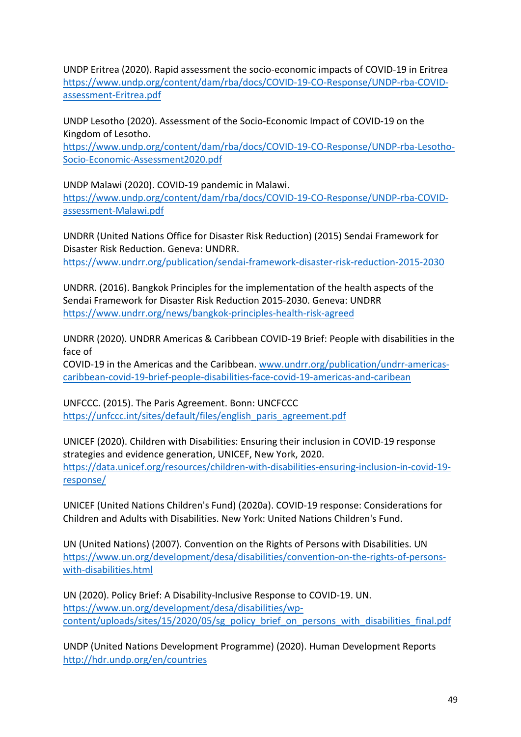UNDP Eritrea (2020). Rapid assessment the socio-economic impacts of COVID-19 in Eritrea [https://www.undp.org/content/dam/rba/docs/COVID-19-CO-Response/UNDP-rba-COVID](https://www.undp.org/content/dam/rba/docs/COVID-19-CO-Response/UNDP-rba-COVID-assessment-Eritrea.pdf)[assessment-Eritrea.pdf](https://www.undp.org/content/dam/rba/docs/COVID-19-CO-Response/UNDP-rba-COVID-assessment-Eritrea.pdf)

UNDP Lesotho (2020). Assessment of the Socio-Economic Impact of COVID-19 on the Kingdom of Lesotho.

[https://www.undp.org/content/dam/rba/docs/COVID-19-CO-Response/UNDP-rba-Lesotho-](https://www.undp.org/content/dam/rba/docs/COVID-19-CO-Response/UNDP-rba-Lesotho-Socio-Economic-Assessment2020.pdf)[Socio-Economic-Assessment2020.pdf](https://www.undp.org/content/dam/rba/docs/COVID-19-CO-Response/UNDP-rba-Lesotho-Socio-Economic-Assessment2020.pdf)

UNDP Malawi (2020). COVID-19 pandemic in Malawi.

[https://www.undp.org/content/dam/rba/docs/COVID-19-CO-Response/UNDP-rba-COVID](https://www.undp.org/content/dam/rba/docs/COVID-19-CO-Response/UNDP-rba-COVID-assessment-Malawi.pdf)[assessment-Malawi.pdf](https://www.undp.org/content/dam/rba/docs/COVID-19-CO-Response/UNDP-rba-COVID-assessment-Malawi.pdf)

UNDRR (United Nations Office for Disaster Risk Reduction) (2015) Sendai Framework for Disaster Risk Reduction. Geneva: UNDRR. <https://www.undrr.org/publication/sendai-framework-disaster-risk-reduction-2015-2030>

UNDRR. (2016). Bangkok Principles for the implementation of the health aspects of the Sendai Framework for Disaster Risk Reduction 2015-2030. Geneva: UNDRR <https://www.undrr.org/news/bangkok-principles-health-risk-agreed>

UNDRR (2020). UNDRR Americas & Caribbean COVID-19 Brief: People with disabilities in the face of

COVID-19 in the Americas and the Caribbean. [www.undrr.org/publication/undrr-americas](http://www.undrr.org/publication/undrr-americas-caribbean-covid-19-brief-people-disabilities-face-covid-19-americas-and-caribean)[caribbean-covid-19-brief-people-disabilities-face-covid-19-americas-and-caribean](http://www.undrr.org/publication/undrr-americas-caribbean-covid-19-brief-people-disabilities-face-covid-19-americas-and-caribean)

UNFCCC. (2015). The Paris Agreement. Bonn: UNCFCCC [https://unfccc.int/sites/default/files/english\\_paris\\_agreement.pdf](https://unfccc.int/sites/default/files/english_paris_agreement.pdf)

UNICEF (2020). Children with Disabilities: Ensuring their inclusion in COVID-19 response strategies and evidence generation, UNICEF, New York, 2020. [https://data.unicef.org/resources/children-with-disabilities-ensuring-inclusion-in-covid-19](https://data.unicef.org/resources/children-with-disabilities-ensuring-inclusion-in-covid-19-response/) [response/](https://data.unicef.org/resources/children-with-disabilities-ensuring-inclusion-in-covid-19-response/)

UNICEF (United Nations Children's Fund) (2020a). COVID-19 response: Considerations for Children and Adults with Disabilities. New York: United Nations Children's Fund.

UN (United Nations) (2007). Convention on the Rights of Persons with Disabilities. UN [https://www.un.org/development/desa/disabilities/convention-on-the-rights-of-persons](https://www.un.org/development/desa/disabilities/convention-on-the-rights-of-persons-with-disabilities.html)[with-disabilities.html](https://www.un.org/development/desa/disabilities/convention-on-the-rights-of-persons-with-disabilities.html)

UN (2020). Policy Brief: A Disability-Inclusive Response to COVID-19. UN. [https://www.un.org/development/desa/disabilities/wp](https://www.un.org/development/desa/disabilities/wp-content/uploads/sites/15/2020/05/sg_policy_brief_on_persons_with_disabilities_final.pdf)[content/uploads/sites/15/2020/05/sg\\_policy\\_brief\\_on\\_persons\\_with\\_disabilities\\_final.pdf](https://www.un.org/development/desa/disabilities/wp-content/uploads/sites/15/2020/05/sg_policy_brief_on_persons_with_disabilities_final.pdf)

UNDP (United Nations Development Programme) (2020). Human Development Reports <http://hdr.undp.org/en/countries>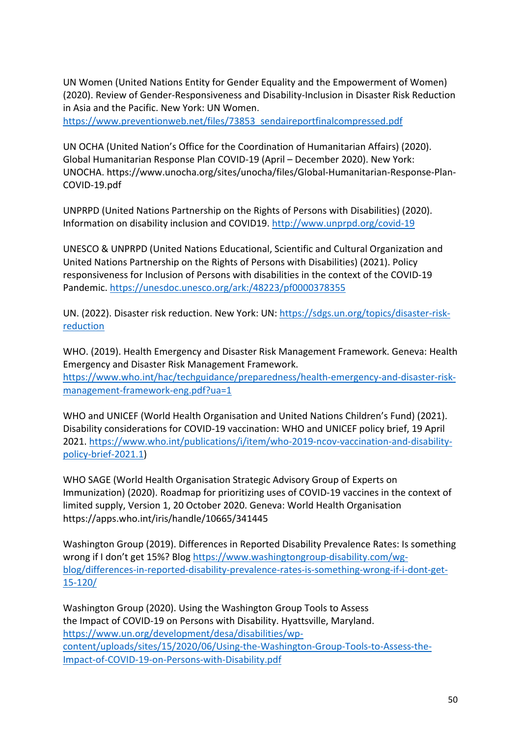UN Women (United Nations Entity for Gender Equality and the Empowerment of Women) (2020). Review of Gender-Responsiveness and Disability-Inclusion in Disaster Risk Reduction in Asia and the Pacific. New York: UN Women.

[https://www.preventionweb.net/files/73853\\_sendaireportfinalcompressed.pdf](https://www.preventionweb.net/files/73853_sendaireportfinalcompressed.pdf)

UN OCHA (United Nation's Office for the Coordination of Humanitarian Affairs) (2020). Global Humanitarian Response Plan COVID-19 (April – December 2020). New York: UNOCHA. https://www.unocha.org/sites/unocha/files/Global-Humanitarian-Response-Plan-COVID-19.pdf

UNPRPD (United Nations Partnership on the Rights of Persons with Disabilities) (2020). Information on disability inclusion and COVID19.<http://www.unprpd.org/covid-19>

UNESCO & UNPRPD (United Nations Educational, Scientific and Cultural Organization and United Nations Partnership on the Rights of Persons with Disabilities) (2021). Policy responsiveness for Inclusion of Persons with disabilities in the context of the COVID-19 Pandemic.<https://unesdoc.unesco.org/ark:/48223/pf0000378355>

UN. (2022). Disaster risk reduction. New York: UN: [https://sdgs.un.org/topics/disaster-risk](https://sdgs.un.org/topics/disaster-risk-reduction)[reduction](https://sdgs.un.org/topics/disaster-risk-reduction)

WHO. (2019). Health Emergency and Disaster Risk Management Framework. Geneva: Health Emergency and Disaster Risk Management Framework. [https://www.who.int/hac/techguidance/preparedness/health-emergency-and-disaster-risk](https://www.who.int/hac/techguidance/preparedness/health-emergency-and-disaster-risk-management-framework-eng.pdf?ua=1)[management-framework-eng.pdf?ua=1](https://www.who.int/hac/techguidance/preparedness/health-emergency-and-disaster-risk-management-framework-eng.pdf?ua=1)

WHO and UNICEF (World Health Organisation and United Nations Children's Fund) (2021). Disability considerations for COVID-19 vaccination: WHO and UNICEF policy brief, 19 April 2021. [https://www.who.int/publications/i/item/who-2019-ncov-vaccination-and-disability](https://www.who.int/publications/i/item/who-2019-ncov-vaccination-and-disability-policy-brief-2021.1)[policy-brief-2021.1\)](https://www.who.int/publications/i/item/who-2019-ncov-vaccination-and-disability-policy-brief-2021.1)

WHO SAGE (World Health Organisation Strategic Advisory Group of Experts on Immunization) (2020). Roadmap for prioritizing uses of COVID-19 vaccines in the context of limited supply, Version 1, 20 October 2020. Geneva: World Health Organisation https://apps.who.int/iris/handle/10665/341445

Washington Group (2019). Differences in Reported Disability Prevalence Rates: Is something wrong if I don't get 15%? Blog [https://www.washingtongroup-disability.com/wg](https://www.washingtongroup-disability.com/wg-blog/differences-in-reported-disability-prevalence-rates-is-something-wrong-if-i-dont-get-15-120/)[blog/differences-in-reported-disability-prevalence-rates-is-something-wrong-if-i-dont-get-](https://www.washingtongroup-disability.com/wg-blog/differences-in-reported-disability-prevalence-rates-is-something-wrong-if-i-dont-get-15-120/)[15-120/](https://www.washingtongroup-disability.com/wg-blog/differences-in-reported-disability-prevalence-rates-is-something-wrong-if-i-dont-get-15-120/)

Washington Group (2020). Using the Washington Group Tools to Assess the Impact of COVID-19 on Persons with Disability. Hyattsville, Maryland. [https://www.un.org/development/desa/disabilities/wp](https://www.un.org/development/desa/disabilities/wp-content/uploads/sites/15/2020/06/Using-the-Washington-Group-Tools-to-Assess-the-Impact-of-COVID-19-on-Persons-with-Disability.pdf)[content/uploads/sites/15/2020/06/Using-the-Washington-Group-Tools-to-Assess-the-](https://www.un.org/development/desa/disabilities/wp-content/uploads/sites/15/2020/06/Using-the-Washington-Group-Tools-to-Assess-the-Impact-of-COVID-19-on-Persons-with-Disability.pdf)[Impact-of-COVID-19-on-Persons-with-Disability.pdf](https://www.un.org/development/desa/disabilities/wp-content/uploads/sites/15/2020/06/Using-the-Washington-Group-Tools-to-Assess-the-Impact-of-COVID-19-on-Persons-with-Disability.pdf)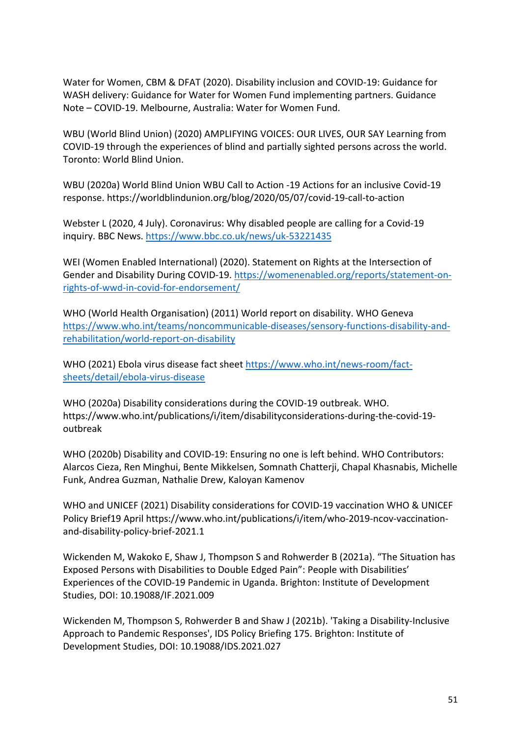Water for Women, CBM & DFAT (2020). Disability inclusion and COVID-19: Guidance for WASH delivery: Guidance for Water for Women Fund implementing partners. Guidance Note – COVID-19. Melbourne, Australia: Water for Women Fund.

WBU (World Blind Union) (2020) AMPLIFYING VOICES: OUR LIVES, OUR SAY Learning from COVID-19 through the experiences of blind and partially sighted persons across the world. Toronto: World Blind Union.

WBU (2020a) World Blind Union WBU Call to Action -19 Actions for an inclusive Covid-19 response. https://worldblindunion.org/blog/2020/05/07/covid-19-call-to-action

Webster L (2020, 4 July). Coronavirus: Why disabled people are calling for a Covid-19 inquiry. BBC News.<https://www.bbc.co.uk/news/uk-53221435>

WEI (Women Enabled International) (2020). Statement on Rights at the Intersection of Gender and Disability During COVID-19. [https://womenenabled.org/reports/statement-on](https://womenenabled.org/reports/statement-on-rights-of-wwd-in-covid-for-endorsement/)[rights-of-wwd-in-covid-for-endorsement/](https://womenenabled.org/reports/statement-on-rights-of-wwd-in-covid-for-endorsement/)

WHO (World Health Organisation) (2011) World report on disability. WHO Geneva [https://www.who.int/teams/noncommunicable-diseases/sensory-functions-disability-and](https://www.who.int/teams/noncommunicable-diseases/sensory-functions-disability-and-rehabilitation/world-report-on-disability)[rehabilitation/world-report-on-disability](https://www.who.int/teams/noncommunicable-diseases/sensory-functions-disability-and-rehabilitation/world-report-on-disability)

WHO (2021) Ebola virus disease fact sheet [https://www.who.int/news-room/fact](https://www.who.int/news-room/fact-sheets/detail/ebola-virus-disease)[sheets/detail/ebola-virus-disease](https://www.who.int/news-room/fact-sheets/detail/ebola-virus-disease)

WHO (2020a) Disability considerations during the COVID-19 outbreak. WHO. https://www.who.int/publications/i/item/disabilityconsiderations-during-the-covid-19 outbreak

WHO (2020b) Disability and COVID-19: Ensuring no one is left behind. WHO Contributors: Alarcos Cieza, Ren Minghui, Bente Mikkelsen, Somnath Chatterji, Chapal Khasnabis, Michelle Funk, Andrea Guzman, Nathalie Drew, Kaloyan Kamenov

WHO and UNICEF (2021) Disability considerations for COVID-19 vaccination WHO & UNICEF Policy Brief19 April https://www.who.int/publications/i/item/who-2019-ncov-vaccinationand-disability-policy-brief-2021.1

Wickenden M, Wakoko E, Shaw J, Thompson S and Rohwerder B (2021a). "The Situation has Exposed Persons with Disabilities to Double Edged Pain": People with Disabilities' Experiences of the COVID-19 Pandemic in Uganda. Brighton: Institute of Development Studies, DOI: 10.19088/IF.2021.009

Wickenden M, Thompson S, Rohwerder B and Shaw J (2021b). 'Taking a Disability-Inclusive Approach to Pandemic Responses', IDS Policy Briefing 175. Brighton: Institute of Development Studies, DOI: 10.19088/IDS.2021.027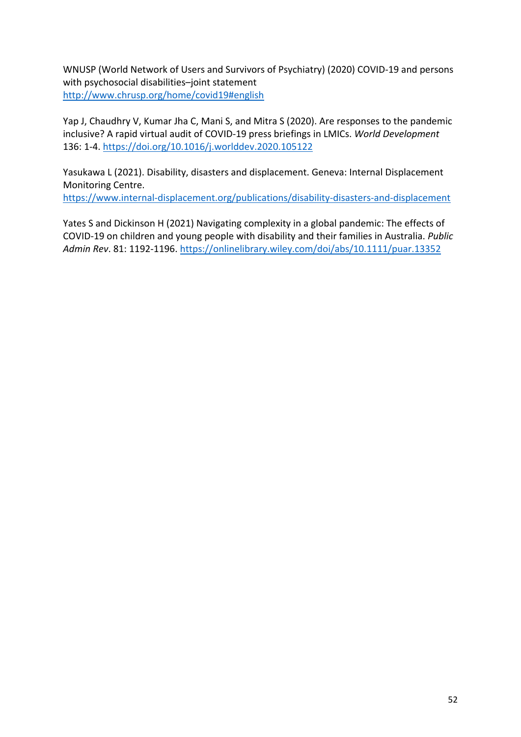WNUSP (World Network of Users and Survivors of Psychiatry) (2020) COVID-19 and persons with psychosocial disabilities–joint statement <http://www.chrusp.org/home/covid19#english>

Yap J, Chaudhry V, Kumar Jha C, Mani S, and Mitra S (2020). Are responses to the pandemic inclusive? A rapid virtual audit of COVID-19 press briefings in LMICs. *World Development* 136: 1-4. <https://doi.org/10.1016/j.worlddev.2020.105122>

Yasukawa L (2021). Disability, disasters and displacement. Geneva: Internal Displacement Monitoring Centre.

<https://www.internal-displacement.org/publications/disability-disasters-and-displacement>

Yates S and Dickinson H (2021) Navigating complexity in a global pandemic: The effects of COVID-19 on children and young people with disability and their families in Australia. *Public Admin Rev*. 81: 1192-1196. <https://onlinelibrary.wiley.com/doi/abs/10.1111/puar.13352>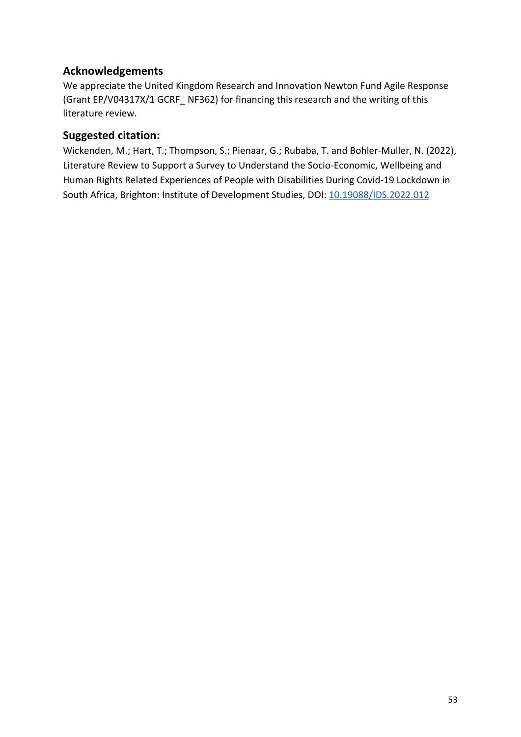## <span id="page-52-0"></span>**Acknowledgements**

We appreciate the United Kingdom Research and Innovation Newton Fund Agile Response (Grant EP/V04317X/1 GCRF\_ NF362) for financing this research and the writing of this literature review.

#### **Suggested citation:**

Wickenden, M.; Hart, T.; Thompson, S.; Pienaar, G.; Rubaba, T. and Bohler-Muller, N. (2022), Literature Review to Support a Survey to Understand the Socio-Economic, Wellbeing and Human Rights Related Experiences of People with Disabilities During Covid-19 Lockdown in South Africa, Brighton: Institute of Development Studies, DOI: [10.19088/IDS.2022.012](http://www.doi.org/10.19088/IDS.2022.012)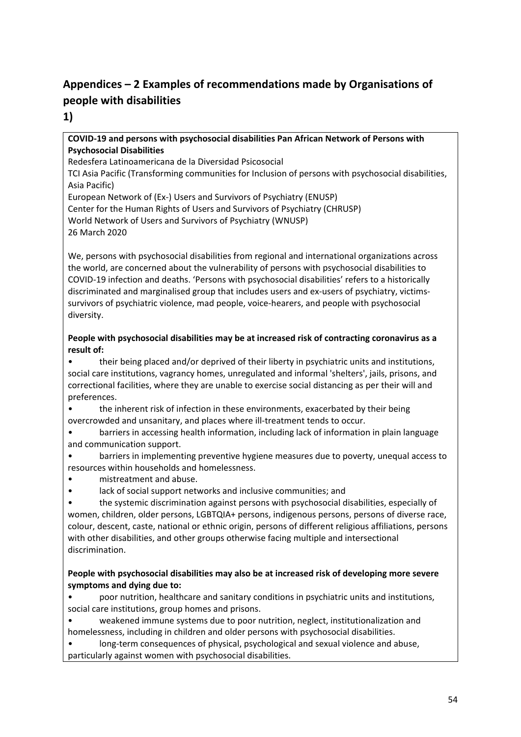## <span id="page-53-0"></span>**Appendices – 2 Examples of recommendations made by Organisations of people with disabilities**

**1)**

#### **COVID-19 and persons with psychosocial disabilities Pan African Network of Persons with Psychosocial Disabilities**

Redesfera Latinoamericana de la Diversidad Psicosocial

TCI Asia Pacific (Transforming communities for Inclusion of persons with psychosocial disabilities, Asia Pacific)

European Network of (Ex-) Users and Survivors of Psychiatry (ENUSP) Center for the Human Rights of Users and Survivors of Psychiatry (CHRUSP) World Network of Users and Survivors of Psychiatry (WNUSP) 26 March 2020

We, persons with psychosocial disabilities from regional and international organizations across the world, are concerned about the vulnerability of persons with psychosocial disabilities to COVID-19 infection and deaths. 'Persons with psychosocial disabilities' refers to a historically discriminated and marginalised group that includes users and ex-users of psychiatry, victimssurvivors of psychiatric violence, mad people, voice-hearers, and people with psychosocial diversity.

#### **People with psychosocial disabilities may be at increased risk of contracting coronavirus as a result of:**

• their being placed and/or deprived of their liberty in psychiatric units and institutions, social care institutions, vagrancy homes, unregulated and informal 'shelters', jails, prisons, and correctional facilities, where they are unable to exercise social distancing as per their will and preferences.

• the inherent risk of infection in these environments, exacerbated by their being overcrowded and unsanitary, and places where ill-treatment tends to occur.

• barriers in accessing health information, including lack of information in plain language and communication support.

• barriers in implementing preventive hygiene measures due to poverty, unequal access to resources within households and homelessness.

- mistreatment and abuse.
- lack of social support networks and inclusive communities; and

• the systemic discrimination against persons with psychosocial disabilities, especially of women, children, older persons, LGBTQIA+ persons, indigenous persons, persons of diverse race, colour, descent, caste, national or ethnic origin, persons of different religious affiliations, persons with other disabilities, and other groups otherwise facing multiple and intersectional discrimination.

#### **People with psychosocial disabilities may also be at increased risk of developing more severe symptoms and dying due to:**

• poor nutrition, healthcare and sanitary conditions in psychiatric units and institutions, social care institutions, group homes and prisons.

• weakened immune systems due to poor nutrition, neglect, institutionalization and homelessness, including in children and older persons with psychosocial disabilities.

• long-term consequences of physical, psychological and sexual violence and abuse, particularly against women with psychosocial disabilities.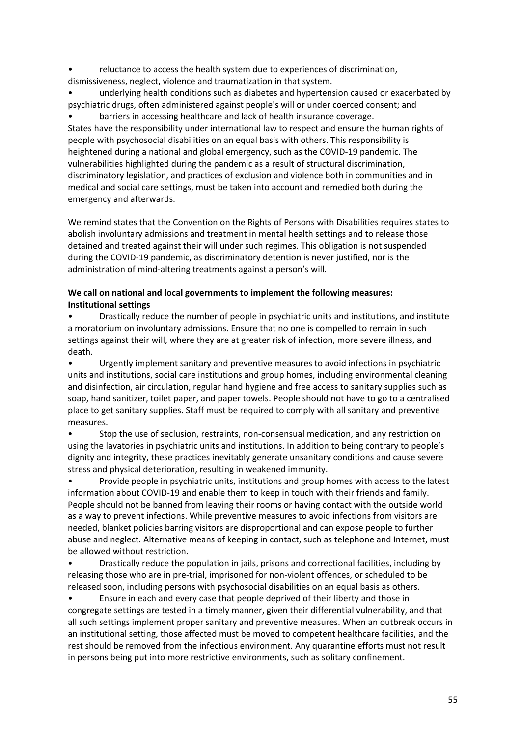• reluctance to access the health system due to experiences of discrimination, dismissiveness, neglect, violence and traumatization in that system.

• underlying health conditions such as diabetes and hypertension caused or exacerbated by psychiatric drugs, often administered against people's will or under coerced consent; and • barriers in accessing healthcare and lack of health insurance coverage.

States have the responsibility under international law to respect and ensure the human rights of people with psychosocial disabilities on an equal basis with others. This responsibility is heightened during a national and global emergency, such as the COVID-19 pandemic. The vulnerabilities highlighted during the pandemic as a result of structural discrimination, discriminatory legislation, and practices of exclusion and violence both in communities and in medical and social care settings, must be taken into account and remedied both during the emergency and afterwards.

We remind states that the Convention on the Rights of Persons with Disabilities requires states to abolish involuntary admissions and treatment in mental health settings and to release those detained and treated against their will under such regimes. This obligation is not suspended during the COVID-19 pandemic, as discriminatory detention is never justified, nor is the administration of mind-altering treatments against a person's will.

#### **We call on national and local governments to implement the following measures: Institutional settings**

• Drastically reduce the number of people in psychiatric units and institutions, and institute a moratorium on involuntary admissions. Ensure that no one is compelled to remain in such settings against their will, where they are at greater risk of infection, more severe illness, and death.

• Urgently implement sanitary and preventive measures to avoid infections in psychiatric units and institutions, social care institutions and group homes, including environmental cleaning and disinfection, air circulation, regular hand hygiene and free access to sanitary supplies such as soap, hand sanitizer, toilet paper, and paper towels. People should not have to go to a centralised place to get sanitary supplies. Staff must be required to comply with all sanitary and preventive measures.

• Stop the use of seclusion, restraints, non-consensual medication, and any restriction on using the lavatories in psychiatric units and institutions. In addition to being contrary to people's dignity and integrity, these practices inevitably generate unsanitary conditions and cause severe stress and physical deterioration, resulting in weakened immunity.

• Provide people in psychiatric units, institutions and group homes with access to the latest information about COVID-19 and enable them to keep in touch with their friends and family. People should not be banned from leaving their rooms or having contact with the outside world as a way to prevent infections. While preventive measures to avoid infections from visitors are needed, blanket policies barring visitors are disproportional and can expose people to further abuse and neglect. Alternative means of keeping in contact, such as telephone and Internet, must be allowed without restriction.

• Drastically reduce the population in jails, prisons and correctional facilities, including by releasing those who are in pre-trial, imprisoned for non-violent offences, or scheduled to be released soon, including persons with psychosocial disabilities on an equal basis as others.

• Ensure in each and every case that people deprived of their liberty and those in congregate settings are tested in a timely manner, given their differential vulnerability, and that all such settings implement proper sanitary and preventive measures. When an outbreak occurs in an institutional setting, those affected must be moved to competent healthcare facilities, and the rest should be removed from the infectious environment. Any quarantine efforts must not result in persons being put into more restrictive environments, such as solitary confinement.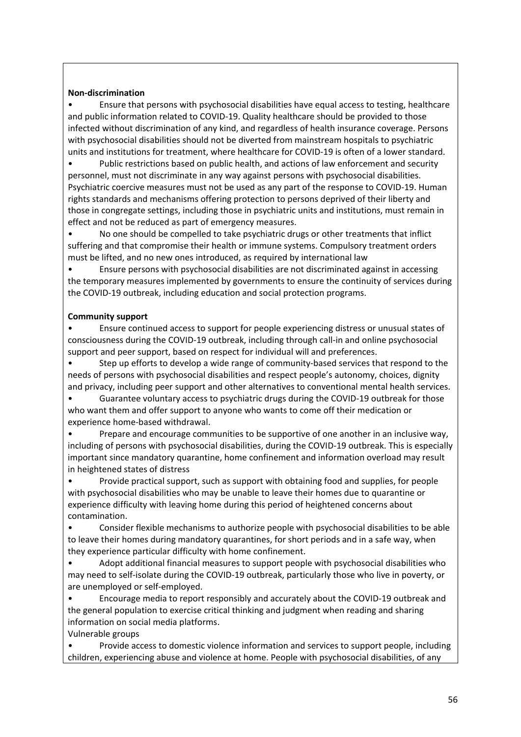#### **Non-discrimination**

• Ensure that persons with psychosocial disabilities have equal access to testing, healthcare and public information related to COVID-19. Quality healthcare should be provided to those infected without discrimination of any kind, and regardless of health insurance coverage. Persons with psychosocial disabilities should not be diverted from mainstream hospitals to psychiatric units and institutions for treatment, where healthcare for COVID-19 is often of a lower standard.

• Public restrictions based on public health, and actions of law enforcement and security personnel, must not discriminate in any way against persons with psychosocial disabilities. Psychiatric coercive measures must not be used as any part of the response to COVID-19. Human rights standards and mechanisms offering protection to persons deprived of their liberty and those in congregate settings, including those in psychiatric units and institutions, must remain in effect and not be reduced as part of emergency measures.

• No one should be compelled to take psychiatric drugs or other treatments that inflict suffering and that compromise their health or immune systems. Compulsory treatment orders must be lifted, and no new ones introduced, as required by international law

• Ensure persons with psychosocial disabilities are not discriminated against in accessing the temporary measures implemented by governments to ensure the continuity of services during the COVID-19 outbreak, including education and social protection programs.

#### **Community support**

• Ensure continued access to support for people experiencing distress or unusual states of consciousness during the COVID-19 outbreak, including through call-in and online psychosocial support and peer support, based on respect for individual will and preferences.

Step up efforts to develop a wide range of community-based services that respond to the needs of persons with psychosocial disabilities and respect people's autonomy, choices, dignity and privacy, including peer support and other alternatives to conventional mental health services.

• Guarantee voluntary access to psychiatric drugs during the COVID-19 outbreak for those who want them and offer support to anyone who wants to come off their medication or experience home-based withdrawal.

• Prepare and encourage communities to be supportive of one another in an inclusive way, including of persons with psychosocial disabilities, during the COVID-19 outbreak. This is especially important since mandatory quarantine, home confinement and information overload may result in heightened states of distress

• Provide practical support, such as support with obtaining food and supplies, for people with psychosocial disabilities who may be unable to leave their homes due to quarantine or experience difficulty with leaving home during this period of heightened concerns about contamination.

• Consider flexible mechanisms to authorize people with psychosocial disabilities to be able to leave their homes during mandatory quarantines, for short periods and in a safe way, when they experience particular difficulty with home confinement.

• Adopt additional financial measures to support people with psychosocial disabilities who may need to self-isolate during the COVID-19 outbreak, particularly those who live in poverty, or are unemployed or self-employed.

• Encourage media to report responsibly and accurately about the COVID-19 outbreak and the general population to exercise critical thinking and judgment when reading and sharing information on social media platforms.

Vulnerable groups

• Provide access to domestic violence information and services to support people, including children, experiencing abuse and violence at home. People with psychosocial disabilities, of any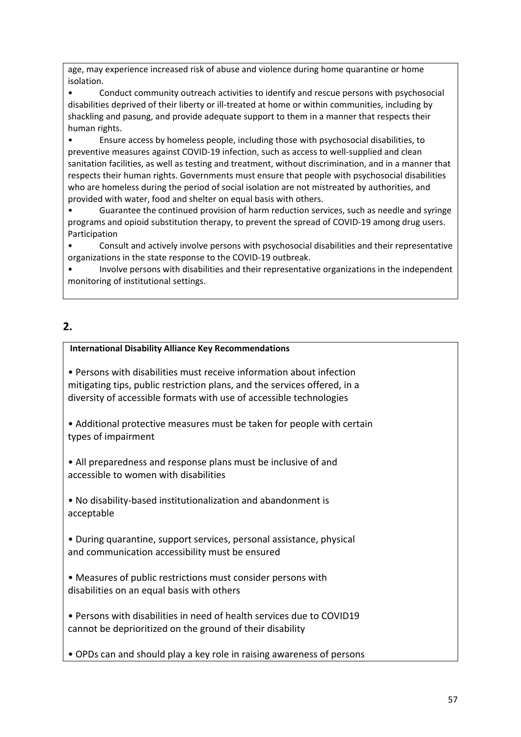age, may experience increased risk of abuse and violence during home quarantine or home isolation.

• Conduct community outreach activities to identify and rescue persons with psychosocial disabilities deprived of their liberty or ill-treated at home or within communities, including by shackling and pasung, and provide adequate support to them in a manner that respects their human rights.

• Ensure access by homeless people, including those with psychosocial disabilities, to preventive measures against COVID-19 infection, such as access to well-supplied and clean sanitation facilities, as well as testing and treatment, without discrimination, and in a manner that respects their human rights. Governments must ensure that people with psychosocial disabilities who are homeless during the period of social isolation are not mistreated by authorities, and provided with water, food and shelter on equal basis with others.

• Guarantee the continued provision of harm reduction services, such as needle and syringe programs and opioid substitution therapy, to prevent the spread of COVID-19 among drug users. Participation

• Consult and actively involve persons with psychosocial disabilities and their representative organizations in the state response to the COVID-19 outbreak.

• Involve persons with disabilities and their representative organizations in the independent monitoring of institutional settings.

### **2.**

#### **International Disability Alliance Key Recommendations**

• Persons with disabilities must receive information about infection mitigating tips, public restriction plans, and the services offered, in a diversity of accessible formats with use of accessible technologies

• Additional protective measures must be taken for people with certain types of impairment

• All preparedness and response plans must be inclusive of and accessible to women with disabilities

• No disability-based institutionalization and abandonment is acceptable

• During quarantine, support services, personal assistance, physical and communication accessibility must be ensured

• Measures of public restrictions must consider persons with disabilities on an equal basis with others

• Persons with disabilities in need of health services due to COVID19 cannot be deprioritized on the ground of their disability

• OPDs can and should play a key role in raising awareness of persons